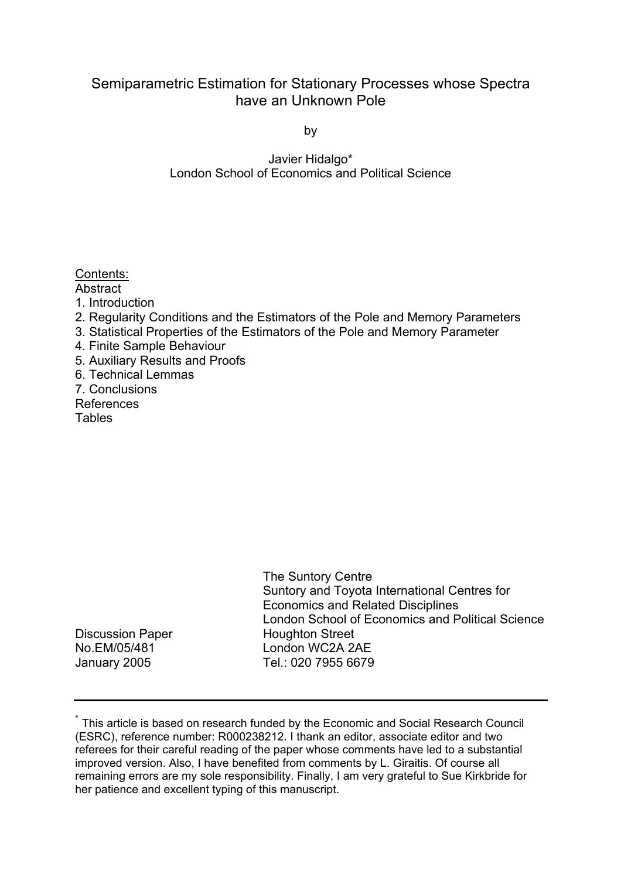# Semiparametric Estimation for Stationary Processes whose Spectra have an Unknown Pole

by

Javier Hidalgo\* London School of Economics and Political Science

## Contents:

- Abstract
- 1. Introduction
- 2. Regularity Conditions and the Estimators of the Pole and Memory Parameters
- 3. Statistical Properties of the Estimators of the Pole and Memory Parameter
- 4. Finite Sample Behaviour
- 5. Auxiliary Results and Proofs
- 6. Technical Lemmas
- 7. Conclusions
- References **Tables**

| Suntory and Toyota International Centres for<br><b>Economics and Related Disciplines</b><br>London School of Economics and Political Science |  |
|----------------------------------------------------------------------------------------------------------------------------------------------|--|
| <b>Discussion Paper</b><br><b>Houghton Street</b>                                                                                            |  |
| No.EM/05/481<br>London WC2A 2AE                                                                                                              |  |
| Tel.: 020 7955 6679<br>January 2005                                                                                                          |  |

<sup>\*</sup> This article is based on research funded by the Economic and Social Research Council (ESRC), reference number: R000238212. I thank an editor, associate editor and two referees for their careful reading of the paper whose comments have led to a substantial improved version. Also, I have benefited from comments by L. Giraitis. Of course all remaining errors are my sole responsibility. Finally, I am very grateful to Sue Kirkbride for her patience and excellent typing of this manuscript.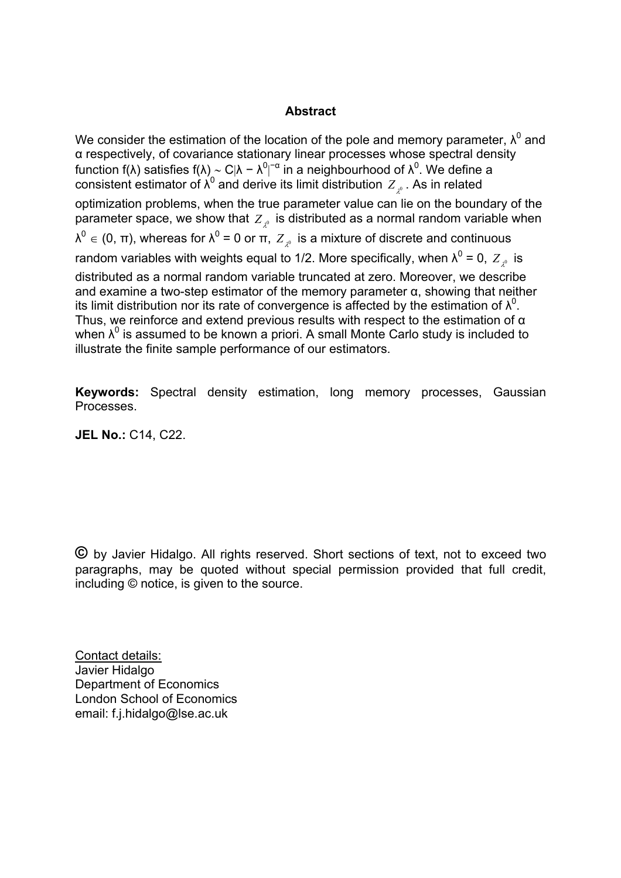## **Abstract**

We consider the estimation of the location of the pole and memory parameter,  $\lambda^0$  and α respectively, of covariance stationary linear processes whose spectral density function f(λ) satisfies f(λ) ~ C|λ − λ<sup>0</sup>|<sup>−α</sup> in a neighbourhood of λ<sup>0</sup>. We define a | consistent estimator of  $\lambda^0$  and derive its limit distribution  $Z_{\lambda^0}$  . As in related optimization problems, when the true parameter value can lie on the boundary of the parameter space, we show that  $Z$  is distributed as a normal random variable when  $\lambda^0 \in (0, \, \pi)$ , whereas for  $\lambda^0$  = 0 or  $\pi$ ,  $\overline{Z}_{\lambda^0}$  is a mixture of discrete and continuous random variables with weights equal to 1/2. More specifically, when  $\lambda^0$  = 0,  $\,Z_{_{\lambda^0}}\,$  is distributed as a normal random variable truncated at zero. Moreover, we describe and examine a two-step estimator of the memory parameter  $\alpha$ , showing that neither its limit distribution nor its rate of convergence is affected by the estimation of  $\lambda^0$ . Thus, we reinforce and extend previous results with respect to the estimation of  $\alpha$ when  $\lambda^0$  is assumed to be known a priori. A small Monte Carlo study is included to illustrate the finite sample performance of our estimators.

**Keywords:** Spectral density estimation, long memory processes, Gaussian Processes.

**JEL No.:** C14, C22.

**©** by Javier Hidalgo. All rights reserved. Short sections of text, not to exceed two paragraphs, may be quoted without special permission provided that full credit, including © notice, is given to the source.

Contact details: Javier Hidalgo Department of Economics London School of Economics email: f.j.hidalgo@lse.ac.uk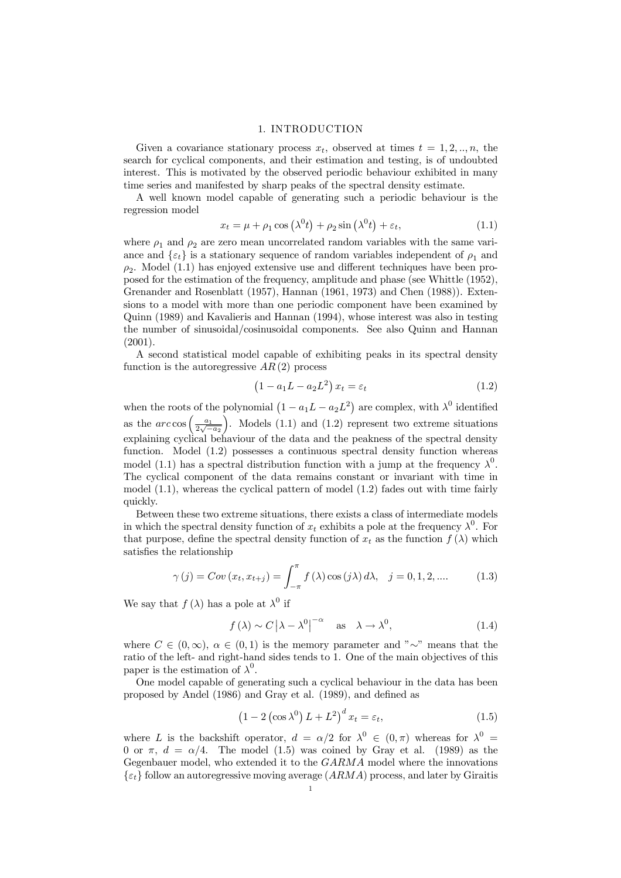#### 1. INTRODUCTION

Given a covariance stationary process  $x_t$ , observed at times  $t = 1, 2, ..., n$ , the search for cyclical components, and their estimation and testing, is of undoubted interest. This is motivated by the observed periodic behaviour exhibited in many time series and manifested by sharp peaks of the spectral density estimate.

A well known model capable of generating such a periodic behaviour is the regression model

$$
x_t = \mu + \rho_1 \cos(\lambda^0 t) + \rho_2 \sin(\lambda^0 t) + \varepsilon_t, \tag{1.1}
$$

where  $\rho_1$  and  $\rho_2$  are zero mean uncorrelated random variables with the same variance and  $\{\varepsilon_t\}$  is a stationary sequence of random variables independent of  $\rho_1$  and  $\rho_2$ . Model (1.1) has enjoyed extensive use and different techniques have been proposed for the estimation of the frequency, amplitude and phase (see Whittle (1952), Grenander and Rosenblatt (1957), Hannan (1961, 1973) and Chen (1988)). Extensions to a model with more than one periodic component have been examined by Quinn (1989) and Kavalieris and Hannan (1994), whose interest was also in testing the number of sinusoidal/cosinusoidal components. See also Quinn and Hannan (2001).

A second statistical model capable of exhibiting peaks in its spectral density function is the autoregressive  $AR(2)$  process

$$
(1 - a_1 L - a_2 L^2) x_t = \varepsilon_t \tag{1.2}
$$

when the roots of the polynomial  $(1 - a_1L - a_2L^2)$  are complex, with  $\lambda^0$  identified as the  $\arccos\left(\frac{a_1}{2\sqrt{-a_2}}\right)$ ). Models  $(1.1)$  and  $(1.2)$  represent two extreme situations explaining cyclical behaviour of the data and the peakness of the spectral density function. Model  $(1.2)$  possesses a continuous spectral density function whereas model (1.1) has a spectral distribution function with a jump at the frequency  $\lambda^0$ . The cyclical component of the data remains constant or invariant with time in model (1.1), whereas the cyclical pattern of model (1.2) fades out with time fairly quickly.

Between these two extreme situations, there exists a class of intermediate models in which the spectral density function of  $x_t$  exhibits a pole at the frequency  $\lambda^0$ . For that purpose, define the spectral density function of  $x_t$  as the function  $f(\lambda)$  which satisfies the relationship

$$
\gamma(j) = Cov(x_t, x_{t+j}) = \int_{-\pi}^{\pi} f(\lambda) \cos(j\lambda) d\lambda, \quad j = 0, 1, 2, .... \tag{1.3}
$$

We say that  $f(\lambda)$  has a pole at  $\lambda^0$  if

$$
f(\lambda) \sim C |\lambda - \lambda^0|^{-\alpha}
$$
 as  $\lambda \to \lambda^0$ , (1.4)

where  $C \in (0,\infty)$ ,  $\alpha \in (0,1)$  is the memory parameter and "∼" means that the ratio of the left- and right-hand sides tends to 1. One of the main objectives of this paper is the estimation of  $\lambda^0$ .

One model capable of generating such a cyclical behaviour in the data has been proposed by Andel (1986) and Gray et al. (1989), and defined as

$$
(1 - 2\left(\cos \lambda^{0}\right)L + L^{2})^{d} x_{t} = \varepsilon_{t}, \qquad (1.5)
$$

where L is the backshift operator,  $d = \alpha/2$  for  $\lambda^0 \in (0, \pi)$  whereas for  $\lambda^0 =$ 0 or  $\pi$ ,  $d = \alpha/4$ . The model (1.5) was coined by Gray et al. (1989) as the Gegenbauer model, who extended it to the GARMA model where the innovations  $\{\varepsilon_t\}$  follow an autoregressive moving average  $(ARMA)$  process, and later by Giraitis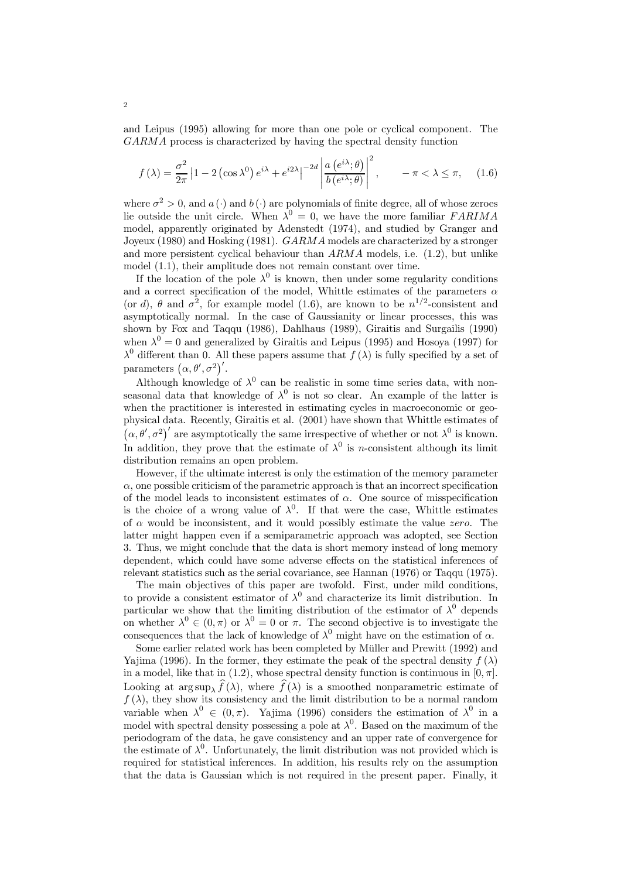and Leipus (1995) allowing for more than one pole or cyclical component. The GARMA process is characterized by having the spectral density function

$$
f(\lambda) = \frac{\sigma^2}{2\pi} \left| 1 - 2\left(\cos \lambda^0\right) e^{i\lambda} + e^{i2\lambda} \right|^{-2d} \left| \frac{a\left(e^{i\lambda}; \theta\right)}{b\left(e^{i\lambda}; \theta\right)} \right|^2, \quad -\pi < \lambda \le \pi,\tag{1.6}
$$

where  $\sigma^2 > 0$ , and  $a(\cdot)$  and  $b(\cdot)$  are polynomials of finite degree, all of whose zeroes lie outside the unit circle. When  $\lambda^0 = 0$ , we have the more familiar FARIMA model, apparently originated by Adenstedt (1974), and studied by Granger and Joyeux (1980) and Hosking (1981). GARMA models are characterized by a stronger and more persistent cyclical behaviour than  $ARMA$  models, i.e.  $(1.2)$ , but unlike model (1.1), their amplitude does not remain constant over time.

If the location of the pole  $\lambda^0$  is known, then under some regularity conditions and a correct specification of the model, Whittle estimates of the parameters  $\alpha$ (or d),  $\theta$  and  $\sigma^2$ , for example model (1.6), are known to be  $n^{1/2}$ -consistent and asymptotically normal. In the case of Gaussianity or linear processes, this was shown by Fox and Taqqu (1986), Dahlhaus (1989), Giraitis and Surgailis (1990) when  $\lambda^0 = 0$  and generalized by Giraitis and Leipus (1995) and Hosoya (1997) for  $\lambda^0$  different than 0. All these papers assume that  $f(\lambda)$  is fully specified by a set of parameters  $(\alpha, \theta', \sigma^2)'$ .

Although knowledge of  $\lambda^0$  can be realistic in some time series data, with nonseasonal data that knowledge of  $\lambda^0$  is not so clear. An example of the latter is when the practitioner is interested in estimating cycles in macroeconomic or geophysical data. Recently, Giraitis et al. (2001) have shown that Whittle estimates of  $(\alpha, \theta', \sigma^2)'$  are asymptotically the same irrespective of whether or not  $\lambda^0$  is known. In addition, they prove that the estimate of  $\lambda^0$  is *n*-consistent although its limit distribution remains an open problem.

However, if the ultimate interest is only the estimation of the memory parameter  $\alpha$ , one possible criticism of the parametric approach is that an incorrect specification of the model leads to inconsistent estimates of  $\alpha$ . One source of misspecification is the choice of a wrong value of  $\lambda^0$ . If that were the case, Whittle estimates of  $\alpha$  would be inconsistent, and it would possibly estimate the value *zero*. The latter might happen even if a semiparametric approach was adopted, see Section 3. Thus, we might conclude that the data is short memory instead of long memory dependent, which could have some adverse effects on the statistical inferences of relevant statistics such as the serial covariance, see Hannan (1976) or Taqqu (1975).

The main objectives of this paper are twofold. First, under mild conditions, to provide a consistent estimator of  $\lambda^0$  and characterize its limit distribution. In particular we show that the limiting distribution of the estimator of  $\lambda^0$  depends on whether  $\lambda^0 \in (0, \pi)$  or  $\lambda^0 = 0$  or  $\pi$ . The second objective is to investigate the consequences that the lack of knowledge of  $\lambda^0$  might have on the estimation of  $\alpha$ .

Some earlier related work has been completed by Müller and Prewitt (1992) and Yajima (1996). In the former, they estimate the peak of the spectral density  $f(\lambda)$ in a model, like that in (1.2), whose spectral density function is continuous in  $[0, \pi]$ . Looking at  $\arg \sup_{\lambda} f(\lambda)$ , where  $f(\lambda)$  is a smoothed nonparametric estimate of  $f(\lambda)$ , they show its consistency and the limit distribution to be a normal random variable when  $\lambda^0 \in (0, \pi)$ . Yajima (1996) considers the estimation of  $\lambda^0$  in a model with spectral density possessing a pole at  $\lambda^0$ . Based on the maximum of the periodogram of the data, he gave consistency and an upper rate of convergence for the estimate of  $\lambda^0$ . Unfortunately, the limit distribution was not provided which is required for statistical inferences. In addition, his results rely on the assumption that the data is Gaussian which is not required in the present paper. Finally, it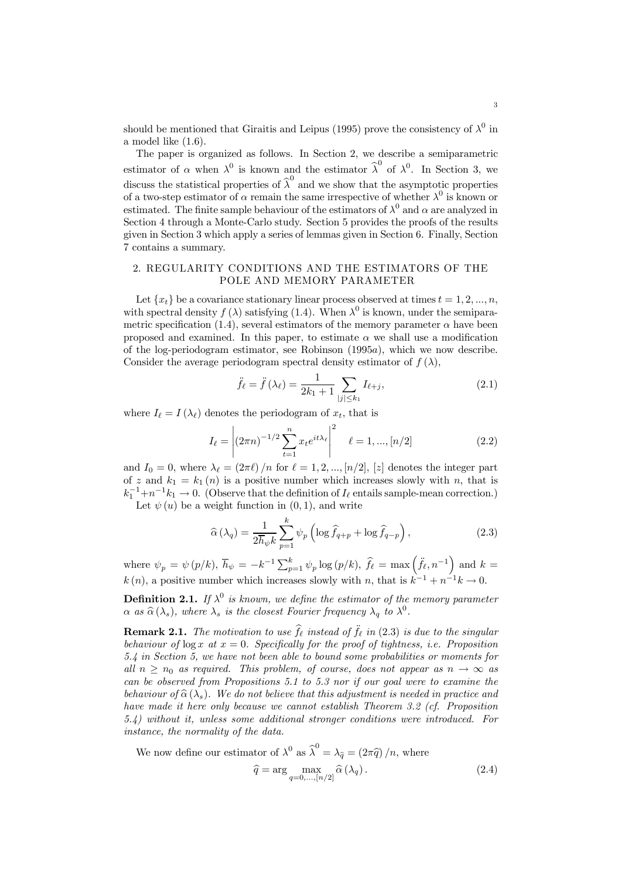should be mentioned that Giraitis and Leipus (1995) prove the consistency of  $\lambda^0$  in a model like (1.6).

The paper is organized as follows. In Section 2, we describe a semiparametric estimator of  $\alpha$  when  $\lambda^0$  is known and the estimator  $\hat{\lambda}^0$  of  $\lambda^0$ . In Section 3, we discuss the statistical properties of  $\widehat{\lambda}^0$  and we show that the asymptotic properties of a two-step estimator of  $\alpha$  remain the same irrespective of whether  $\lambda^0$  is known or estimated. The finite sample behaviour of the estimators of  $\lambda^0$  and  $\alpha$  are analyzed in Section 4 through a Monte-Carlo study. Section 5 provides the proofs of the results given in Section 3 which apply a series of lemmas given in Section 6. Finally, Section 7 contains a summary.

### 2. REGULARITY CONDITIONS AND THE ESTIMATORS OF THE POLE AND MEMORY PARAMETER

Let  $\{x_t\}$  be a covariance stationary linear process observed at times  $t = 1, 2, ..., n$ , with spectral density  $f(\lambda)$  satisfying (1.4). When  $\lambda^0$  is known, under the semiparametric specification (1.4), several estimators of the memory parameter  $\alpha$  have been proposed and examined. In this paper, to estimate  $\alpha$  we shall use a modification of the log-periodogram estimator, see Robinson (1995a), which we now describe. Consider the average periodogram spectral density estimator of  $f(\lambda)$ ,

$$
\ddot{f}_{\ell} = \ddot{f}(\lambda_{\ell}) = \frac{1}{2k_1 + 1} \sum_{|j| \le k_1} I_{\ell + j},
$$
\n(2.1)

where  $I_{\ell} = I(\lambda_{\ell})$  denotes the periodogram of  $x_t$ , that is

$$
I_{\ell} = \left| (2\pi n)^{-1/2} \sum_{t=1}^{n} x_t e^{it\lambda_{\ell}} \right|^2 \quad \ell = 1, ..., [n/2]
$$
 (2.2)

and  $I_0 = 0$ , where  $\lambda_{\ell} = (2\pi\ell)/n$  for  $\ell = 1, 2, ..., [n/2], [z]$  denotes the integer part of z and  $k_1 = k_1(n)$  is a positive number which increases slowly with n, that is  $k_1^{-1} + n^{-1}k_1 \to 0$ . (Observe that the definition of  $I_\ell$  entails sample-mean correction.) Let  $\psi(u)$  be a weight function in  $(0, 1)$ , and write

The equation is given by 
$$
\mathbf{r} = \mathbf{r} \times \mathbf{r}
$$
 and  $\mathbf{r} = \mathbf{r} \times \mathbf{r}$ .

$$
\widehat{\alpha}\left(\lambda_q\right) = \frac{1}{2\overline{h}_{\psi}k} \sum_{p=1}^{k} \psi_p \left( \log \widehat{f}_{q+p} + \log \widehat{f}_{q-p} \right),\tag{2.3}
$$

where  $\psi_p = \psi(p/k), \bar{h}_{\psi} = -k^{-1} \sum_{p=1}^k \psi_p \log(p/k), \hat{f}_{\ell} = \max(\tilde{f}_{\ell}, n^{-1})$  and  $k =$  $k(n)$ , a positive number which increases slowly with n, that is  $k^{-1} + n^{-1}k \to 0$ .

**Definition 2.1.** If  $\lambda^0$  is known, we define the estimator of the memory parameter  $\alpha$  as  $\hat{\alpha}(\lambda_s)$ , where  $\lambda_s$  is the closest Fourier frequency  $\lambda_a$  to  $\lambda^0$ .

**Remark 2.1.** The motivation to use  $\hat{f}_{\ell}$  instead of  $\hat{f}_{\ell}$  in (2.3) is due to the singular behaviour of  $\log x$  at  $x = 0$ . Specifically for the proof of tightness, i.e. Proposition 5.4 in Section 5, we have not been able to bound some probabilities or moments for all  $n \geq n_0$  as required. This problem, of course, does not appear as  $n \to \infty$  as can be observed from Propositions 5.1 to 5.3 nor if our goal were to examine the behaviour of  $\hat{\alpha}(\lambda_s)$ . We do not believe that this adjustment is needed in practice and have made it here only because we cannot establish Theorem 3.2 (cf. Proposition 5.4) without it, unless some additional stronger conditions were introduced. For instance, the normality of the data.

We now define our estimator of 
$$
\lambda^0
$$
 as  $\hat{\lambda}^0 = \lambda_{\hat{q}} = (2\pi \hat{q})/n$ , where  
\n
$$
\hat{q} = \arg \max_{q=0,\dots,[n/2]} \hat{\alpha}(\lambda_q).
$$
\n(2.4)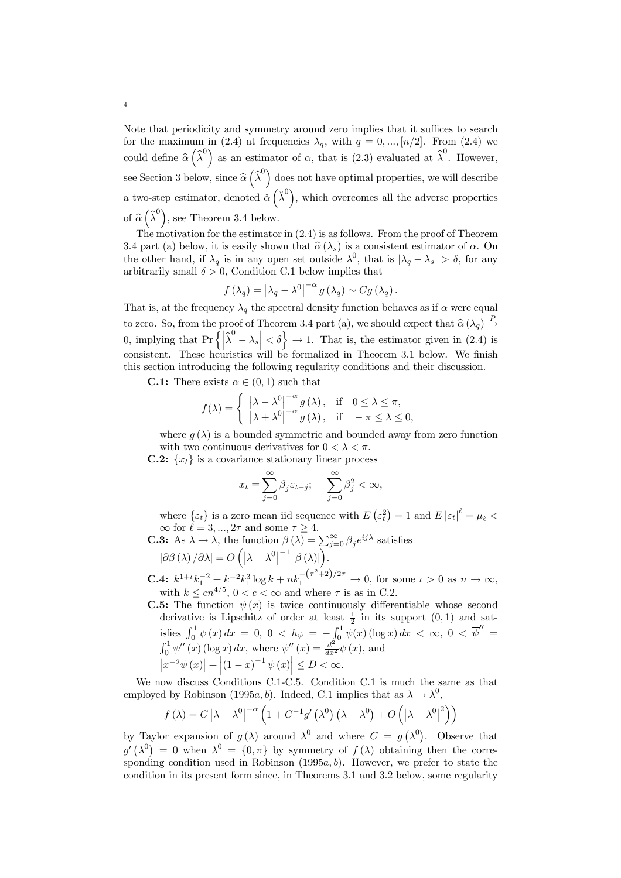Note that periodicity and symmetry around zero implies that it suffices to search for the maximum in (2.4) at frequencies  $\lambda_q$ , with  $q = 0, ..., [n/2]$ . From (2.4) we could define  $\hat{\alpha}$   $\left(\hat{\lambda}^0\right)$  as an estimator of  $\alpha$ , that is (2.3) evaluated at  $\hat{\lambda}^0$ . However, see Section 3 below, since  $\widehat{\alpha}$   $\left(\widehat{\lambda}^0\right)$  does not have optimal properties, we will describe a two-step estimator, denoted  $\check{\alpha}(\check{\lambda}^0)$ , which overcomes all the adverse properties of  $\widehat{\alpha}\left(\widehat{\lambda}^{0}\right)$ , see Theorem 3.4 below.

The motivation for the estimator in (2.4) is as follows. From the proof of Theorem 3.4 part (a) below, it is easily shown that  $\hat{\alpha}(\lambda_s)$  is a consistent estimator of  $\alpha$ . On the other hand, if  $\lambda_q$  is in any open set outside  $\lambda^0$ , that is  $|\lambda_q - \lambda_s| > \delta$ , for any arbitrarily small  $\delta > 0$ , Condition C.1 below implies that

$$
f(\lambda_q) = |\lambda_q - \lambda^0|^{-\alpha} g(\lambda_q) \sim Cg(\lambda_q).
$$

That is, at the frequency  $\lambda_q$  the spectral density function behaves as if  $\alpha$  were equal to zero. So, from the proof of Theorem 3.4 part (a), we should expect that  $\hat{\alpha}(\lambda_q) \stackrel{P}{\rightarrow}$ 0, implying that  $\Pr\left\{ \left| \hat{\lambda}^0 - \lambda_s \right| < \delta \right\} \to 1$ . That is, the estimator given in (2.4) is consistent. These heuristics will be formalized in Theorem 3.1 below. We finish this section introducing the following regularity conditions and their discussion.

**C.1:** There exists  $\alpha \in (0,1)$  such that

$$
f(\lambda) = \begin{cases} \left| \lambda - \lambda^0 \right|^{-\alpha} g(\lambda), & \text{if } 0 \le \lambda \le \pi, \\ \left| \lambda + \lambda^0 \right|^{-\alpha} g(\lambda), & \text{if } -\pi \le \lambda \le 0, \end{cases}
$$

where  $g(\lambda)$  is a bounded symmetric and bounded away from zero function with two continuous derivatives for  $0 < \lambda < \pi$ .

**C.2:**  $\{x_t\}$  is a covariance stationary linear process

$$
x_t = \sum_{j=0}^{\infty} \beta_j \varepsilon_{t-j}; \quad \sum_{j=0}^{\infty} \beta_j^2 < \infty,
$$

where  $\{\varepsilon_t\}$  is a zero mean iid sequence with  $E\left(\varepsilon_t^2\right) = 1$  and  $E\left|\varepsilon_t\right|^{\ell} = \mu_{\ell}$  $\infty$  for  $\ell = 3, ..., 2\tau$  and some  $\tau \geq 4$ .

**C.3:** As 
$$
\lambda \to \lambda
$$
, the function  $\beta(\lambda) = \sum_{j=0}^{\infty} \beta_j e^{ij\lambda}$  satisfies  $|\partial \beta(\lambda)/\partial \lambda| = O(|\lambda - \lambda^0|^{-1}|\beta(\lambda)|)$ .

**C.4:**  $k^{1+\iota}k_1^{-2} + k^{-2}k_1^3 \log k + nk_1^{-(\tau^2+2)/2\tau} \to 0$ , for some  $\iota > 0$  as  $n \to \infty$ , with  $k \leq cn^{4/5}$ ,  $0 < c < \infty$  and where  $\tau$  is as in C.2.

**C.5:** The function  $\psi(x)$  is twice continuously differentiable whose second derivative is Lipschitz of order at least  $\frac{1}{2}$  in its support  $(0,1)$  and satisfies  $\int_0^1 \psi(x) dx = 0, 0 < h_{\psi} = -\int_0^1 \psi(x) (\log x) dx < \infty, 0 < \overline{\psi}'' =$ <br>  $\int_0^1 \psi''(x) (\log x) dx$ , where  $\psi''(x) = \frac{d^2}{dx^2} \psi(x)$ , and  $\left|x^{-2}\psi(x)\right| + \left|(1-x)^{-1}\psi(x)\right| \le D < \infty.$ 

We now discuss Conditions C.1-C.5. Condition C.1 is much the same as that employed by Robinson (1995a, b). Indeed, C.1 implies that as  $\lambda \to \lambda^0$ ,

$$
f(\lambda) = C |\lambda - \lambda^{0}|^{-\alpha} \left( 1 + C^{-1} g'(\lambda^{0}) (\lambda - \lambda^{0}) + O(|\lambda - \lambda^{0}|^{2}) \right)
$$

by Taylor expansion of  $g(\lambda)$  around  $\lambda^0$  and where  $C = g(\lambda^0)$ . Observe that  $g'(\lambda^0) = 0$  when  $\lambda^0 = \{0, \pi\}$  by symmetry of  $f(\lambda)$  obtaining then the corresponding condition used in Robinson  $(1995a, b)$ . However, we prefer to state the condition in its present form since, in Theorems 3.1 and 3.2 below, some regularity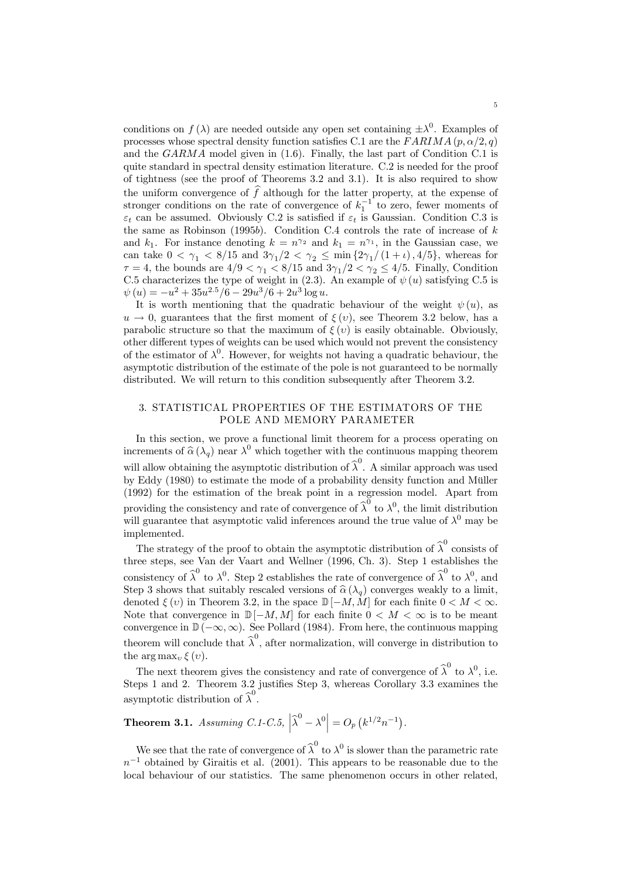conditions on  $f(\lambda)$  are needed outside any open set containing  $\pm \lambda^0$ . Examples of processes whose spectral density function satisfies C.1 are the  $FARIMA (p, \alpha/2, q)$ and the GARMA model given in (1.6). Finally, the last part of Condition C.1 is quite standard in spectral density estimation literature. C.2 is needed for the proof of tightness (see the proof of Theorems 3.2 and 3.1). It is also required to show the uniform convergence of  $f$  although for the latter property, at the expense of stronger conditions on the rate of convergence of  $k_1^{-1}$  to zero, fewer moments of  $\varepsilon_t$  can be assumed. Obviously C.2 is satisfied if  $\varepsilon_t$  is Gaussian. Condition C.3 is the same as Robinson (1995b). Condition C.4 controls the rate of increase of  $k$ and  $k_1$ . For instance denoting  $k = n^{\gamma_2}$  and  $k_1 = n^{\gamma_1}$ , in the Gaussian case, we can take  $0 < \gamma_1 < 8/15$  and  $3\gamma_1/2 < \gamma_2 \le \min\{2\gamma_1/(1+\iota), 4/5\}$ , whereas for  $\tau = 4$ , the bounds are  $4/9 < \gamma_1 < 8/15$  and  $3\gamma_1/2 < \gamma_2 \le 4/5$ . Finally, Condition C.5 characterizes the type of weight in (2.3). An example of  $\psi(u)$  satisfying C.5 is  $\psi(u) = -u^2 + 35u^{2.5}/6 - 29u^3/6 + 2u^3 \log u.$ 

It is worth mentioning that the quadratic behaviour of the weight  $\psi(u)$ , as  $u \to 0$ , guarantees that the first moment of  $\xi(v)$ , see Theorem 3.2 below, has a parabolic structure so that the maximum of  $\xi(v)$  is easily obtainable. Obviously, other different types of weights can be used which would not prevent the consistency of the estimator of  $\lambda^0$ . However, for weights not having a quadratic behaviour, the asymptotic distribution of the estimate of the pole is not guaranteed to be normally distributed. We will return to this condition subsequently after Theorem 3.2.

### 3. STATISTICAL PROPERTIES OF THE ESTIMATORS OF THE POLE AND MEMORY PARAMETER

In this section, we prove a functional limit theorem for a process operating on increments of  $\hat{\alpha}(\lambda_q)$  near  $\lambda^0$  which together with the continuous mapping theorem will allow obtaining the asymptotic distribution of  $\widehat{\lambda}^0$ . A similar approach was used by Eddy (1980) to estimate the mode of a probability density function and Müller (1992) for the estimation of the break point in a regression model. Apart from providing the consistency and rate of convergence of  $\hat{\lambda}^0$  to  $\lambda^0$ , the limit distribution will guarantee that asymptotic valid inferences around the true value of  $\lambda^0$  may be implemented.

The strategy of the proof to obtain the asymptotic distribution of  $\widehat{\lambda}^0$  consists of three steps, see Van der Vaart and Wellner (1996, Ch. 3). Step 1 establishes the consistency of  $\hat{\lambda}^0$  to  $\lambda^0$ . Step 2 establishes the rate of convergence of  $\hat{\lambda}^0$  to  $\lambda^0$ , and Step 3 shows that suitably rescaled versions of  $\hat{\alpha}(\lambda_q)$  converges weakly to a limit, denoted  $\xi(v)$  in Theorem 3.2, in the space  $\mathbb{D}[-M,M]$  for each finite  $0 < M < \infty$ . Note that convergence in  $\mathbb{D}[-M, M]$  for each finite  $0 < M < \infty$  is to be meant convergence in  $\mathbb{D}(-\infty,\infty)$ . See Pollard (1984). From here, the continuous mapping theorem will conclude that  $\widehat{\lambda}^0$ , after normalization, will converge in distribution to the  $\arg \max_{v} \xi(v)$ .

The next theorem gives the consistency and rate of convergence of  $\hat{\lambda}^0$  to  $\lambda^0$ , i.e. Steps 1 and 2. Theorem 3.2 justifies Step 3, whereas Corollary 3.3 examines the asymptotic distribution of  $\widehat{\lambda}^0$ .

**Theorem 3.1.** Assuming C.1-C.5,  $\left| \hat{\lambda}^0 - \lambda^0 \right| = O_p \left( k^{1/2} n^{-1} \right)$ .

We see that the rate of convergence of  $\widehat{\lambda}^0$  to  $\lambda^0$  is slower than the parametric rate  $n^{-1}$  obtained by Giraitis et al. (2001). This appears to be reasonable due to the local behaviour of our statistics. The same phenomenon occurs in other related,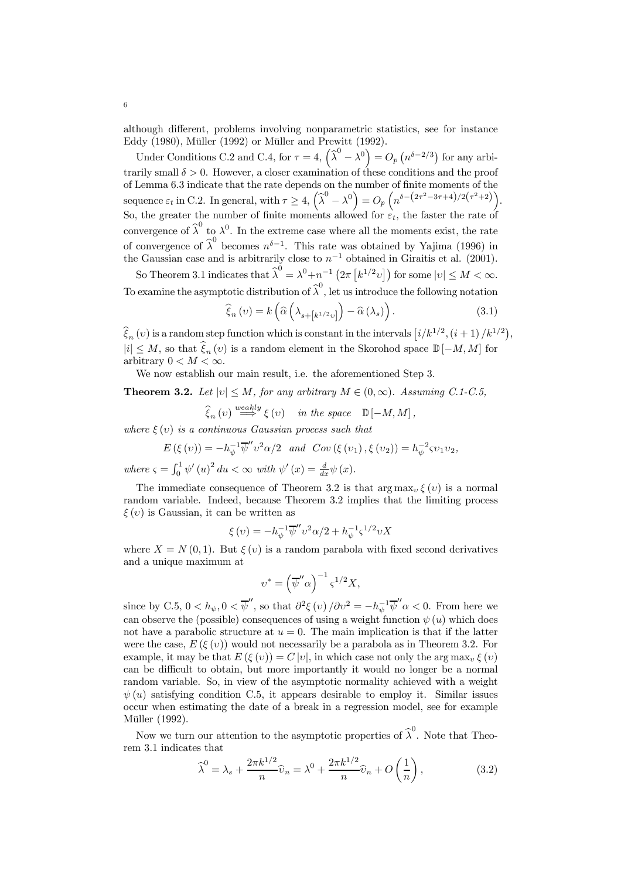although different, problems involving nonparametric statistics, see for instance Eddy (1980), Müller (1992) or Müller and Prewitt (1992).

Under Conditions C.2 and C.4, for  $\tau = 4$ ,  $(\hat{\lambda}^0 - \lambda^0) = O_p(n^{\delta - 2/3})$  for any arbitrarily small  $\delta > 0$ . However, a closer examination of these conditions and the proof of Lemma 6.3 indicate that the rate depends on the number of finite moments of the sequence  $\varepsilon_t$  in C.2. In general, with  $\tau \geq 4$ ,  $(\widehat{\lambda}^0 - \lambda^0) = O_p\left(n^{\delta - (2\tau^2 - 3\tau + 4)/2(\tau^2 + 2)}\right)$ . So, the greater the number of finite moments allowed for  $\varepsilon_t$ , the faster the rate of convergence of  $\hat{\lambda}^0$  to  $\lambda^0$ . In the extreme case where all the moments exist, the rate of convergence of  $\widehat{\lambda}^0$  becomes  $n^{\delta-1}$ . This rate was obtained by Yajima (1996) in the Gaussian case and is arbitrarily close to  $n^{-1}$  obtained in Giraitis et al. (2001).

So Theorem 3.1 indicates that  $\widehat{\lambda}^0 = \lambda^0 + n^{-1} \left( 2\pi \left[ k^{1/2} v \right] \right)$  for some  $|v| \le M < \infty$ . To examine the asymptotic distribution of  $\widehat{\lambda}^0$ , let us introduce the following notation

$$
\widehat{\xi}_{n}(v) = k\left(\widehat{\alpha}\left(\lambda_{s+\left[k^{1/2}v\right]}\right) - \widehat{\alpha}\left(\lambda_{s}\right)\right). \tag{3.1}
$$

 $\widehat{\xi}_n(v)$  is a random step function which is constant in the intervals  $[i/k^{1/2}, (i+1)/k^{1/2}],$  $|i| \leq M$ , so that  $\widehat{\xi}_n (v)$  is a random element in the Skorohod space  $\mathbb{D} [-M, M]$  for arbitrary  $0 < M < \infty$ .

We now establish our main result, i.e. the aforementioned Step 3.

**Theorem 3.2.** Let  $|v| \leq M$ , for any arbitrary  $M \in (0, \infty)$ . Assuming C.1-C.5,

$$
\widehat{\xi}_n(v) \stackrel{weakly}{\Longrightarrow} \xi(v) \quad in \ the \ space \quad \mathbb{D}[-M,M],
$$

where  $\xi(v)$  is a continuous Gaussian process such that

$$
E(\xi(v)) = -h_{\psi}^{-1} \overline{\psi''} v^2 \alpha/2 \quad \text{and} \quad Cov(\xi(v_1), \xi(v_2)) = h_{\psi}^{-2} \varsigma v_1 v_2,
$$
  
where  $\varsigma = \int_0^1 \psi'(u)^2 du < \infty$  with  $\psi'(x) = \frac{d}{dx} \psi(x)$ .

The immediate consequence of Theorem 3.2 is that arg max,  $\xi(v)$  is a normal random variable. Indeed, because Theorem 3.2 implies that the limiting process  $\xi(v)$  is Gaussian, it can be written as

$$
\xi(v) = -h_{\psi}^{-1} \overline{\psi''} v^2 \alpha/2 + h_{\psi}^{-1} \varsigma^{1/2} v X
$$

where  $X = N(0, 1)$ . But  $\xi(v)$  is a random parabola with fixed second derivatives and a unique maximum at

$$
v^* = \left(\overline{\psi}''\alpha\right)^{-1} \zeta^{1/2} X,
$$

since by C.5,  $0 < h_{\psi}, 0 < \overline{\psi}'$ , so that  $\partial^2 \xi(v) / \partial v^2 = -h_{\psi}^{-1} \overline{\psi}'' \alpha < 0$ . From here we can observe the (possible) consequences of using a weight function  $\psi(u)$  which does not have a parabolic structure at  $u = 0$ . The main implication is that if the latter were the case,  $E(\xi(v))$  would not necessarily be a parabola as in Theorem 3.2. For example, it may be that  $E(\xi(v)) = C|v|$ , in which case not only the  $\arg \max_{v} \xi(v)$ can be difficult to obtain, but more importantly it would no longer be a normal random variable. So, in view of the asymptotic normality achieved with a weight  $\psi(u)$  satisfying condition C.5, it appears desirable to employ it. Similar issues occur when estimating the date of a break in a regression model, see for example Müller (1992).

Now we turn our attention to the asymptotic properties of  $\widehat{\lambda}^0$ . Note that Theorem 3.1 indicates that

$$
\widehat{\lambda}^0 = \lambda_s + \frac{2\pi k^{1/2}}{n} \widehat{v}_n = \lambda^0 + \frac{2\pi k^{1/2}}{n} \widehat{v}_n + O\left(\frac{1}{n}\right),\tag{3.2}
$$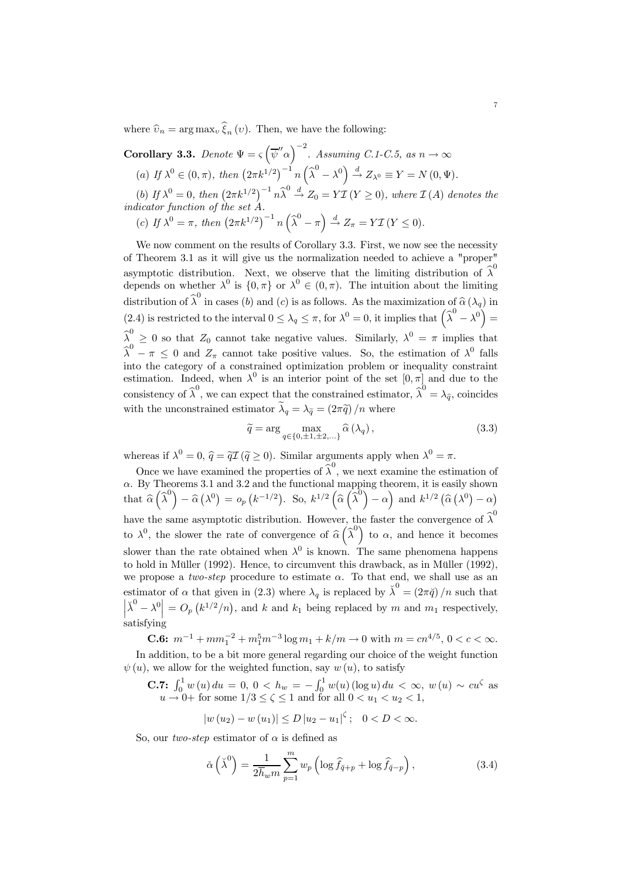where  $\hat{v}_n = \arg \max_v \hat{\xi}_n (v)$ . Then, we have the following:

**Corollary 3.3.** Denote  $\Psi = \varsigma \left( \overline{\psi}'' \alpha \right)^{-2}$ . Assuming C.1-C.5, as  $n \to \infty$ (a) If  $\lambda^0 \in (0, \pi)$ , then  $(2\pi k^{1/2})^{-1} n(\hat{\lambda}^0 - \lambda^0) \stackrel{d}{\rightarrow} Z_{\lambda^0} \equiv Y = N(0, \Psi)$ .

(b) If  $\lambda^0 = 0$ , then  $(2\pi k^{1/2})^{-1} n \widehat{\lambda}^0 \stackrel{d}{\rightarrow} Z_0 = Y \mathcal{I} (Y \ge 0)$ , where  $\mathcal{I} (A)$  denotes the indicator function of the set A.

(c) If  $\lambda^0 = \pi$ , then  $(2\pi k^{1/2})^{-1} n \left(\widehat{\lambda}^0 - \pi\right) \stackrel{d}{\rightarrow} Z_{\pi} = Y \mathcal{I} (Y \le 0).$ 

We now comment on the results of Corollary 3.3. First, we now see the necessity of Theorem 3.1 as it will give us the normalization needed to achieve a "proper" asymptotic distribution. Next, we observe that the limiting distribution of  $\hat{\lambda}^0$ depends on whether  $\lambda^0$  is  $\{0, \pi\}$  or  $\lambda^0 \in (0, \pi)$ . The intuition about the limiting distribution of  $\widehat{\lambda}^0$  in cases (b) and (c) is as follows. As the maximization of  $\widehat{\alpha}(\lambda_q)$  in (2.4) is restricted to the interval  $0 \leq \lambda_q \leq \pi$ , for  $\lambda^0 = 0$ , it implies that  $(\hat{\lambda}^0 - \lambda^0) =$  $\widehat{\lambda}^0 \geq 0$  so that  $Z_0$  cannot take negative values. Similarly,  $\lambda^0 = \pi$  implies that  $\widehat{\lambda}^0 - \pi \leq 0$  and  $Z_{\pi}$  cannot take positive values. So, the estimation of  $\lambda^0$  falls into the category of a constrained optimization problem or inequality constraint estimation. Indeed, when  $\lambda^0$  is an interior point of the set  $[0, \pi]$  and due to the consistency of  $\widehat{\lambda}^0$ , we can expect that the constrained estimator,  $\widehat{\lambda}^0 = \lambda_{\widehat{q}}$ , coincides with the unconstrained estimator  $\tilde{\lambda}_q = \lambda_{\tilde{q}} = (2\pi \tilde{q})/n$  where

$$
\widetilde{q} = \arg\max_{q \in \{0, \pm 1, \pm 2, \ldots\}} \widehat{\alpha}(\lambda_q),\tag{3.3}
$$

whereas if  $\lambda^0 = 0$ ,  $\hat{q} = \tilde{qI}$  ( $\tilde{q} \geq 0$ ). Similar arguments apply when  $\lambda^0 = \pi$ .

Once we have examined the properties of  $\widehat{\lambda}^0$ , we next examine the estimation of  $\alpha$ . By Theorems 3.1 and 3.2 and the functional mapping theorem, it is easily shown that  $\widehat{\alpha}\left(\widehat{\lambda}^{0}\right)-\widehat{\alpha}\left(\lambda^{0}\right)=o_{p}\left(k^{-1/2}\right)$ . So,  $k^{1/2}\left(\widehat{\alpha}\left(\widehat{\lambda}^{0}\right)-\alpha\right)$  and  $k^{1/2}\left(\widehat{\alpha}\left(\lambda^{0}\right)-\alpha\right)$ have the same asymptotic distribution. However, the faster the convergence of  $\widehat{\boldsymbol{\lambda}}^0$ to  $\lambda^0$ , the slower the rate of convergence of  $\hat{\alpha}(\hat{\lambda}^0)$  to  $\alpha$ , and hence it becomes slower than the rate obtained when  $\lambda^0$  is known. The same phenomena happens to hold in Müller (1992). Hence, to circumvent this drawback, as in Müller (1992), we propose a two-step procedure to estimate  $\alpha$ . To that end, we shall use as an estimator of  $\alpha$  that given in (2.3) where  $\lambda_q$  is replaced by  $\check{\lambda}^0 = (2\pi \check{q})/n$  such that  $\left|\tilde{\lambda}^0 - \lambda^0\right| = O_p\left(k^{1/2}/n\right)$ , and k and  $k_1$  being replaced by m and  $m_1$  respectively, satisfying

**C.6:**  $m^{-1} + mm_1^{-2} + m_1^5 m^{-3} \log m_1 + k/m \to 0$  with  $m = cn^{4/5}, 0 < c < \infty$ . In addition, to be a bit more general regarding our choice of the weight function  $\psi(u)$ , we allow for the weighted function, say  $w(u)$ , to satisfy

**C.7:** 
$$
\int_0^1 w(u) du = 0, 0 < h_w = -\int_0^1 w(u) (\log u) du < \infty, w(u) \sim cu^{\zeta}
$$
 as  $u \to 0+$  for some  $1/3 \le \zeta \le 1$  and for all  $0 < u_1 < u_2 < 1$ ,

$$
|w(u_2) - w(u_1)| \le D |u_2 - u_1|^\zeta
$$
; 0 < D <  $\infty$ .

So, our *two-step* estimator of  $\alpha$  is defined as

$$
\check{\alpha}\left(\check{\lambda}^0\right) = \frac{1}{2\overline{h}_w m} \sum_{p=1}^m w_p \left(\log \widehat{f}_{\check{q}+p} + \log \widehat{f}_{\check{q}-p}\right),\tag{3.4}
$$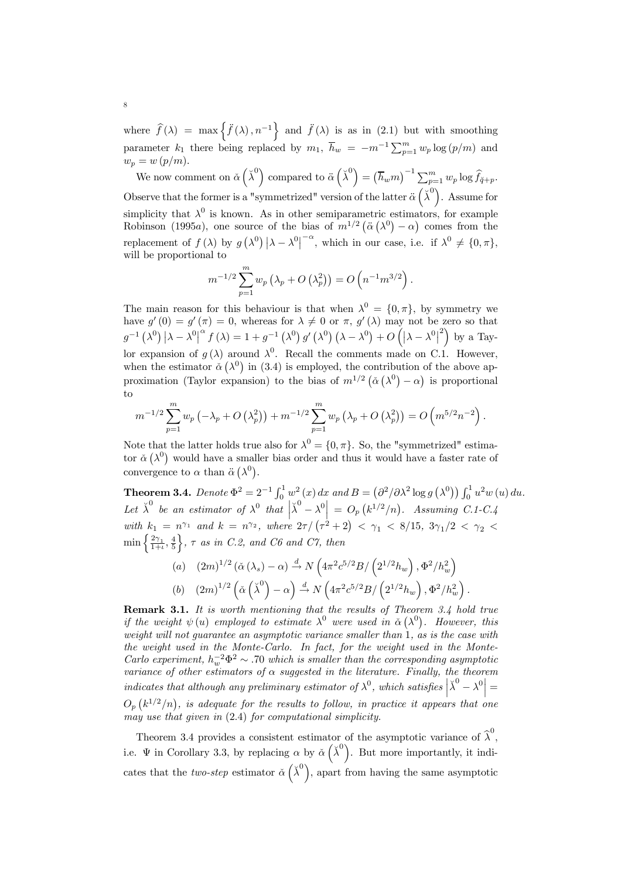where  $\hat{f}(\lambda) = \max \left\{ \ddot{f}(\lambda), n^{-1} \right\}$  and  $\ddot{f}(\lambda)$  is as in (2.1) but with smoothing parameter  $k_1$  there being replaced by  $m_1$ ,  $\overline{h}_w = -m^{-1} \sum_{p=1}^m w_p \log (p/m)$  and  $w_p = w (p/m).$ 

We now comment on  $\check{\alpha}(\check{\lambda}^0)$  compared to  $\ddot{\alpha}(\check{\lambda}^0) = (\overline{h}_wm)^{-1} \sum_{p=1}^m w_p \log \widehat{f}_{\check{q}+p}$ . Observe that the former is a "symmetrized" version of the latter  $\ddot{\alpha}(\breve{\lambda}^0)$ . Assume for simplicity that  $\lambda^0$  is known. As in other semiparametric estimators, for example Robinson (1995a), one source of the bias of  $m^{1/2} (\ddot{\alpha} (\lambda^0) - \alpha)$  comes from the replacement of  $f(\lambda)$  by  $g(\lambda^0)|\lambda-\lambda^0|^{-\alpha}$ , which in our case, i.e. if  $\lambda^0 \neq \{0,\pi\}$ , will be proportional to

$$
m^{-1/2} \sum_{p=1}^{m} w_p \left( \lambda_p + O\left( \lambda_p^2 \right) \right) = O\left( n^{-1} m^{3/2} \right).
$$

The main reason for this behaviour is that when  $\lambda^0 = \{0, \pi\}$ , by symmetry we have  $g'(0) = g'(\pi) = 0$ , whereas for  $\lambda \neq 0$  or  $\pi$ ,  $g'(\lambda)$  may not be zero so that  $g^{-1}(\lambda^0) |\lambda - \lambda^0|^{\alpha} f(\lambda) = 1 + g^{-1}(\lambda^0) g'(\lambda^0) (\lambda - \lambda^0) + O(|\lambda - \lambda^0|^2)$  by a Taylor expansion of  $q(\lambda)$  around  $\lambda^0$ . Recall the comments made on C.1. However, when the estimator  $\check{\alpha}(\lambda^0)$  in (3.4) is employed, the contribution of the above approximation (Taylor expansion) to the bias of  $m^{1/2} (\check{\alpha} (\lambda^0) - \alpha)$  is proportional to

$$
m^{-1/2} \sum_{p=1}^{m} w_p \left( -\lambda_p + O\left( \lambda_p^2 \right) \right) + m^{-1/2} \sum_{p=1}^{m} w_p \left( \lambda_p + O\left( \lambda_p^2 \right) \right) = O\left( m^{5/2} n^{-2} \right).
$$

Note that the latter holds true also for  $\lambda^0 = \{0, \pi\}$ . So, the "symmetrized" estimator  $\check{\alpha}(\lambda^0)$  would have a smaller bias order and thus it would have a faster rate of convergence to  $\alpha$  than  $\ddot{\alpha}$  ( $\lambda^0$ ).

**Theorem 3.4.** Denote  $\Phi^2 = 2^{-1} \int_0^1 w^2(x) dx$  and  $B = (\partial^2/\partial \lambda^2 \log g(\lambda^0)) \int_0^1 u^2 w(u) du$ . Let  $\breve{\lambda}^0$  be an estimator of  $\lambda^0$  that  $\left|\breve{\lambda}^0 - \lambda^0\right| = O_p(k^{1/2}/n)$ . Assuming C.1-C.4 with  $k_1 = n^{\gamma_1}$  and  $k = n^{\gamma_2}$ , where  $2\tau / (\tau^2 + 2) < \gamma_1 < 8/15$ ,  $3\gamma_1/2 < \gamma_2 <$  $\min\left\{\frac{2\gamma_1}{1+\iota},\frac{4}{5}\right\}$  $\}, \tau$  as in C.2, and C6 and C7, then

(a) 
$$
(2m)^{1/2} (\check{\alpha}(\lambda_s) - \alpha) \stackrel{d}{\rightarrow} N\left(4\pi^2 c^{5/2} B/\left(2^{1/2} h_w\right), \Phi^2/h_w^2\right)
$$
  
\n(b)  $(2m)^{1/2} (\check{\alpha}(\check{\lambda}^0) - \alpha) \stackrel{d}{\rightarrow} N\left(4\pi^2 c^{5/2} B/\left(2^{1/2} h_w\right), \Phi^2/h_w^2\right).$ 

Remark 3.1. It is worth mentioning that the results of Theorem 3.4 hold true if the weight  $\psi(u)$  employed to estimate  $\lambda^0$  were used in  $\check{\alpha}(\lambda^0)$ . However, this weight will not quarantee an asymptotic variance smaller than  $\hat{1}$ , as is the case with the weight used in the Monte-Carlo. In fact, for the weight used in the Monte-Carlo experiment,  $h_w^{-2} \Phi^2 \sim .70$  which is smaller than the corresponding asymptotic variance of other estimators of  $\alpha$  suggested in the literature. Finally, the theorem indicates that although any preliminary estimator of  $\lambda^0$ , which satisfies  $\left| \tilde{\lambda}^0 - \lambda^0 \right| =$  $O_p(k^{1/2}/n)$ , is adequate for the results to follow, in practice it appears that one may use that given in (2.4) for computational simplicity.

Theorem 3.4 provides a consistent estimator of the asymptotic variance of  $\hat{\lambda}^0$ , i.e.  $\Psi$  in Corollary 3.3, by replacing  $\alpha$  by  $\check{\alpha}(\check{\lambda}^0)$ . But more importantly, it indicates that the two-step estimator  $\check{\alpha}$   $(\check{\lambda}^0)$ , apart from having the same asymptotic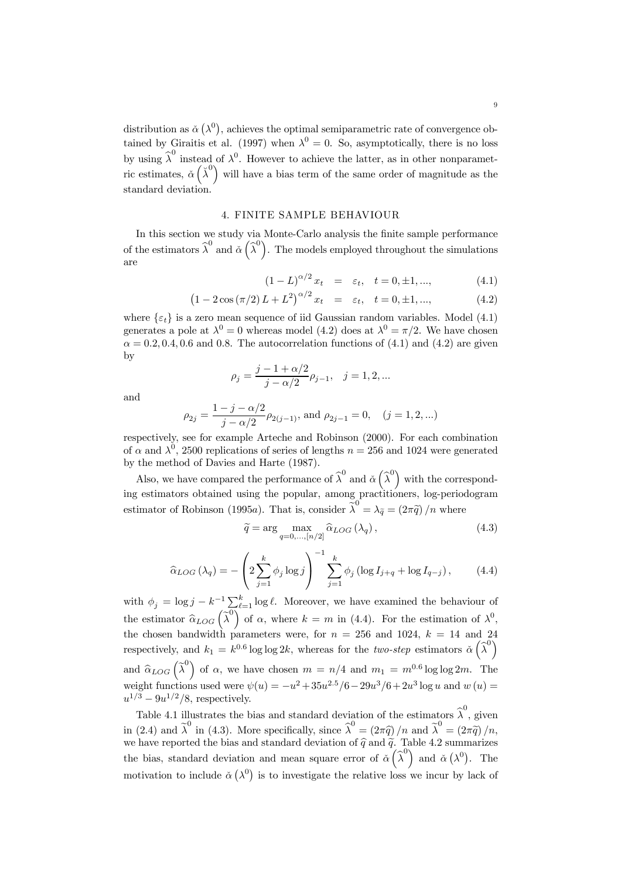distribution as  $\check{\alpha}(\lambda^0)$ , achieves the optimal semiparametric rate of convergence obtained by Giraitis et al. (1997) when  $\lambda^0 = 0$ . So, asymptotically, there is no loss by using  $\hat{\lambda}^0$  instead of  $\lambda^0$ . However to achieve the latter, as in other nonparametric estimates,  $\check{\alpha}(\check{\lambda}^0)$  will have a bias term of the same order of magnitude as the standard deviation.

#### 4. FINITE SAMPLE BEHAVIOUR

In this section we study via Monte-Carlo analysis the finite sample performance of the estimators  $\hat{\lambda}^0$  and  $\check{\alpha}(\hat{\lambda}^0)$ . The models employed throughout the simulations are

$$
(1 - L)^{\alpha/2} x_t = \varepsilon_t, \quad t = 0, \pm 1, ..., \tag{4.1}
$$

$$
(1 - 2\cos(\pi/2) L + L^2)^{\alpha/2} x_t = \varepsilon_t, \quad t = 0, \pm 1, ..., \tag{4.2}
$$

where  $\{\varepsilon_t\}$  is a zero mean sequence of iid Gaussian random variables. Model (4.1) generates a pole at  $\lambda^0 = 0$  whereas model (4.2) does at  $\lambda^0 = \pi/2$ . We have chosen  $\alpha = 0.2, 0.4, 0.6$  and 0.8. The autocorrelation functions of (4.1) and (4.2) are given by

$$
\rho_j = \frac{j - 1 + \alpha/2}{j - \alpha/2} \rho_{j-1}, \quad j = 1, 2, ...
$$

and

$$
\rho_{2j} = \frac{1 - j - \alpha/2}{j - \alpha/2} \rho_{2(j-1)}, \text{ and } \rho_{2j-1} = 0, \quad (j = 1, 2, ...)
$$

respectively, see for example Arteche and Robinson (2000). For each combination of  $\alpha$  and  $\lambda^0$ , 2500 replications of series of lengths  $n = 256$  and 1024 were generated by the method of Davies and Harte (1987).

Also, we have compared the performance of  $\widehat{\lambda}^0$  and  $\widehat{\alpha}(\widehat{\lambda}^0)$  with the corresponding estimators obtained using the popular, among practitioners, log-periodogram estimator of Robinson (1995a). That is, consider  $\tilde{\lambda}^0 = \lambda_{\tilde{q}} = (2\pi \tilde{q})/n$  where

$$
\widetilde{q} = \arg \max_{q=0,\dots,[n/2]} \widehat{\alpha}_{LOG} \left( \lambda_q \right), \tag{4.3}
$$

$$
\hat{\alpha}_{LOG}(\lambda_q) = -\left(2\sum_{j=1}^k \phi_j \log j\right)^{-1} \sum_{j=1}^k \phi_j \left(\log I_{j+q} + \log I_{q-j}\right),\tag{4.4}
$$

with  $\phi_j = \log j - k^{-1} \sum_{k=1}^k \log \ell$ . Moreover, we have examined the behaviour of the estimator  $\hat{\alpha}_{LOG}(\tilde{\lambda}^0)$  of  $\alpha$ , where  $k = m$  in (4.4). For the estimation of  $\lambda^0$ , the chosen bandwidth parameters were, for  $n = 256$  and 1024,  $k = 14$  and 24 respectively, and  $k_1 = k^{0.6} \log \log 2k$ , whereas for the *two-step* estimators  $\check{\alpha}$   $\left(\hat{\lambda}^0\right)$ and  $\hat{\alpha}_{LOG}(\tilde{\lambda}^0)$  of  $\alpha$ , we have chosen  $m = n/4$  and  $m_1 = m^{0.6} \log \log 2m$ . The weight functions used were  $\psi(u) = -u^2 + 35u^{2.5}/6 - 29u^3/6 + 2u^3 \log u$  and  $w(u) =$  $u^{1/3} - 9u^{1/2}/8$ , respectively.

Table 4.1 illustrates the bias and standard deviation of the estimators  $\hat{\lambda}^0$ , given in (2.4) and  $\tilde{\lambda}^0$  in (4.3). More specifically, since  $\tilde{\lambda}^0 = (2\pi \tilde{q})/n$  and  $\tilde{\lambda}^0 = (2\pi \tilde{q})/n$ , we have reported the bias and standard deviation of  $\hat{q}$  and  $\tilde{q}$ . Table 4.2 summarizes the bias, standard deviation and mean square error of  $\check{\alpha}(\hat{\lambda}^0)$  and  $\check{\alpha}(\lambda^0)$ . The motivation to include  $\check{\alpha}(\lambda^0)$  is to investigate the relative loss we incur by lack of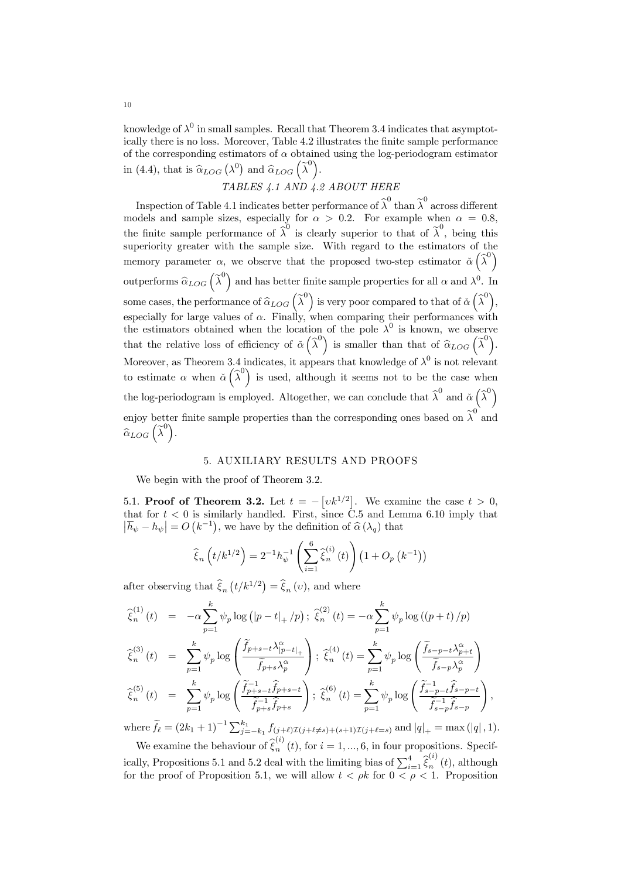knowledge of  $\lambda^0$  in small samples. Recall that Theorem 3.4 indicates that asymptotically there is no loss. Moreover, Table 4.2 illustrates the finite sample performance of the corresponding estimators of  $\alpha$  obtained using the log-periodogram estimator in (4.4), that is  $\hat{\alpha}_{LOG}(\lambda^0)$  and  $\hat{\alpha}_{LOG}(\tilde{\lambda}^0)$ .

TABLES 4.1 AND 4.2 ABOUT HERE

Inspection of Table 4.1 indicates better performance of  $\widehat{\lambda}^0$  than  $\widehat{\lambda}^0$  across different models and sample sizes, especially for  $\alpha > 0.2$ . For example when  $\alpha = 0.8$ , the finite sample performance of  $\hat{\lambda}^0$  is clearly superior to that of  $\hat{\lambda}^0$ , being this superiority greater with the sample size. With regard to the estimators of the memory parameter  $\alpha$ , we observe that the proposed two-step estimator  $\check{\alpha}(\hat{\lambda}^0)$ outperforms  $\widehat{\alpha}_{LOG}$   $(\widehat{\lambda}^0)$  and has better finite sample properties for all  $\alpha$  and  $\lambda^0$ . In some cases, the performance of  $\widehat{\alpha}_{LOG} \left( \widehat{\lambda}^0 \right)$  is very poor compared to that of  $\widehat{\alpha} \left( \widehat{\lambda}^0 \right)$ , especially for large values of  $\alpha$ . Finally, when comparing their performances with the estimators obtained when the location of the pole  $\lambda^0$  is known, we observe that the relative loss of efficiency of  $\tilde{\alpha}$   $\left(\hat{\lambda}^0\right)$  is smaller than that of  $\hat{\alpha}_{LOG}$   $\left(\hat{\lambda}^0\right)$ . Moreover, as Theorem 3.4 indicates, it appears that knowledge of  $\lambda^0$  is not relevant to estimate  $\alpha$  when  $\check{\alpha}$  ( $\hat{\lambda}^0$ ) is used, although it seems not to be the case when the log-periodogram is employed. Altogether, we can conclude that  $\hat{\lambda}^0$  and  $\check{\alpha}(\hat{\lambda}^0)$ enjoy better finite sample properties than the corresponding ones based on  $\tilde{\lambda}^0$  and  $\widehat{\alpha}_{LOG}\left(\widetilde{\lambda}^0\right)$ .

#### 5. AUXILIARY RESULTS AND PROOFS

We begin with the proof of Theorem 3.2.

5.1. **Proof of Theorem 3.2.** Let  $t = -\left[vk^{1/2}\right]$ . We examine the case  $t > 0$ , that for  $t < 0$  is similarly handled. First, since C.5 and Lemma 6.10 imply that  $|\overline{h}_{\psi} - h_{\psi}| = O(k^{-1}),$  we have by the definition of  $\widehat{\alpha}(\lambda_q)$  that

$$
\widehat{\xi}_n\left(t/k^{1/2}\right) = 2^{-1}h_{\psi}^{-1}\left(\sum_{i=1}^6 \widehat{\xi}_n^{(i)}(t)\right)\left(1 + O_p\left(k^{-1}\right)\right)
$$

after observing that  $\widehat{\xi}_n(t/k^{1/2}) = \widehat{\xi}_n(v)$ , and where

$$
\begin{array}{rcl}\n\widehat{\xi}_{n}^{(1)}(t) & = & -\alpha \sum_{p=1}^{k} \psi_{p} \log \left( |p-t|_{+} / p \right); \\
\widehat{\xi}_{n}^{(2)}(t) & = & -\alpha \sum_{p=1}^{k} \psi_{p} \log \left( \left( p+t \right) / p \right) \\
\widehat{\xi}_{n}^{(3)}(t) & = & \sum_{p=1}^{k} \psi_{p} \log \left( \frac{\widetilde{f}_{p+s-t} \lambda_{|p-t|_{+}}^{\alpha}}{\widetilde{f}_{p+s} \lambda_{p}^{\alpha}} \right); \\
\widehat{\xi}_{n}^{(4)}(t) & = & \sum_{p=1}^{k} \psi_{p} \log \left( \frac{\widetilde{f}_{s-p-t} \lambda_{p+t}^{\alpha}}{\widetilde{f}_{s-p} \lambda_{p}^{\alpha}} \right) \\
\widehat{\xi}_{n}^{(5)}(t) & = & \sum_{p=1}^{k} \psi_{p} \log \left( \frac{\widetilde{f}_{p+s-t} - \widehat{f}_{p+s-t}}{\widetilde{f}_{p+s} - \widehat{f}_{p+s}} \right); \\
\widehat{\xi}_{n}^{(6)}(t) & = & \sum_{p=1}^{k} \psi_{p} \log \left( \frac{\widetilde{f}_{s-p-t} - \widehat{f}_{s-p-t}}{\widetilde{f}_{s-p} - \widehat{f}_{s-p}} \right)\n\end{array}
$$

where  $\tilde{f}_\ell = (2k_1 + 1)^{-1} \sum_{j=-k_1}^{k_1} f_{(j+\ell)Z(j+\ell \neq s)+(s+1)Z(j+\ell=s)}$  and  $|q|_+ = \max(|q|, 1)$ .

,

We examine the behaviour of  $\hat{\xi}_n^{(i)}(t)$ , for  $i = 1, ..., 6$ , in four propositions. Specifically, Propositions 5.1 and 5.2 deal with the limiting bias of  $\sum_{i=1}^{4} \hat{\xi}_n^{(i)}(t)$ , although for the proof of Proposition 5.1, we will allow  $t < \rho k$  for  $0 < \rho < 1$ . Proposition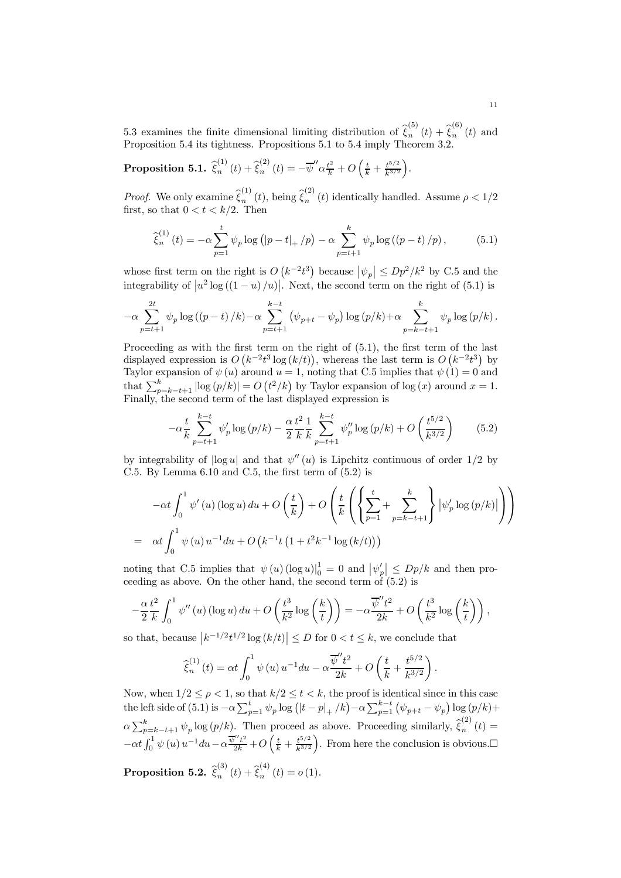5.3 examines the finite dimensional limiting distribution of  $\hat{\xi}_n^{(5)}(t) + \hat{\xi}_n^{(6)}(t)$  and Proposition 5.4 its tightness. Propositions 5.1 to 5.4 imply Theorem 3.2.

 $\textbf{Proposition 5.1.} \ \widehat{\xi}_n^{(1)}\left(t\right) + \widehat{\xi}_n^{(2)}\left(t\right) = -\overline{\psi}^{\prime\prime}\alpha \tfrac{t^2}{k} + O\left(\tfrac{t}{k} + \tfrac{t^{5/2}}{k^{3/2}}\right).$ 

*Proof.* We only examine  $\hat{\xi}_n^{(1)}(t)$ , being  $\hat{\xi}_n^{(2)}(t)$  identically handled. Assume  $\rho < 1/2$ first, so that  $0 < t < k/2$ . Then

$$
\widehat{\xi}_{n}^{(1)}(t) = -\alpha \sum_{p=1}^{t} \psi_{p} \log (|p-t|_{+}/p) - \alpha \sum_{p=t+1}^{k} \psi_{p} \log ((p-t)/p), \quad (5.1)
$$

whose first term on the right is  $O(k^{-2}t^3)$  because  $|\psi_p| \leq Dp^2/k^2$  by C.5 and the integrability of  $|u^2 \log((1-u)/u)|$ . Next, the second term on the right of (5.1) is

$$
-\alpha \sum_{p=t+1}^{2t} \psi_p \log \left( \left( p-t \right) / k \right) - \alpha \sum_{p=t+1}^{k-t} \left( \psi_{p+t} - \psi_p \right) \log \left( p/k \right) + \alpha \sum_{p=k-t+1}^{k} \psi_p \log \left( p/k \right).
$$

Proceeding as with the first term on the right of  $(5.1)$ , the first term of the last displayed expression is  $O(k^{-2}t^3 \log(k/t))$ , whereas the last term is  $O(k^{-2}t^3)$  by Taylor expansion of  $\psi(u)$  around  $u = 1$ , noting that C.5 implies that  $\psi(\dot{1}) = 0$  and that  $\sum_{p=k-t+1}^{k} |\log (p/k)| = O(t^2/k)$  by Taylor expansion of log  $(x)$  around  $x = 1$ . Finally, the second term of the last displayed expression is

$$
-\alpha \frac{t}{k} \sum_{p=t+1}^{k-t} \psi_p' \log (p/k) - \frac{\alpha}{2} \frac{t^2}{k} \frac{1}{k} \sum_{p=t+1}^{k-t} \psi_p'' \log (p/k) + O\left(\frac{t^{5/2}}{k^{3/2}}\right)
$$
(5.2)

by integrability of  $|\log u|$  and that  $\psi''(u)$  is Lipchitz continuous of order 1/2 by C.5. By Lemma 6.10 and C.5, the first term of (5.2) is

$$
-\alpha t \int_0^1 \psi'(u) (\log u) du + O\left(\frac{t}{k}\right) + O\left(\frac{t}{k} \left(\left{\sum_{p=1}^t + \sum_{p=k-t+1}^k} \psi'(p) \log (p/k)\right| \right)\right)
$$
  
=  $\alpha t \int_0^1 \psi(u) u^{-1} du + O\left(k^{-1} t \left(1 + t^2 k^{-1} \log (k/t)\right)\right)$ 

noting that C.5 implies that  $\psi(u) (\log u)|_0^1 = 0$  and  $|\psi_p'|\leq \text{D}p/k$  and then proceeding as above. On the other hand, the second term of (5.2) is

$$
-\frac{\alpha}{2}\frac{t^2}{k}\int_0^1\psi''(u)\left(\log u\right)du+O\left(\frac{t^3}{k^2}\log\left(\frac{k}{t}\right)\right)=-\alpha\frac{\overline{\psi}''t^2}{2k}+O\left(\frac{t^3}{k^2}\log\left(\frac{k}{t}\right)\right),
$$

so that, because  $|k^{-1/2}t^{1/2}\log(k/t)| \le D$  for  $0 < t \le k$ , we conclude that

$$
\widehat{\xi}_n^{(1)}(t) = \alpha t \int_0^1 \psi(u) u^{-1} du - \alpha \frac{\overline{\psi}'' t^2}{2k} + O\left(\frac{t}{k} + \frac{t^{5/2}}{k^{3/2}}\right).
$$

Now, when  $1/2 \leq \rho < 1$ , so that  $k/2 \leq t < k$ , the proof is identical since in this case the left side of (5.1) is  $-\alpha \sum_{p=1}^{t} \psi_p \log (|t-p|_+ / k) - \alpha \sum_{p=1}^{k-t} (\psi_{p+t} - \psi_p) \log (p/k) +$  $\alpha \sum_{p=k-t+1}^{k} \psi_p \log (p/k)$ . Then proceed as above. Proceeding similarly,  $\hat{\xi}_n^{(2)}(t) =$  $-\alpha t \int_0^1 \psi(u) u^{-1} du - \alpha \frac{\overline{\psi''} t^2}{2k} + O\left(\frac{t}{k} + \frac{t^{5/2}}{k^{3/2}}\right)$ . From here the conclusion is obvious. Proposition 5.2.  $\widehat{\xi}_n^{(3)}\left(t\right) + \widehat{\xi}_n^{(4)}\left(t\right) = o\left(1\right).$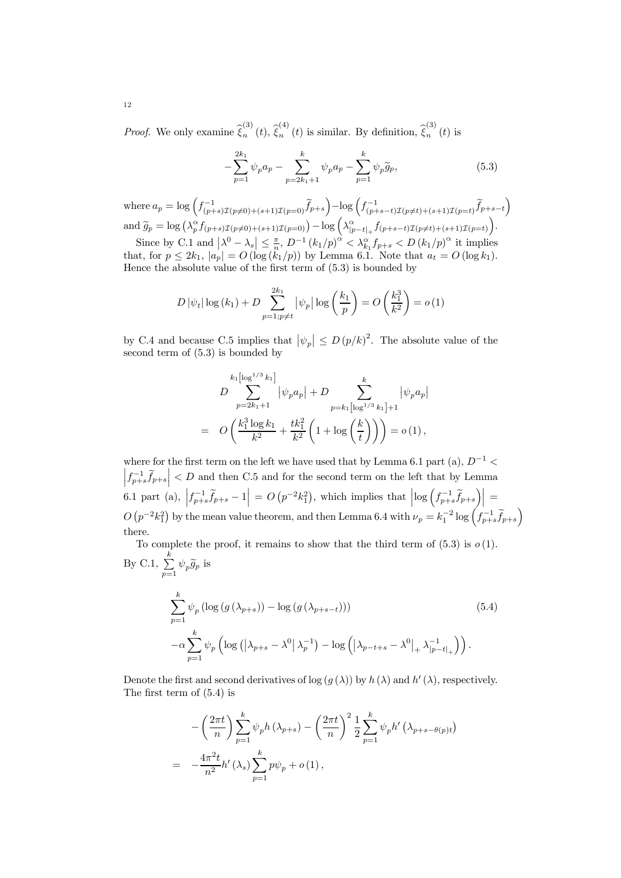*Proof.* We only examine  $\hat{\xi}_n^{(3)}(t)$ ,  $\hat{\xi}_n^{(4)}(t)$  is similar. By definition,  $\hat{\xi}_n^{(3)}(t)$  is

$$
-\sum_{p=1}^{2k_1} \psi_p a_p - \sum_{p=2k_1+1}^k \psi_p a_p - \sum_{p=1}^k \psi_p \widetilde{g}_p, \tag{5.3}
$$

where  $a_p = \log \left( f_{(p+s)\mathcal{I}(p\neq 0)+(s+1)\mathcal{I}(p=0)}^{-1} \widetilde{f}_{p+s} \right) - \log \left( f_{(p+s-t)\mathcal{I}(p\neq t)+(s+1)\mathcal{I}(p=t)}^{-1} \widetilde{f}_{p+s-t} \right)$ and  $\widetilde{g}_p = \log \left( \lambda_p^{\alpha} f_{(p+s)\mathcal{I}(p \neq 0)+(s+1)\mathcal{I}(p=0)} \right) - \log \left( \lambda_{|p-t|_+}^{\alpha} f_{(p+s-t)\mathcal{I}(p \neq t)+(s+1)\mathcal{I}(p=t)} \right)$ .

Since by C.1 and  $\left|\lambda^0 - \lambda_s\right| \leq \frac{\pi}{n}$ ,  $D^{-1} (k_1/p)^{\alpha} < \lambda_{k_1}^{\alpha} f_{p+s} < D (k_1/p)^{\alpha}$  it implies that, for  $p \leq 2k_1$ ,  $|a_p| = O(\log (k_1/p))$  by Lemma 6.1. Note that  $a_t = O(\log k_1)$ . Hence the absolute value of the first term of (5.3) is bounded by

$$
D |\psi_t| \log (k_1) + D \sum_{p=1; p \neq t}^{2k_1} |\psi_p| \log \left(\frac{k_1}{p}\right) = O\left(\frac{k_1^3}{k^2}\right) = o(1)
$$

by C.4 and because C.5 implies that  $|\psi_p| \le D (p/k)^2$ . The absolute value of the second term of (5.3) is bounded by

$$
D \sum_{p=2k_1+1}^{k_1[\log^{1/3} k_1]} |\psi_p a_p| + D \sum_{p=k_1[\log^{1/3} k_1]+1}^{k} |\psi_p a_p|
$$
  
=  $O\left(\frac{k_1^3 \log k_1}{k^2} + \frac{tk_1^2}{k^2} \left(1 + \log\left(\frac{k}{t}\right)\right)\right) = o(1),$ 

 $\left|f_{p+s}^{-1}\tilde{f}_{p+s}\right|$  < D and then C.5 and for the second term on the left that by Lemma where for the first term on the left we have used that by Lemma 6.1 part (a),  $D^{-1}$  < 6.1 part (a),  $\left|f_{p+s}^{-1}\tilde{f}_{p+s}-1\right| = O\left(p^{-2}k_1^2\right)$ , which implies that  $\left|\log\left(f_{p+s}^{-1}\tilde{f}_{p+s}\right)\right| =$  $O(p^{-2}k_1^2)$  by the mean value theorem, and then Lemma 6.4 with  $\nu_p = k_1^{-2} \log \left(f_{p+s}^{-1} \widetilde{f}_{p+s}\right)$ there.

To complete the proof, it remains to show that the third term of  $(5.3)$  is  $o(1)$ . By C.1,  $\sum_{k=1}^{k}$  $\sum\limits_{p=1} \psi_p \widetilde{g}_p$  is

$$
\sum_{p=1}^{k} \psi_p \left( \log \left( g \left( \lambda_{p+s} \right) \right) - \log \left( g \left( \lambda_{p+s-t} \right) \right) \right) \tag{5.4}
$$
\n
$$
- \alpha \sum_{p=1}^{k} \psi_p \left( \log \left( \left| \lambda_{p+s} - \lambda^0 \right| \lambda_p^{-1} \right) - \log \left( \left| \lambda_{p-t+s} - \lambda^0 \right|_+ \lambda_{|p-t|_+}^{-1} \right) \right).
$$

Denote the first and second derivatives of log  $(g(\lambda))$  by  $h(\lambda)$  and  $h'(\lambda)$ , respectively. The first term of (5.4) is

$$
-\left(\frac{2\pi t}{n}\right)\sum_{p=1}^{k} \psi_p h\left(\lambda_{p+s}\right) - \left(\frac{2\pi t}{n}\right)^2 \frac{1}{2} \sum_{p=1}^{k} \psi_p h'\left(\lambda_{p+s-\theta(p)t}\right)
$$

$$
= -\frac{4\pi^2 t}{n^2} h'\left(\lambda_s\right) \sum_{p=1}^{k} p\psi_p + o\left(1\right),
$$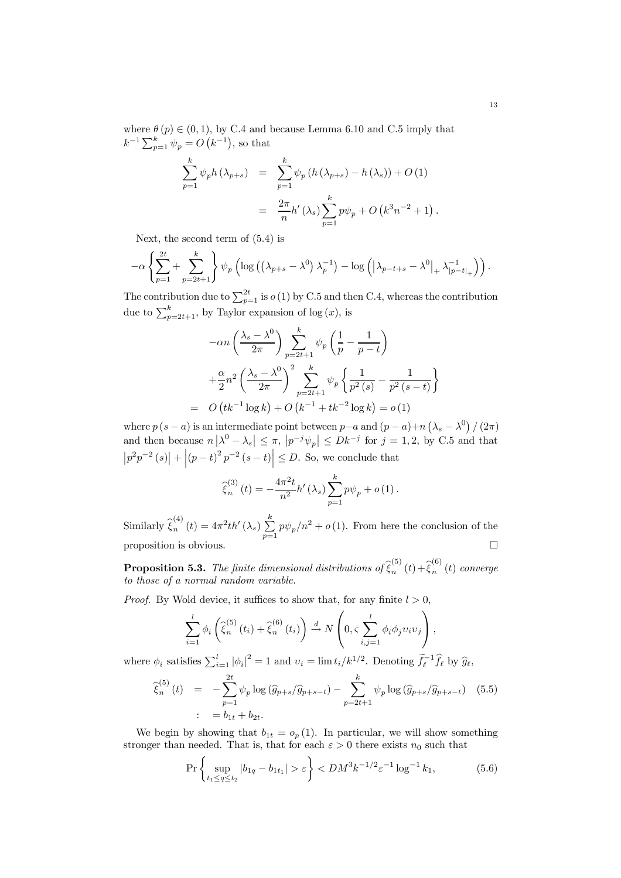where  $\theta(p) \in (0, 1)$ , by C.4 and because Lemma 6.10 and C.5 imply that  $k^{-1} \sum_{p=1}^{k} \psi_p = O(k^{-1}),$  so that

$$
\sum_{p=1}^{k} \psi_p h(\lambda_{p+s}) = \sum_{p=1}^{k} \psi_p (h(\lambda_{p+s}) - h(\lambda_s)) + O(1) \n= \frac{2\pi}{n} h'(\lambda_s) \sum_{p=1}^{k} p\psi_p + O(k^3 n^{-2} + 1).
$$

Next, the second term of (5.4) is

$$
-\alpha \left\{ \sum_{p=1}^{2t} + \sum_{p=2t+1}^{k} \right\} \psi_p \left( \log \left( \left( \lambda_{p+s} - \lambda^0 \right) \lambda_p^{-1} \right) - \log \left( \left| \lambda_{p-t+s} - \lambda^0 \right|_+ \lambda_{|p-t|_+}^{-1} \right) \right).
$$

The contribution due to  $\sum_{p=1}^{2t}$  is  $o(1)$  by C.5 and then C.4, whereas the contribution due to  $\sum_{p=2t+1}^{k}$ , by Taylor expansion of log  $(x)$ , is

$$
-\alpha n \left(\frac{\lambda_s - \lambda^0}{2\pi}\right) \sum_{p=2t+1}^k \psi_p \left(\frac{1}{p} - \frac{1}{p-t}\right) + \frac{\alpha}{2} n^2 \left(\frac{\lambda_s - \lambda^0}{2\pi}\right)^2 \sum_{p=2t+1}^k \psi_p \left\{\frac{1}{p^2(s)} - \frac{1}{p^2(s-t)}\right\}
$$
  
=  $O\left(tk^{-1}\log k\right) + O\left(k^{-1} + tk^{-2}\log k\right) = o(1)$ 

where  $p(s - a)$  is an intermediate point between  $p - a$  and  $(p - a) + n(\lambda_s - \lambda^0) / (2\pi)$ and then because  $n |\lambda^0 - \lambda_s| \leq \pi$ ,  $|p^{-j}\psi_p| \leq Dk^{-j}$  for  $j = 1, 2$ , by C.5 and that  $\left|p^{2}p^{-2}(s)\right| + \left|(p-t)^{2}p^{-2}(s-t)\right| \leq D.$  So, we conclude that

$$
\widehat{\xi}_{n}^{(3)}(t) = -\frac{4\pi^{2}t}{n^{2}}h'(\lambda_{s})\sum_{p=1}^{k}p\psi_{p} + o(1).
$$

Similarly  $\widehat{\xi}_n^{(4)}(t) = 4\pi^2 t h'(\lambda_s) \sum_{n=1}^k$  $\sum_{p=1} p \psi_p / n^2 + o(1)$ . From here the conclusion of the proposition is obvious.  $\Box$ 

**Proposition 5.3.** The finite dimensional distributions of  $\widehat{\xi}_n^{(5)}(t) + \widehat{\xi}_n^{(6)}(t)$  converge to those of a normal random variable.

*Proof.* By Wold device, it suffices to show that, for any finite  $l > 0$ ,

$$
\sum_{i=1}^{l} \phi_i \left( \widehat{\xi}_n^{(5)}(t_i) + \widehat{\xi}_n^{(6)}(t_i) \right) \xrightarrow{d} N \left( 0, \varsigma \sum_{i,j=1}^{l} \phi_i \phi_j v_i v_j \right),
$$

where  $\phi_i$  satisfies  $\sum_{i=1}^l |\phi_i|^2 = 1$  and  $v_i = \lim t_i / k^{1/2}$ . Denoting  $\tilde{f}_\ell^{-1} \hat{f}_\ell$  by  $\hat{g}_\ell$ ,

$$
\widehat{\xi}_{n}^{(5)}(t) = -\sum_{p=1}^{2t} \psi_{p} \log \left( \widehat{g}_{p+s} / \widehat{g}_{p+s-t} \right) - \sum_{p=2t+1}^{k} \psi_{p} \log \left( \widehat{g}_{p+s} / \widehat{g}_{p+s-t} \right) \tag{5.5}
$$

$$
\vdots = b_{1t} + b_{2t}.
$$

We begin by showing that  $b_{1t} = o_p(1)$ . In particular, we will show something stronger than needed. That is, that for each  $\varepsilon > 0$  there exists  $n_0$  such that

$$
\Pr\left\{\sup_{t_1 \le q \le t_2} |b_{1q} - b_{1t_1}| > \varepsilon\right\} < DM^3 k^{-1/2} \varepsilon^{-1} \log^{-1} k_1,\tag{5.6}
$$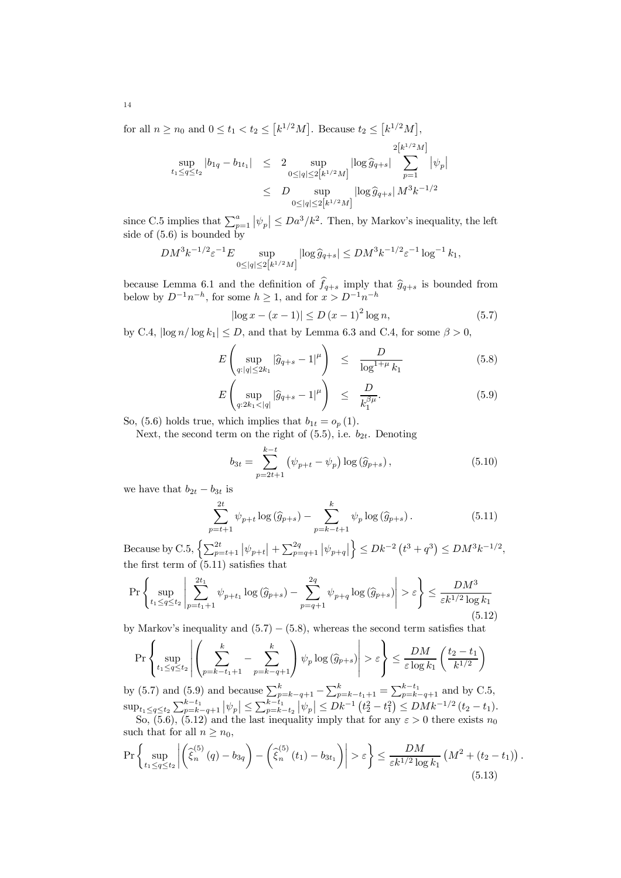for all  $n \ge n_0$  and  $0 \le t_1 < t_2 \le [k^{1/2}M]$ . Because  $t_2 \le [k^{1/2}M]$ ,

$$
\sup_{t_1 \le q \le t_2} |b_{1q} - b_{1t_1}| \le 2 \sup_{0 \le |q| \le 2[k^{1/2}M]} |\log \hat{g}_{q+s}| \sum_{p=1}^{2[k^{1/2}M]} |\psi_p|
$$
  

$$
\le D \sup_{0 \le |q| \le 2[k^{1/2}M]} |\log \hat{g}_{q+s}| M^3 k^{-1/2}
$$

since C.5 implies that  $\sum_{p=1}^{a} |\psi_p| \leq Da^3/k^2$ . Then, by Markov's inequality, the left side of  $(5.6)$  is bounded by

$$
DM^3k^{-1/2}{\varepsilon}^{-1}E \sup_{0\le |q|\le 2\left[k^{1/2}M\right]}|{\log \widehat g_{q+s}}|\le DM^3k^{-1/2}{\varepsilon}^{-1}\log^{-1}k_1,
$$

because Lemma 6.1 and the definition of  $f_{q+s}$  imply that  $\hat{g}_{q+s}$  is bounded from below by  $D^{-1}n^{-h}$ , for some  $h \geq 1$ , and for  $x > D^{-1}n^{-h}$ 

$$
|\log x - (x - 1)| \le D (x - 1)^2 \log n, \tag{5.7}
$$

by C.4,  $\left|\log n/\log k_1\right|\leq D,$  and that by Lemma 6.3 and C.4, for some  $\beta>0,$ 

$$
E\left(\sup_{q:|q|\leq 2k_1}|\widehat{g}_{q+s}-1|^\mu\right) \leq \frac{D}{\log^{1+\mu}k_1} \tag{5.8}
$$

$$
E\left(\sup_{q:2k_1<|q|}|\widehat{g}_{q+s}-1|^\mu\right) \leq \frac{D}{k_1^{\beta\mu}}.\tag{5.9}
$$

So, (5.6) holds true, which implies that  $b_{1t} = o_p(1)$ .

Next, the second term on the right of  $(5.5)$ , i.e.  $b_{2t}$ . Denoting

$$
b_{3t} = \sum_{p=2t+1}^{k-t} (\psi_{p+t} - \psi_p) \log(\widehat{g}_{p+s}), \qquad (5.10)
$$

we have that  $b_{2t} - b_{3t}$  is

$$
\sum_{p=t+1}^{2t} \psi_{p+t} \log(\hat{g}_{p+s}) - \sum_{p=k-t+1}^{k} \psi_p \log(\hat{g}_{p+s}).
$$
\n(5.11)

Because by C.5,  $\left\{ \sum_{p=t+1}^{2t} \left| \psi_{p+t} \right| + \sum_{p=q+1}^{2q} \left| \psi_{p+q} \right| \right.$  $\Big\} \le Dk^{-2} (t^3 + q^3) \le D M^3 k^{-1/2},$ the first term of (5.11) satisfies that

$$
\Pr\left\{\sup_{t_1\leq q\leq t_2}\left|\sum_{p=t_1+1}^{2t_1}\psi_{p+t_1}\log\left(\widehat{g}_{p+s}\right)-\sum_{p=q+1}^{2q}\psi_{p+q}\log\left(\widehat{g}_{p+s}\right)\right|>\varepsilon\right\} \leq \frac{DM^3}{\varepsilon k^{1/2}\log k_1}\tag{5.12}
$$

by Markov's inequality and  $(5.7) - (5.8)$ , whereas the second term satisfies that

$$
\Pr\left\{\sup_{t_1\leq q\leq t_2}\left|\left(\sum_{p=k-t_1+1}^{k}-\sum_{p=k-q+1}^{k}\right)\psi_p\log\left(\widehat{g}_{p+s}\right)\right|>\varepsilon\right\}\leq \frac{DM}{\varepsilon\log k_1}\left(\frac{t_2-t_1}{k^{1/2}}\right)
$$

by (5.7) and (5.9) and because  $\sum_{p=k-q+1}^{k} - \sum_{p=k-t_1+1}^{k} = \sum_{p=k-q+1}^{k-t_1}$  and by C.5,  $\sup_{t_1 \leq q \leq t_2} \sum_{p=k-q+1}^{k-t_1} |\psi_p| \leq \sum_{p=k-t_2}^{k-t_1} |\psi_p| \leq Dk^{-1} \left(t_2^2 - t_1^2\right) \leq DMk^{-1/2} \left(t_2 - t_1\right).$ So, (5.6), (5.12) and the last inequality imply that for any  $\varepsilon > 0$  there exists  $n_0$ such that for all  $n \geq n_0$ ,

$$
\Pr\left\{\sup_{t_1\leq q\leq t_2}\left|\left(\hat{\xi}_n^{(5)}(q)-b_{3q}\right)-\left(\hat{\xi}_n^{(5)}(t_1)-b_{3t_1}\right)\right|>\varepsilon\right\}\leq \frac{DM}{\varepsilon k^{1/2}\log k_1}\left(M^2+(t_2-t_1)\right)\tag{5.13}
$$

.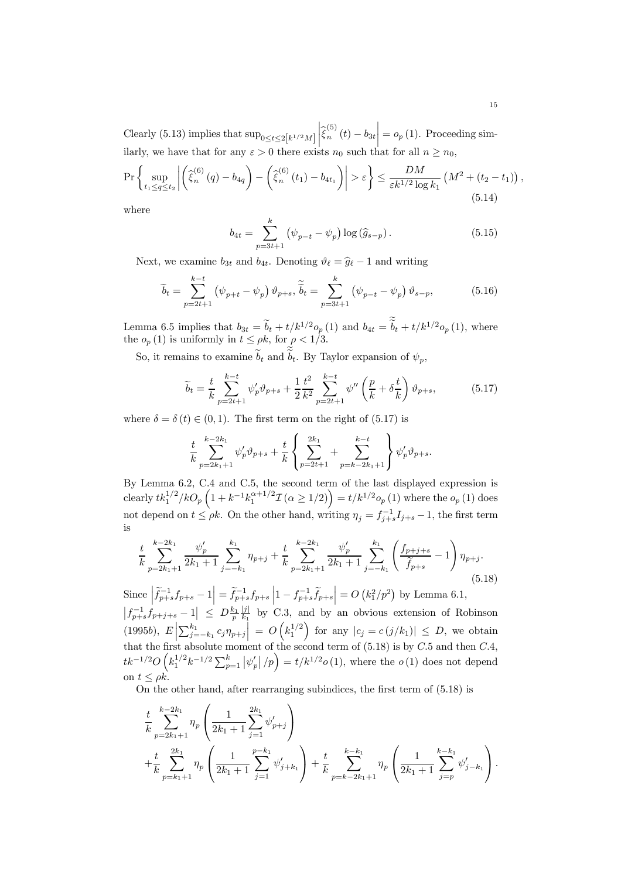Clearly (5.13) implies that  $\sup_{0 \le t \le 2[k^{1/2}M]}$  $\left| \widehat{\xi}_{n}^{(5)}\left(t\right) - b_{3t} \right|$  $\vert = o_p(1)$ . Proceeding similarly, we have that for any  $\varepsilon > 0$  there exists  $n_0$  such that for all  $n \ge n_0$ ,

$$
\Pr\left\{\sup_{t_1 \le q \le t_2} \left| \left(\hat{\xi}_n^{(6)}(q) - b_{4q}\right) - \left(\hat{\xi}_n^{(6)}(t_1) - b_{4t_1}\right) \right| > \varepsilon \right\} \le \frac{DM}{\varepsilon k^{1/2} \log k_1} \left(M^2 + (t_2 - t_1)\right) \tag{5.14}
$$

where

$$
b_{4t} = \sum_{p=3t+1}^{k} (\psi_{p-t} - \psi_p) \log(\widehat{g}_{s-p}). \tag{5.15}
$$

Next, we examine  $b_{3t}$  and  $b_{4t}$ . Denoting  $\vartheta_{\ell} = \widehat{g}_{\ell} - 1$  and writing

$$
\widetilde{b}_t = \sum_{p=2t+1}^{k-t} \left( \psi_{p+t} - \psi_p \right) \vartheta_{p+s}, \widetilde{\widetilde{b}}_t = \sum_{p=3t+1}^k \left( \psi_{p-t} - \psi_p \right) \vartheta_{s-p}, \tag{5.16}
$$

Lemma 6.5 implies that  $b_{3t} = \tilde{b}_t + t/k^{1/2}o_p(1)$  and  $b_{4t} = \tilde{b}_t + t/k^{1/2}o_p(1)$ , where the  $o_p(1)$  is uniformly in  $t \le \rho k$ , for  $\rho < 1/3$ .

So, it remains to examine  $b_t$  and  $b_t$ . By Taylor expansion of  $\psi_p$ ,

$$
\widetilde{b}_t = \frac{t}{k} \sum_{p=2t+1}^{k-t} \psi'_p \vartheta_{p+s} + \frac{1}{2} \frac{t^2}{k^2} \sum_{p=2t+1}^{k-t} \psi''\left(\frac{p}{k} + \delta \frac{t}{k}\right) \vartheta_{p+s},\tag{5.17}
$$

where  $\delta = \delta(t) \in (0, 1)$ . The first term on the right of (5.17) is

$$
\frac{t}{k} \sum_{p=2k_1+1}^{k-2k_1} \psi'_p \vartheta_{p+s} + \frac{t}{k} \left\{ \sum_{p=2t+1}^{2k_1} + \sum_{p=k-2k_1+1}^{k-t} \right\} \psi'_p \vartheta_{p+s}.
$$

By Lemma 6.2, C.4 and C.5, the second term of the last displayed expression is clearly  $tk_1^{1/2}/kO_p\left(1+k^{-1}k_1^{\alpha+1/2}\mathcal{I}\ ( \alpha\geq 1/2)\right)=t/k^{1/2}o_p\ (1)$  where the  $o_p\ (1)$  does not depend on  $t \le \rho k$ . On the other hand, writing  $\eta_j = f_{j+s}^{-1} I_{j+s} - 1$ , the first term is

$$
\frac{t}{k} \sum_{p=2k_1+1}^{k-2k_1} \frac{\psi_p'}{2k_1+1} \sum_{j=-k_1}^{k_1} \eta_{p+j} + \frac{t}{k} \sum_{p=2k_1+1}^{k-2k_1} \frac{\psi_p'}{2k_1+1} \sum_{j=-k_1}^{k_1} \left( \frac{f_{p+j+s}}{\widetilde{f}_{p+s}} - 1 \right) \eta_{p+j}.
$$
\n(5.18)

Since  $\left| \tilde{f}_{p+s}^{-1} f_{p+s} - 1 \right| = \tilde{f}_{p+s}^{-1} f_{p+s} \left| 1 - f_{p+s}^{-1} \tilde{f}_{p+s} \right| = O\left( k_1^2 / p^2 \right)$  by Lemma 6.1,  $|f_{p+s}^{-1}f_{p+j+s}-1| \le D\frac{k_1}{p}\frac{|j|}{k_1}$  by C.3, and by an obvious extension of Robinson (1995*b*),  $E\left[\sum_{j=-k_1}^{k_1} c_j \eta_{p+j}\right] = O\left(k_1^{1/2}\right)$  for any  $|c_j = c(j/k_1)| \leq D$ , we obtain that the first absolute moment of the second term of  $(5.18)$  is by  $C.5$  and then  $C.4$ ,  $tk^{-1/2}O\left(k_1^{1/2}k^{-1/2}\sum_{p=1}^k |\psi'_p|/p\right) = t/k^{1/2}o(1)$ , where the  $o(1)$  does not depend on  $t \leq \rho k$ .

On the other hand, after rearranging subindices, the first term of (5.18) is

$$
\frac{t}{k} \sum_{p=2k_1+1}^{k-2k_1} \eta_p \left( \frac{1}{2k_1+1} \sum_{j=1}^{2k_1} \psi'_{p+j} \right) + \frac{t}{k} \sum_{p=k_1+1}^{2k_1} \eta_p \left( \frac{1}{2k_1+1} \sum_{j=1}^{p-k_1} \psi'_{j+k_1} \right) + \frac{t}{k} \sum_{p=k_1+1}^{k-k_1} \eta_p \left( \frac{1}{2k_1+1} \sum_{j=p}^{k-k_1} \psi'_{j-k_1} \right).
$$

,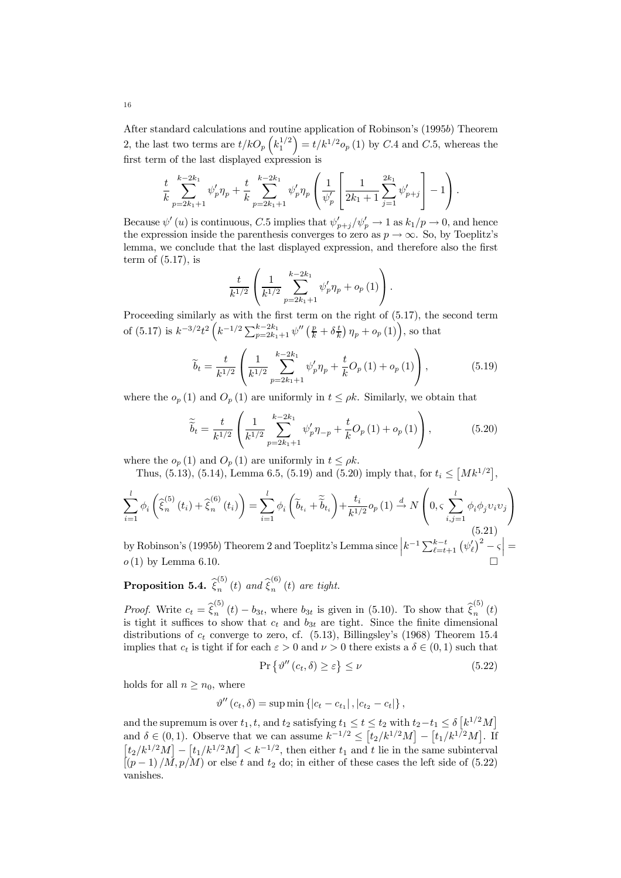After standard calculations and routine application of Robinson's (1995b) Theorem 2, the last two terms are  $t/kO_p\left(k_1^{1/2}\right) = t/k^{1/2}o_p\left(1\right)$  by C.4 and C.5, whereas the first term of the last displayed expression is

$$
\frac{t}{k} \sum_{p=2k_1+1}^{k-2k_1} \psi'_p \eta_p + \frac{t}{k} \sum_{p=2k_1+1}^{k-2k_1} \psi'_p \eta_p \left( \frac{1}{\psi'_p} \left[ \frac{1}{2k_1+1} \sum_{j=1}^{2k_1} \psi'_{p+j} \right] - 1 \right).
$$

Because  $\psi'(u)$  is continuous, C.5 implies that  $\psi'_{p+j}/\psi'_{p} \to 1$  as  $k_1/p \to 0$ , and hence the expression inside the parenthesis converges to zero as  $p \to \infty$ . So, by Toeplitz's lemma, we conclude that the last displayed expression, and therefore also the first term of  $(5.17)$ , is

$$
\frac{t}{k^{1/2}}\left(\frac{1}{k^{1/2}}\sum_{p=2k_{1}+1}^{k-2k_{1}}\psi_{p}'\eta_{p}+o_{p}\left(1\right)\right).
$$

Proceeding similarly as with the first term on the right of (5.17), the second term of (5.17) is  $k^{-3/2}t^2\left(k^{-1/2}\sum_{p=2k_1+1}^{k-2k_1}\psi''\left(\frac{p}{k}+\delta\frac{t}{k}\right)\eta_p+o_p\left(1\right)\right)$ , so that

$$
\widetilde{b}_{t} = \frac{t}{k^{1/2}} \left( \frac{1}{k^{1/2}} \sum_{p=2k_{1}+1}^{k-2k_{1}} \psi_{p}' \eta_{p} + \frac{t}{k} O_{p}(1) + o_{p}(1) \right), \qquad (5.19)
$$

where the  $o_p(1)$  and  $O_p(1)$  are uniformly in  $t \le \rho k$ . Similarly, we obtain that

$$
\widetilde{\tilde{b}}_{t} = \frac{t}{k^{1/2}} \left( \frac{1}{k^{1/2}} \sum_{p=2k_{1}+1}^{k-2k_{1}} \psi_{p}' \eta_{-p} + \frac{t}{k} O_{p}(1) + o_{p}(1) \right), \qquad (5.20)
$$

where the  $o_p(1)$  and  $O_p(1)$  are uniformly in  $t \leq \rho k$ .

Thus,  $(5.13)$ ,  $(5.14)$ , Lemma 6.5,  $(5.19)$  and  $(5.20)$  imply that, for  $t_i \leq [Mk^{1/2}]$ ,

$$
\sum_{i=1}^{l} \phi_i \left( \widehat{\xi}_n^{(5)}(t_i) + \widehat{\xi}_n^{(6)}(t_i) \right) = \sum_{i=1}^{l} \phi_i \left( \widetilde{b}_{t_i} + \widetilde{b}_{t_i} \right) + \frac{t_i}{k^{1/2}} o_p(1) \stackrel{d}{\rightarrow} N \left( 0, \varsigma \sum_{i,j=1}^{l} \phi_i \phi_j v_i v_j \right)
$$
\n(5.21)

by Robinson's (1995*b*) Theorem 2 and Toeplitz's Lemma since  $\left|k^{-1}\sum_{\ell=t+1}^{k-t} (\psi_{\ell}')^2 - \varsigma\right| =$  $o(1)$  by Lemma 6.10.

**Proposition 5.4.**  $\hat{\xi}_n^{(5)}(t)$  and  $\hat{\xi}_n^{(6)}(t)$  are tight.

*Proof.* Write  $c_t = \hat{\xi}_n^{(5)}(t) - b_{3t}$ , where  $b_{3t}$  is given in (5.10). To show that  $\hat{\xi}_n^{(5)}(t)$ is tight it suffices to show that  $c_t$  and  $b_{3t}$  are tight. Since the finite dimensional distributions of  $c_t$  converge to zero, cf. (5.13), Billingsley's (1968) Theorem 15.4 implies that  $c_t$  is tight if for each  $\varepsilon > 0$  and  $\nu > 0$  there exists a  $\delta \in (0,1)$  such that

$$
\Pr\left\{\vartheta''\left(c_t,\delta\right) \geq \varepsilon\right\} \leq \nu\tag{5.22}
$$

holds for all  $n \geq n_0$ , where

$$
\vartheta''(c_t, \delta) = \sup \min \{|c_t - c_{t_1}|, |c_{t_2} - c_t|\},
$$

and the supremum is over  $t_1, t$ , and  $t_2$  satisfying  $t_1 \leq t \leq t_2$  with  $t_2-t_1 \leq \delta \left[k^{1/2}M\right]$ and  $\delta \in (0,1)$ . Observe that we can assume  $k^{-1/2} \leq [t_2/k^{1/2}M] - [t_1/k^{1/2}M]$ . If  $\left[t_2/k^{1/2}M\right]-\left[t_1/k^{1/2}M\right], then either  $t_1$  and  $t$  lie in the same subinterval$  $(p-1)/M$ ,  $p/M$ ) or else t and  $t_2$  do; in either of these cases the left side of (5.22) vanishes.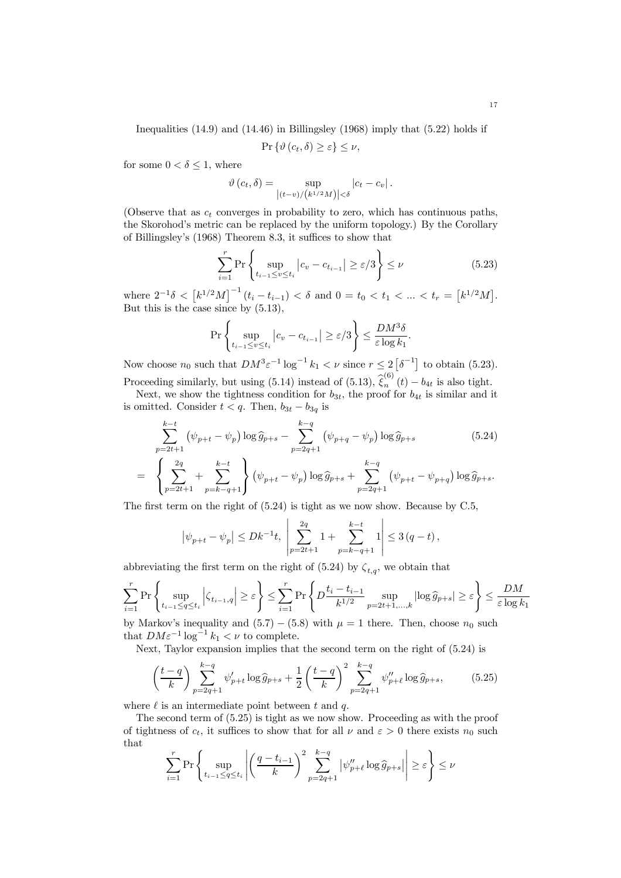Inequalities (14.9) and (14.46) in Billingsley (1968) imply that (5.22) holds if

$$
\Pr\left\{\vartheta\left(c_t,\delta\right)\geq\varepsilon\right\}\leq\nu,
$$

for some  $0 < \delta \leq 1$ , where

$$
\vartheta\left(c_t,\delta\right) = \sup_{\left|(t-v)/(k^{1/2}M)\right| < \delta} \left|c_t - c_v\right|.
$$

(Observe that as  $c_t$  converges in probability to zero, which has continuous paths, the Skorohod's metric can be replaced by the uniform topology.) By the Corollary of Billingsley's (1968) Theorem 8.3, it suffices to show that

$$
\sum_{i=1}^{r} \Pr\left\{ \sup_{t_{i-1} \le v \le t_i} \left| c_v - c_{t_{i-1}} \right| \ge \varepsilon/3 \right\} \le \nu \tag{5.23}
$$

where  $2^{-1}\delta \, \leq \, \big[k^{1/2}M\big]^{-1} \, (t_i - t_{i-1}) \, \leq \, \delta$  and  $0 = t_0 \, \leq \, t_1 \, \leq \, \ldots \, \leq \, t_r \, = \, \big[k^{1/2}M\big].$ But this is the case since by (5.13),

$$
\Pr\left\{\sup_{t_{i-1}\leq v\leq t_i}\left|c_v-c_{t_{i-1}}\right|\geq \varepsilon/3\right\}\leq \frac{DM^3\delta}{\varepsilon\log k_1}.
$$

Now choose  $n_0$  such that  $DM^3 \varepsilon^{-1} \log^{-1} k_1 < \nu$  since  $r \leq 2 \left[ \delta^{-1} \right]$  to obtain (5.23). Proceeding similarly, but using (5.14) instead of (5.13),  $\hat{\xi}_n^{(6)}(t) - b_{4t}$  is also tight.

Next, we show the tightness condition for  $b_{3t}$ , the proof for  $b_{4t}$  is similar and it is omitted. Consider  $t < q$ . Then,  $b_{3t} - b_{3q}$  is

$$
\sum_{p=2t+1}^{k-t} (\psi_{p+t} - \psi_p) \log \hat{g}_{p+s} - \sum_{p=2q+1}^{k-q} (\psi_{p+q} - \psi_p) \log \hat{g}_{p+s}
$$
(5.24)  
= 
$$
\left\{ \sum_{p=2t+1}^{2q} + \sum_{p=k-q+1}^{k-t} \psi_{p+t} - \psi_p \right\} \log \hat{g}_{p+s} + \sum_{p=2q+1}^{k-q} (\psi_{p+t} - \psi_{p+q}) \log \hat{g}_{p+s}.
$$

The first term on the right of (5.24) is tight as we now show. Because by C.5,

$$
\left| \psi_{p+t} - \psi_p \right| \le Dk^{-1}t, \ \left| \sum_{p=2t+1}^{2q} 1 + \sum_{p=k-q+1}^{k-t} 1 \right| \le 3 (q-t),
$$

abbreviating the first term on the right of (5.24) by  $\zeta_{t,q}$ , we obtain that

$$
\sum_{i=1}^r \Pr\left\{\sup_{t_{i-1}\leq q\leq t_i}\left|\zeta_{t_{i-1},q}\right|\geq \varepsilon\right\}\leq \sum_{i=1}^r \Pr\left\{D\frac{t_i-t_{i-1}}{k^{1/2}}\sup_{p=2t+1,\ldots,k}\left|\log \widehat{g}_{p+s}\right|\geq \varepsilon\right\}\leq \frac{DM}{\varepsilon\log k_1}
$$

by Markov's inequality and  $(5.7) - (5.8)$  with  $\mu = 1$  there. Then, choose  $n_0$  such that  $DM\varepsilon^{-1}\log^{-1}k_1<\nu$  to complete.

Next, Taylor expansion implies that the second term on the right of (5.24) is

$$
\left(\frac{t-q}{k}\right) \sum_{p=2q+1}^{k-q} \psi'_{p+t} \log \hat{g}_{p+s} + \frac{1}{2} \left(\frac{t-q}{k}\right)^2 \sum_{p=2q+1}^{k-q} \psi''_{p+\ell} \log \hat{g}_{p+s},\tag{5.25}
$$

where  $\ell$  is an intermediate point between t and q.

The second term of (5.25) is tight as we now show. Proceeding as with the proof of tightness of  $c_t$ , it suffices to show that for all  $\nu$  and  $\varepsilon > 0$  there exists  $n_0$  such that

$$
\sum_{i=1}^r \Pr\left\{\sup_{t_{i-1}\leq q\leq t_i}\left|\left(\frac{q-t_{i-1}}{k}\right)^2\sum_{p=2q+1}^{k-q}|\psi_{p+\ell}''\log\widehat{g}_{p+s}|\right|\geq \varepsilon\right\}\leq \nu
$$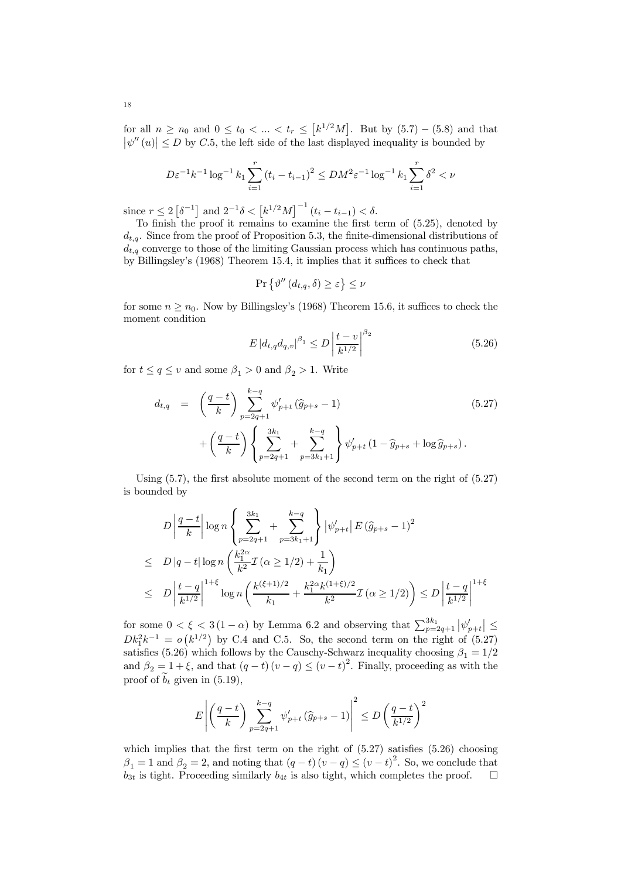for all  $n \ge n_0$  and  $0 \le t_0 < ... < t_r \le [k^{1/2}M]$ . But by  $(5.7) - (5.8)$  and that  $|\psi''(u)| \leq D$  by C.5, the left side of the last displayed inequality is bounded by

$$
D\varepsilon^{-1}k^{-1}\log^{-1} k_1 \sum_{i=1}^r (t_i - t_{i-1})^2 \le DM^2 \varepsilon^{-1} \log^{-1} k_1 \sum_{i=1}^r \delta^2 < \nu
$$

since  $r \leq 2 \left[ \delta^{-1} \right]$  and  $2^{-1}\delta < \left[ k^{1/2} M \right]^{-1} (t_i - t_{i-1}) < \delta$ .

To finish the proof it remains to examine the first term of (5.25), denoted by  $d_{t,q}$ . Since from the proof of Proposition 5.3, the finite-dimensional distributions of  $d_{t,q}$  converge to those of the limiting Gaussian process which has continuous paths, by Billingsley's (1968) Theorem 15.4, it implies that it suffices to check that

$$
\Pr\left\{\vartheta''\left(d_{t,q},\delta\right)\geq\varepsilon\right\}\leq\nu
$$

for some  $n > n_0$ . Now by Billingsley's (1968) Theorem 15.6, it suffices to check the moment condition

$$
E |d_{t,q} d_{q,v}|^{\beta_1} \le D \left| \frac{t-v}{k^{1/2}} \right|^{\beta_2}
$$
\n(5.26)

for  $t \le q \le v$  and some  $\beta_1 > 0$  and  $\beta_2 > 1$ . Write

$$
d_{t,q} = \left(\frac{q-t}{k}\right) \sum_{p=2q+1}^{k-q} \psi'_{p+t} \left(\widehat{g}_{p+s} - 1\right) \tag{5.27}
$$

$$
+ \left(\frac{q-t}{k}\right) \left\{\sum_{p=2q+1}^{3k_1} + \sum_{p=3k_1+1}^{k-q} \psi'_{p+t} \left(1 - \widehat{g}_{p+s} + \log \widehat{g}_{p+s}\right)\right\}.
$$

Using  $(5.7)$ , the first absolute moment of the second term on the right of  $(5.27)$ is bounded by

$$
D\left|\frac{q-t}{k}\right| \log n \left\{ \sum_{p=2q+1}^{3k_1} + \sum_{p=3k_1+1}^{k-q} \right\} \left|\psi'_{p+t}\right| E\left(\widehat{g}_{p+s} - 1\right)^2
$$
  
\n
$$
\leq D\left|q-t\right| \log n \left(\frac{k_1^{2\alpha}}{k^2} \mathcal{I}\left(\alpha \geq 1/2\right) + \frac{1}{k_1}\right)
$$
  
\n
$$
\leq D\left|\frac{t-q}{k^{1/2}}\right|^{1+\xi} \log n \left(\frac{k^{(\xi+1)/2}}{k_1} + \frac{k_1^{2\alpha} k^{(1+\xi)/2}}{k^2} \mathcal{I}\left(\alpha \geq 1/2\right)\right) \leq D\left|\frac{t-q}{k^{1/2}}\right|^{1+\xi}
$$

for some  $0 < \xi < 3(1-\alpha)$  by Lemma 6.2 and observing that  $\sum_{p=2q+1}^{3k_1} |\psi'_{p+t}| \leq$  $Dk_1^2k^{-1} = o(k^{1/2})$  by C.4 and C.5. So, the second term on the right of (5.27) satisfies (5.26) which follows by the Causchy-Schwarz inequality choosing  $\beta_1 = 1/2$ and  $\beta_2 = 1 + \xi$ , and that  $(q - t) (v - q) \le (v - t)^2$ . Finally, proceeding as with the proof of  $b_t$  given in (5.19),

$$
E\left|\left(\frac{q-t}{k}\right)\sum_{p=2q+1}^{k-q} \psi'_{p+t}\left(\widehat{g}_{p+s}-1\right)\right|^2 \le D\left(\frac{q-t}{k^{1/2}}\right)^2
$$

which implies that the first term on the right of  $(5.27)$  satisfies  $(5.26)$  choosing  $\beta_1 = 1$  and  $\beta_2 = 2$ , and noting that  $(q - t) (v - q) \le (v - t)^2$ . So, we conclude that  $b_{3t}$  is tight. Proceeding similarly  $b_{4t}$  is also tight, which completes the proof.  $\Box$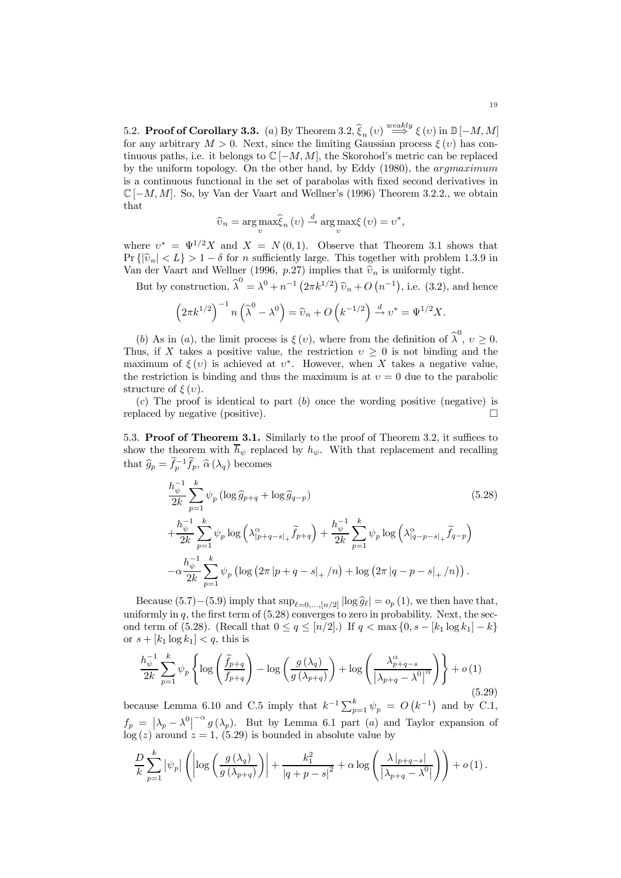5.2. **Proof of Corollary 3.3.** (a) By Theorem 3.2,  $\hat{\xi}_n(v) \stackrel{weakly}{\Longrightarrow} \xi(v)$  in  $\mathbb{D}[-M, M]$ for any arbitrary  $M > 0$ . Next, since the limiting Gaussian process  $\xi(v)$  has continuous paths, i.e. it belongs to  $\mathbb{C}$  [−M, M], the Skorohod's metric can be replaced by the uniform topology. On the other hand, by Eddy (1980), the argmaximum is a continuous functional in the set of parabolas with fixed second derivatives in  $\mathbb{C}$  [−M, M]. So, by Van der Vaart and Wellner's (1996) Theorem 3.2.2., we obtain that

$$
\widehat{v}_n = \arg \max_{v} \widehat{\xi}_n(v) \stackrel{d}{\to} \arg \max_{v} \xi(v) = v^*,
$$

where  $v^* = \Psi^{1/2} X$  and  $X = N(0, 1)$ . Observe that Theorem 3.1 shows that Pr  $\{|\hat{v}_n| < L\} > 1 - \delta$  for n sufficiently large. This together with problem 1.3.9 in Van der Vaart and Wellner (1996, p.27) implies that  $\hat{v}_n$  is uniformly tight.

But by construction,  $\widehat{\lambda}^0 = \lambda^0 + n^{-1} (2\pi k^{1/2}) \widehat{v}_n + O(n^{-1}),$  i.e. (3.2), and hence

$$
\left(2\pi k^{1/2}\right)^{-1} n\left(\widehat{\lambda}^0 - \lambda^0\right) = \widehat{\upsilon}_n + O\left(k^{-1/2}\right) \stackrel{d}{\rightarrow} \upsilon^* = \Psi^{1/2} X.
$$

(b) As in (a), the limit process is  $\xi(v)$ , where from the definition of  $\hat{\lambda}^0$ ,  $v \ge 0$ . Thus, if X takes a positive value, the restriction  $v \geq 0$  is not binding and the maximum of  $\xi(v)$  is achieved at  $v^*$ . However, when X takes a negative value, the restriction is binding and thus the maximum is at  $v = 0$  due to the parabolic structure of  $\xi(v)$ .

 $(c)$  The proof is identical to part  $(b)$  once the wording positive (negative) is replaced by negative (positive).  $\Box$ 

5.3. Proof of Theorem 3.1. Similarly to the proof of Theorem 3.2, it suffices to show the theorem with  $\bar{h}_{\psi}$  replaced by  $h_{\psi}$ . With that replacement and recalling that  $\hat{g}_p = \hat{f}_p^{-1} \hat{f}_p$ ,  $\hat{\alpha}(\lambda_q)$  becomes

$$
\frac{h_{\psi}^{-1}}{2k} \sum_{p=1}^{k} \psi_p \left( \log \hat{g}_{p+q} + \log \hat{g}_{q-p} \right)
$$
\n
$$
+ \frac{h_{\psi}^{-1}}{2k} \sum_{p=1}^{k} \psi_p \log \left( \lambda_{|p+q-s|_+}^{\alpha} \tilde{f}_{p+q} \right) + \frac{h_{\psi}^{-1}}{2k} \sum_{p=1}^{k} \psi_p \log \left( \lambda_{|q-p-s|_+}^{\alpha} \tilde{f}_{q-p} \right)
$$
\n
$$
- \alpha \frac{h_{\psi}^{-1}}{2k} \sum_{p=1}^{k} \psi_p \left( \log \left( 2\pi |p+q-s|_+/n \right) + \log \left( 2\pi |q-p-s|_+/n \right) \right).
$$
\n(5.28)

Because (5.7)–(5.9) imply that  $\sup_{\ell=0,\dots,[n/2]} |\log \hat{g}_{\ell}| = o_p(1)$ , we then have that, uniformly in  $q$ , the first term of  $(5.28)$  converges to zero in probability. Next, the second term of (5.28). (Recall that  $0 \le q \le [n/2]$ .) If  $q < \max\{0, s - [k_1 \log k_1] - k\}$ or  $s + [k_1 \log k_1] < q$ , this is

$$
\frac{h_{\psi}^{-1}}{2k} \sum_{p=1}^{k} \psi_p \left\{ \log \left( \frac{\widetilde{f}_{p+q}}{f_{p+q}} \right) - \log \left( \frac{g(\lambda_q)}{g(\lambda_{p+q})} \right) + \log \left( \frac{\lambda_{p+q-s}^{\alpha}}{|\lambda_{p+q} - \lambda^0|} \right) \right\} + o(1)
$$
\n(5.29)

because Lemma 6.10 and C.5 imply that  $k^{-1} \sum_{p=1}^{k} \psi_p = O(k^{-1})$  and by C.1,  $f_p = \left| \lambda_p - \lambda^0 \right|^{-\alpha} g(\lambda_p)$ . But by Lemma 6.1 part (a) and Taylor expansion of  $log(z)$  around  $z = 1$ , (5.29) is bounded in absolute value by

$$
\frac{D}{k} \sum_{p=1}^{k} |\psi_p| \left( \left| \log \left( \frac{g(\lambda_q)}{g(\lambda_{p+q})} \right) \right| + \frac{k_1^2}{|q+p-s|^2} + \alpha \log \left( \frac{\lambda |_{p+q-s}|}{|\lambda_{p+q} - \lambda^0|} \right) \right) + o(1).
$$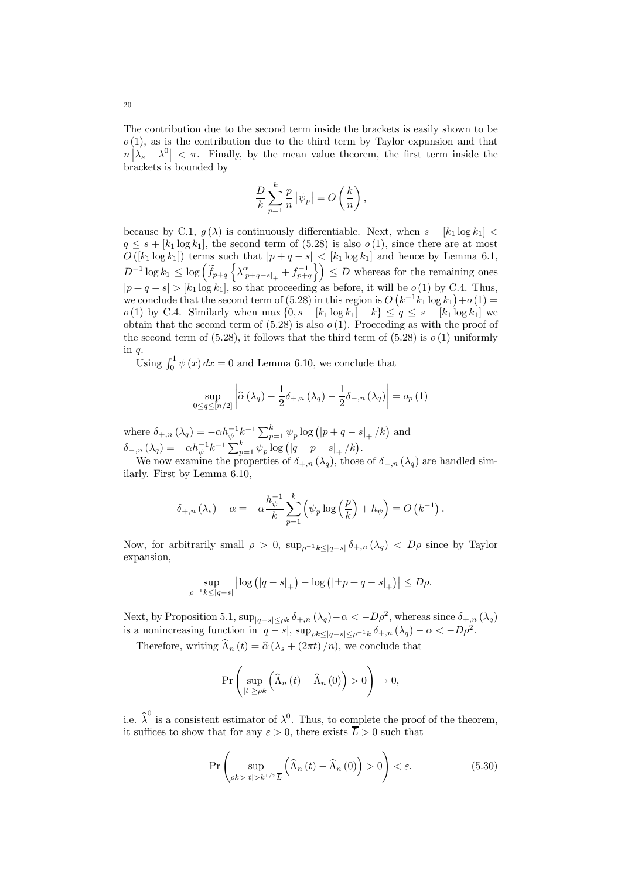The contribution due to the second term inside the brackets is easily shown to be  $o(1)$ , as is the contribution due to the third term by Taylor expansion and that  $n\left|\lambda_s - \lambda^0\right| < \pi$ . Finally, by the mean value theorem, the first term inside the brackets is bounded by

$$
\frac{D}{k}\sum_{p=1}^{k}\frac{p}{n}|\psi_p|=O\left(\frac{k}{n}\right),\,
$$

because by C.1,  $g(\lambda)$  is continuously differentiable. Next, when  $s - [k_1 \log k_1]$  <  $q \leq s + [k_1 \log k_1]$ , the second term of (5.28) is also  $o(1)$ , since there are at most  $O([k_1 \log k_1])$  terms such that  $|p + q - s| \leq [k_1 \log k_1]$  and hence by Lemma 6.1,  $D^{-1}\log k_1 \leq \log\left(\widetilde{f}_{p+q}\left\{\lambda^{\alpha}_{|p+q-s|_+}+f^{-1}_{p+q}\right\}\right) \leq D$  whereas for the remaining ones  $|p+q-s| > [k_1 \log k_1]$ , so that proceeding as before, it will be  $o(1)$  by C.4. Thus, we conclude that the second term of (5.28) in this region is  $O(k^{-1}k_1 \log k_1) + o(1) =$  $o(1)$  by C.4. Similarly when max  ${0, s - [k_1 \log k_1] - k} ≤ q ≤ s - [k_1 \log k_1]$  we obtain that the second term of  $(5.28)$  is also  $o(1)$ . Proceeding as with the proof of the second term of  $(5.28)$ , it follows that the third term of  $(5.28)$  is  $o(1)$  uniformly in q.

Using  $\int_0^1 \psi(x) dx = 0$  and Lemma 6.10, we conclude that

$$
\sup_{0 \le q \le [n/2]} \left| \widehat{\alpha} \left( \lambda_q \right) - \frac{1}{2} \delta_{+,n} \left( \lambda_q \right) - \frac{1}{2} \delta_{-,n} \left( \lambda_q \right) \right| = o_p \left( 1 \right)
$$

where  $\delta_{+,n} (\lambda_q) = -\alpha h_{\psi}^{-1} k^{-1} \sum_{p=1}^k \psi_p \log (|p+q-s|_+/k)$  and  $\delta_{-,n}(\lambda_q) = -\alpha h_{\psi}^{-1} k^{-1} \sum_{p=1}^{k} \psi_p \log (|q-p-s|_+/k).$ 

We now examine the properties of  $\delta_{+,n} (\lambda_q)$ , those of  $\delta_{-,n} (\lambda_q)$  are handled similarly. First by Lemma 6.10,

$$
\delta_{+,n}(\lambda_s) - \alpha = -\alpha \frac{h_{\psi}^{-1}}{k} \sum_{p=1}^{k} (\psi_p \log \left(\frac{p}{k}\right) + h_{\psi}) = O\left(k^{-1}\right).
$$

Now, for arbitrarily small  $\rho > 0$ ,  $\sup_{\rho^{-1} k \leq |q-s|} \delta_{+,n} (\lambda_q) < D \rho$  since by Taylor expansion,

$$
\sup_{\rho^{-1}k \le |q -s|} \left| \log \left( |q - s|_+ \right) - \log \left( |\pm p + q - s|_+ \right) \right| \le D\rho.
$$

Next, by Proposition 5.1,  $\sup_{|q-s|\leq \rho k} \delta_{+,n} (\lambda_q) - \alpha < -D\rho^2$ , whereas since  $\delta_{+,n} (\lambda_q)$ is a nonincreasing function in  $|q-s|$ ,  $\sup_{\rho k \leq |q-s| \leq \rho^{-1}k} \delta_{+,n} (\lambda_q) - \alpha < -D\rho^2$ .

Therefore, writing  $\widehat{\Lambda}_n(t) = \widehat{\alpha} (\lambda_s + (2\pi t) / n)$ , we conclude that

$$
\Pr\left(\sup_{|t|\geq \rho k} \left(\widehat{\Lambda}_n(t) - \widehat{\Lambda}_n(0)\right) > 0\right) \to 0,
$$

i.e.  $\hat{\lambda}^0$  is a consistent estimator of  $\lambda^0$ . Thus, to complete the proof of the theorem, it suffices to show that for any  $\varepsilon > 0$ , there exists  $\overline{L} > 0$  such that

$$
\Pr\left(\sup_{\rho k>|t|>k^{1/2}\overline{L}}\left(\widehat{\Lambda}_{n}\left(t\right)-\widehat{\Lambda}_{n}\left(0\right)\right)>0\right)<\varepsilon.\tag{5.30}
$$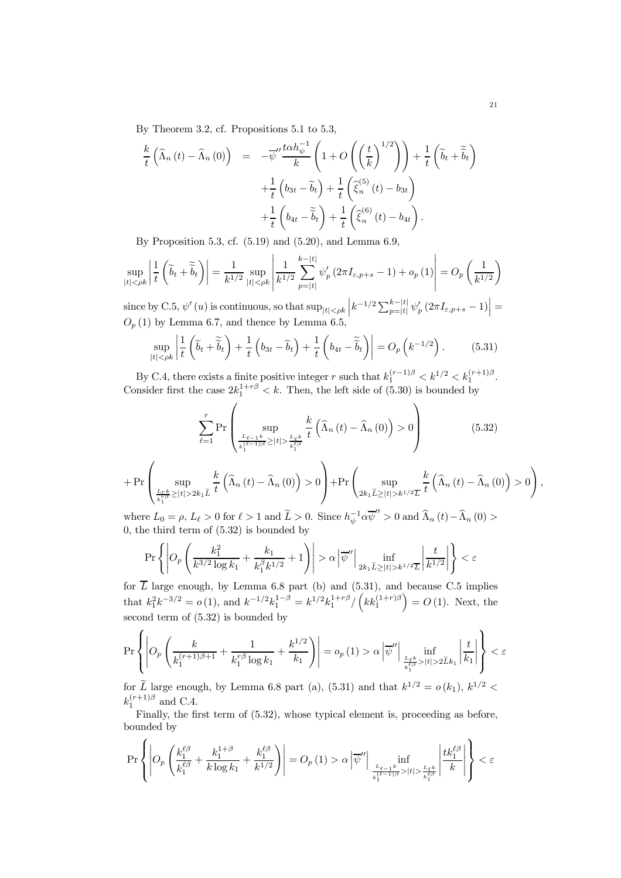By Theorem 3.2, cf. Propositions 5.1 to 5.3,

$$
\frac{k}{t} \left( \widehat{\Lambda}_n (t) - \widehat{\Lambda}_n (0) \right) = -\overline{\psi}'' \frac{t \alpha h_{\psi}^{-1}}{k} \left( 1 + O\left( \left( \frac{t}{k} \right)^{1/2} \right) \right) + \frac{1}{t} \left( \widetilde{b}_t + \widetilde{\widetilde{b}}_t \right) \n+ \frac{1}{t} \left( b_{3t} - \widetilde{b}_t \right) + \frac{1}{t} \left( \widehat{\xi}_n^{(5)} (t) - b_{3t} \right) \n+ \frac{1}{t} \left( b_{4t} - \widetilde{\widetilde{b}}_t \right) + \frac{1}{t} \left( \widehat{\xi}_n^{(6)} (t) - b_{4t} \right).
$$

By Proposition 5.3, cf. (5.19) and (5.20), and Lemma 6.9,

$$
\sup_{|t| < \rho k} \left| \frac{1}{t} \left( \widetilde{b}_t + \widetilde{\widetilde{b}}_t \right) \right| = \frac{1}{k^{1/2}} \sup_{|t| < \rho k} \left| \frac{1}{k^{1/2}} \sum_{p=\lfloor t \rfloor}^{k-\lfloor t \rfloor} \psi_p'(2\pi I_{\varepsilon, p+s} - 1) + o_p(1) \right| = O_p\left(\frac{1}{k^{1/2}}\right)
$$

since by C.5,  $\psi'(u)$  is continuous, so that  $\sup_{|t|< \rho k} \left| k^{-1/2} \sum_{p=|t|}^{k-|t|} \psi'_p(2\pi I_{\varepsilon,p+s}-1) \right| =$  $O_p(1)$  by Lemma 6.7, and thence by Lemma 6.5,

$$
\sup_{|t| < \rho k} \left| \frac{1}{t} \left( \widetilde{b}_t + \widetilde{\widetilde{b}}_t \right) + \frac{1}{t} \left( b_{3t} - \widetilde{b}_t \right) + \frac{1}{t} \left( b_{4t} - \widetilde{\widetilde{b}}_t \right) \right| = O_p \left( k^{-1/2} \right). \tag{5.31}
$$

By C.4, there exists a finite positive integer r such that  $k_1^{(r-1)\beta} < k^{1/2} < k_1^{(r+1)\beta}$ . Consider first the case  $2k_1^{1+r\beta} < k$ . Then, the left side of (5.30) is bounded by

$$
\sum_{\ell=1}^{r} \Pr\left(\sup_{\frac{L_{\ell-1}k}{k_1^{(\ell-1)\beta}} \ge |t| > \frac{L_{\ell}k}{k_1^{(\ell)}}} \frac{k}{t} \left(\widehat{\Lambda}_n(t) - \widehat{\Lambda}_n(0)\right) > 0\right)
$$
(5.32)

$$
+ \Pr\left(\sup_{\frac{L_r k}{k_1^T \beta} \geq |t| > 2k_1 \tilde{L}} \frac{k}{t} \left(\widehat{\Lambda}_n(t) - \widehat{\Lambda}_n(0)\right) > 0\right) + \Pr\left(\sup_{2k_1 \tilde{L} \geq |t| > k^{1/2} \overline{L}} \frac{k}{t} \left(\widehat{\Lambda}_n(t) - \widehat{\Lambda}_n(0)\right) > 0\right),
$$

where  $L_0 = \rho$ ,  $L_\ell > 0$  for  $\ell > 1$  and  $\widetilde{L} > 0$ . Since  $h_{\psi}^{-1} \alpha \overline{\psi}'' > 0$  and  $\widehat{\Lambda}_n(t) - \widehat{\Lambda}_n(0) >$ 0, the third term of (5.32) is bounded by

$$
\Pr\left\{\left|O_p\left(\frac{k_1^2}{k^{3/2}\log k_1}+\frac{k_1}{k_1^{\beta}k^{1/2}}+1\right)\right|>\alpha\left|\overline{\psi}''\right|\inf_{2k_1\widetilde{L}\geq |t|>k^{1/2}\overline{L}}\left|\frac{t}{k^{1/2}}\right|\right\}<\varepsilon
$$

for  $\overline{L}$  large enough, by Lemma 6.8 part (b) and (5.31), and because C.5 implies that  $k_1^2 k^{-3/2} = o(1)$ , and  $k^{-1/2} k_1^{1-\beta} = k^{1/2} k_1^{1+r\beta} / (k k_1^{(1+r)\beta}) = O(1)$ . Next, the second term of (5.32) is bounded by

$$
\Pr\left\{\left|O_p\left(\frac{k}{k_1^{(r+1)\beta+1}}+\frac{1}{k_1^{r\beta}\log k_1}+\frac{k^{1/2}}{k_1}\right)\right|=o_p\left(1\right)> \alpha\left|\overline{\psi}''\right|\inf_{\frac{L_{\ell^k}}{k_1^{R\beta}}>|t|>2\tilde{L}k_1}\left|\frac{t}{k_1}\right|\right\}<\varepsilon
$$

for  $\widetilde{L}$  large enough, by Lemma 6.8 part (a), (5.31) and that  $k^{1/2} = o(k_1)$ ,  $k^{1/2}$  <  $k_1^{(r+1)\beta}$  and C.4.

Finally, the first term of  $(5.32)$ , whose typical element is, proceeding as before, bounded by

 $\overline{ }$ 

$$
\Pr\left\{\left|O_p\left(\frac{k_1^{\ell\beta}}{k_1^{\ell\beta}}+\frac{k_1^{1+\beta}}{k\log k_1}+\frac{k_1^{\ell\beta}}{k^{1/2}}\right)\right|=O_p\left(1\right)>\alpha\left|\overline{\psi}''\right|\inf_{\frac{L_{\ell-1}k}{k_1^{\ell\beta}>|t|>\frac{L_{\ell}k}{k_1^{\ell\beta}}}}\left|\frac{tk_1^{\ell\beta}}{k}\right|\right\}<\varepsilon
$$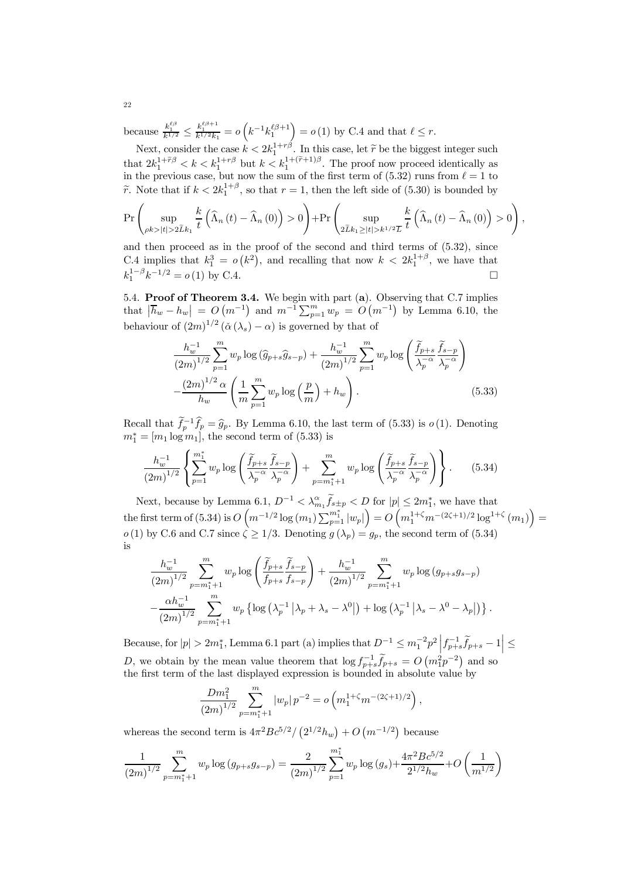because  $\frac{k_1^{\ell\beta}}{k^{1/2}} \le \frac{k_1^{\ell\beta+1}}{k^{1/2}k_1} = o\left(k^{-1}k_1^{\ell\beta+1}\right) = o(1)$  by C.4 and that  $\ell \le r$ .

Next, consider the case  $k < 2k_1^{1+r\beta}$ . In this case, let  $\tilde{r}$  be the biggest integer such  $k_1 + k_2^2$ that  $2k_1^{1+\tilde{r}\beta} < k < k_1^{1+r\beta}$  but  $k < k_1^{1+(\tilde{r}+1)\beta}$ . The proof now proceed identically as in the previous case, but now the sum of the first term of  $(5.32)$  runs from  $\ell = 1$  to  $\widetilde{r}$ . Note that if  $k < 2k_1^{1+\beta}$ , so that  $r = 1$ , then the left side of (5.30) is bounded by

$$
\Pr\left(\sup_{\rho k>|t|>2\widetilde{L}k_1}\frac{k}{t}\left(\widehat{\Lambda}_n\left(t\right)-\widehat{\Lambda}_n\left(0\right)\right)>0\right)+\Pr\left(\sup_{2\widetilde{L}k_1\geq |t|>k^{1/2}\overline{L}}\frac{k}{t}\left(\widehat{\Lambda}_n\left(t\right)-\widehat{\Lambda}_n\left(0\right)\right)>0\right),
$$

and then proceed as in the proof of the second and third terms of (5.32), since C.4 implies that  $k_1^3 = o(k^2)$ , and recalling that now  $k < 2k_1^{1+\beta}$ , we have that  $k_1^{1-\beta}k^{-1/2} = o(1)$  by C.4.  $\Box$ 

5.4. Proof of Theorem 3.4. We begin with part (a). Observing that C.7 implies that  $|\bar{h}_w - h_w| = O(m^{-1})$  and  $m^{-1} \sum_{p=1}^m w_p = O(m^{-1})$  by Lemma 6.10, the behaviour of  $(2m)^{1/2}$   $(\check{\alpha}(\lambda_s) - \alpha)$  is governed by that of

$$
\frac{h_w^{-1}}{(2m)^{1/2}} \sum_{p=1}^m w_p \log \left( \hat{g}_{p+s} \hat{g}_{s-p} \right) + \frac{h_w^{-1}}{(2m)^{1/2}} \sum_{p=1}^m w_p \log \left( \frac{\tilde{f}_{p+s}}{\lambda_p^{-\alpha}} \frac{\tilde{f}_{s-p}}{\lambda_p^{-\alpha}} \right) - \frac{(2m)^{1/2} \alpha}{h_w} \left( \frac{1}{m} \sum_{p=1}^m w_p \log \left( \frac{p}{m} \right) + h_w \right). \tag{5.33}
$$

Recall that  $\hat{f}_p^{-1}\hat{f}_p = \hat{g}_p$ . By Lemma 6.10, the last term of (5.33) is  $o(1)$ . Denoting  $m_1^* = [m_1 \log m_1]$ , the second term of  $(5.33)$  is

$$
\frac{h_w^{-1}}{(2m)^{1/2}} \left\{ \sum_{p=1}^{m_1^*} w_p \log \left( \frac{\widetilde{f}_{p+s}}{\lambda_p^{-\alpha}} \frac{\widetilde{f}_{s-p}}{\lambda_p^{-\alpha}} \right) + \sum_{p=m_1^*+1}^m w_p \log \left( \frac{\widetilde{f}_{p+s}}{\lambda_p^{-\alpha}} \frac{\widetilde{f}_{s-p}}{\lambda_p^{-\alpha}} \right) \right\}.
$$
 (5.34)

Next, because by Lemma 6.1,  $D^{-1} < \lambda_{m_1}^{\alpha} \tilde{f}_{s+p} < D$  for  $|p| \leq 2m_1^*$ , we have that  $\text{the first term of (5.34) is } O\left(m^{-1/2} \log(m_1) \sum_{p=1}^{m_1^*} |w_p|\right) = O\left(m_1^{1+\zeta} m^{-(2\zeta+1)/2} \log^{1+\zeta}(m_1)\right) = O\left( \frac{1}{2} \log^{1+\zeta} m^{-(2\zeta+1)/2} \log^{1+\zeta}(m_1)\right)$  $o(1)$  by C.6 and C.7 since  $\zeta \geq 1/3$ . Denoting  $g(\lambda_p) = g_p$ , the second term of (5.34) is

$$
\frac{h_w^{-1}}{(2m)^{1/2}} \sum_{p=m_1^*+1}^m w_p \log \left( \frac{\widetilde{f}_{p+s}}{f_{p+s}} \frac{\widetilde{f}_{s-p}}{f_{s-p}} \right) + \frac{h_w^{-1}}{(2m)^{1/2}} \sum_{p=m_1^*+1}^m w_p \log \left( g_{p+s} g_{s-p} \right) \n- \frac{\alpha h_w^{-1}}{(2m)^{1/2}} \sum_{p=m_1^*+1}^m w_p \left\{ \log \left( \lambda_p^{-1} \left| \lambda_p + \lambda_s - \lambda^0 \right| \right) + \log \left( \lambda_p^{-1} \left| \lambda_s - \lambda^0 - \lambda_p \right| \right) \right\}.
$$

Because, for  $|p| > 2m_1^*$ , Lemma 6.1 part (a) implies that  $D^{-1} \leq m_1^{-2} p^2 \left| f_{p+s}^{-1} \tilde{f}_{p+s} - 1 \right| \leq$ D, we obtain by the mean value theorem that  $\log f_{p+s}^{-1} \tilde{f}_{p+s} = O\left(m_1^2 p^{-2}\right)$  and so the first term of the last displayed expression is bounded in absolute value by

$$
\frac{Dm_1^2}{(2m)^{1/2}} \sum_{p=m_1^*+1}^m |w_p| \, p^{-2} = o\left(m_1^{1+\zeta} m^{-(2\zeta+1)/2}\right),
$$

whereas the second term is  $4\pi^2 B c^{5/2}/(2^{1/2} h_w) + O(m^{-1/2})$  because

$$
\frac{1}{(2m)^{1/2}} \sum_{p=m_1^*+1}^{m} w_p \log \left( g_{p+s} g_{s-p} \right) = \frac{2}{(2m)^{1/2}} \sum_{p=1}^{m_1^*} w_p \log \left( g_s \right) + \frac{4\pi^2 B c^{5/2}}{2^{1/2} h_w} + O\left( \frac{1}{m^{1/2}} \right)
$$

22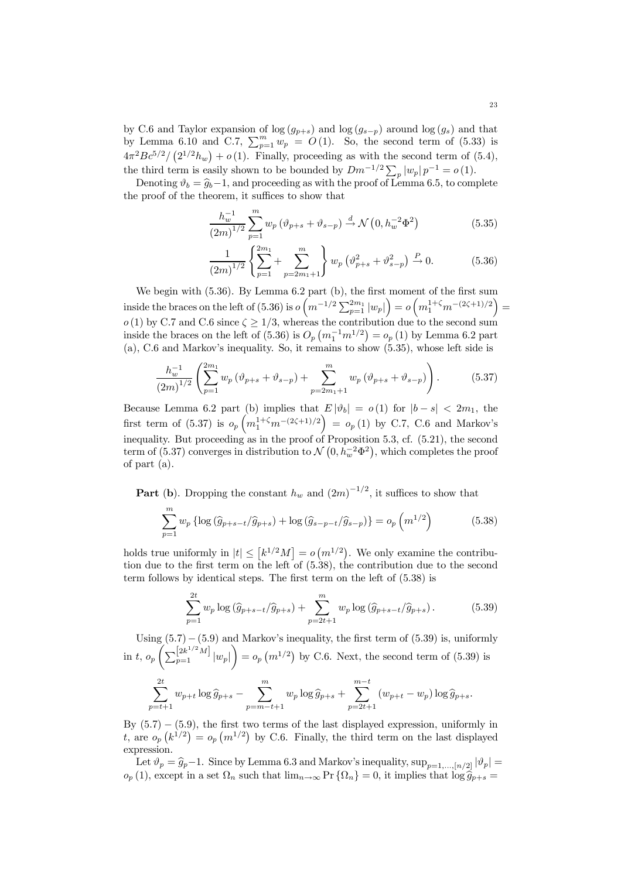by C.6 and Taylor expansion of log  $(g_{p+s})$  and log  $(g_{s-p})$  around log  $(g_s)$  and that by Lemma 6.10 and C.7,  $\sum_{p=1}^{m} w_p = O(1)$ . So, the second term of (5.33) is  $4\pi^2 B c^{5/2}/\left(2^{1/2}h_w\right) + o(1)$ . Finally, proceeding as with the second term of (5.4), the third term is easily shown to be bounded by  $Dm^{-1/2} \sum_{p} |w_p| p^{-1} = o(1)$ .

Denoting  $\vartheta_b = \widehat{g}_b-1$ , and proceeding as with the proof of Lemma 6.5, to complete the proof of the theorem, it suffices to show that

$$
\frac{h_w^{-1}}{(2m)^{1/2}} \sum_{p=1}^{m} w_p \left( \vartheta_{p+s} + \vartheta_{s-p} \right) \stackrel{d}{\to} \mathcal{N} \left( 0, h_w^{-2} \Phi^2 \right) \tag{5.35}
$$

$$
\frac{1}{(2m)^{1/2}} \left\{ \sum_{p=1}^{2m_1} + \sum_{p=2m_1+1}^{m_1} \right\} w_p \left( \vartheta_{p+s}^2 + \vartheta_{s-p}^2 \right) \xrightarrow{P} 0. \tag{5.36}
$$

We begin with  $(5.36)$ . By Lemma 6.2 part (b), the first moment of the first sum inside the braces on the left of (5.36) is  $o(m^{-1/2}\sum_{p=1}^{2m_1}|w_p|)=o(m_1^{1+\zeta}m^{-(2\zeta+1)/2})=$  $o(1)$  by C.7 and C.6 since  $\zeta \geq 1/3$ , whereas the contribution due to the second sum inside the braces on the left of  $(5.36)$  is  $O_p(n_1^{-1}m^{1/2}) = o_p(1)$  by Lemma 6.2 part (a), C.6 and Markov's inequality. So, it remains to show (5.35), whose left side is

$$
\frac{h_w^{-1}}{(2m)^{1/2}} \left( \sum_{p=1}^{2m_1} w_p \left( \vartheta_{p+s} + \vartheta_{s-p} \right) + \sum_{p=2m_1+1}^m w_p \left( \vartheta_{p+s} + \vartheta_{s-p} \right) \right).
$$
 (5.37)

Because Lemma 6.2 part (b) implies that  $E |\vartheta_b| = o(1)$  for  $|b - s| < 2m_1$ , the first term of (5.37) is  $o_p(n_1^{1+\zeta}m^{-(2\zeta+1)/2}) = o_p(1)$  by C.7, C.6 and Markov's inequality. But proceeding as in the proof of Proposition 5.3, cf. (5.21), the second term of (5.37) converges in distribution to  $\mathcal{N}(0, h_w^{-2} \Phi^2)$ , which completes the proof of part (a).

**Part** (b). Dropping the constant  $h_w$  and  $(2m)^{-1/2}$ , it suffices to show that

$$
\sum_{p=1}^{m} w_p \left\{ \log \left( \hat{g}_{p+s-t} / \hat{g}_{p+s} \right) + \log \left( \hat{g}_{s-p-t} / \hat{g}_{s-p} \right) \right\} = o_p \left( m^{1/2} \right) \tag{5.38}
$$

holds true uniformly in  $|t| \leq [k^{1/2}M] = o(m^{1/2})$ . We only examine the contribution due to the first term on the left of (5.38), the contribution due to the second term follows by identical steps. The first term on the left of (5.38) is

$$
\sum_{p=1}^{2t} w_p \log \left( \hat{g}_{p+s-t} / \hat{g}_{p+s} \right) + \sum_{p=2t+1}^{m} w_p \log \left( \hat{g}_{p+s-t} / \hat{g}_{p+s} \right). \tag{5.39}
$$

Using  $(5.7) - (5.9)$  and Markov's inequality, the first term of  $(5.39)$  is, uniformly in t,  $o_p \left( \sum_{p=1}^{\left[ 2k^{1/2} M \right]} |w_p| \right)$  $= o_p (m^{1/2})$  by C.6. Next, the second term of (5.39) is

$$
\sum_{p=t+1}^{2t} w_{p+t} \log \hat{g}_{p+s} - \sum_{p=m-t+1}^{m} w_p \log \hat{g}_{p+s} + \sum_{p=2t+1}^{m-t} (w_{p+t} - w_p) \log \hat{g}_{p+s}.
$$

By  $(5.7) - (5.9)$ , the first two terms of the last displayed expression, uniformly in t, are  $o_p(k^{1/2}) = o_p(m^{1/2})$  by C.6. Finally, the third term on the last displayed expression.

Let  $\vartheta_p = \widehat{g}_p - 1$ . Since by Lemma 6.3 and Markov's inequality,  $\sup_{p=1,\dots,[n/2]} |\vartheta_p|$  $o_p(1)$ , except in a set  $\Omega_n$  such that  $\lim_{n\to\infty} \Pr{\Omega_n} = 0$ , it implies that  $\log \hat{g}_{p+s} =$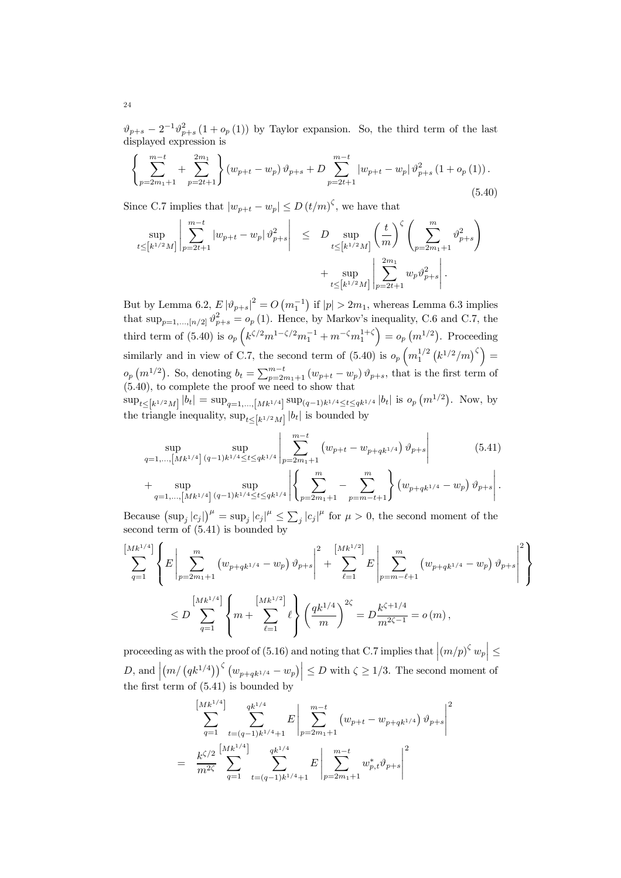$\vartheta_{p+s} - 2^{-1} \vartheta_{p+s}^2 (1 + o_p(1))$  by Taylor expansion. So, the third term of the last displayed expression is

$$
\left\{\sum_{p=2m_1+1}^{m-t} + \sum_{p=2t+1}^{2m_1} \right\} (w_{p+t} - w_p) \vartheta_{p+s} + D \sum_{p=2t+1}^{m-t} |w_{p+t} - w_p| \vartheta_{p+s}^2 (1 + o_p(1)).
$$
\n(5.40)

Since C.7 implies that  $|w_{p+t} - w_p| \le D (t/m)^{\zeta}$ , we have that

$$
\sup_{t \leq [k^{1/2}M]} \left| \sum_{p=2t+1}^{m-t} |w_{p+t} - w_p| \vartheta_{p+s}^2 \right| \leq D \sup_{t \leq [k^{1/2}M]} \left( \frac{t}{m} \right)^{\zeta} \left( \sum_{p=2m_1+1}^{m} \vartheta_{p+s}^2 \right) + \sup_{t \leq [k^{1/2}M]} \left| \sum_{p=2t+1}^{2m_1} w_p \vartheta_{p+s}^2 \right|.
$$

But by Lemma 6.2,  $E |\vartheta_{p+s}|^2 = O(m_1^{-1})$  if  $|p| > 2m_1$ , whereas Lemma 6.3 implies that  $\sup_{p=1,\dots,[n/2]} \vartheta_{p+s}^2 = o_p(1)$ . Hence, by Markov's inequality, C.6 and C.7, the third term of (5.40) is  $o_p\left(k^{\zeta/2}m_1^{-1}\zeta/2m_1^{-1}+m^{-\zeta}m_1^{1+\zeta}\right)=o_p\left(m^{1/2}\right)$ . Proceeding similarly and in view of C.7, the second term of  $(5.40)$  is  $o_p\left(m_1^{1/2}\left(k^{1/2}/m\right)^{\zeta}\right)$  =  $o_p(m^{1/2})$ . So, denoting  $b_t = \sum_{p=2m_1+1}^{m-t} (w_{p+t} - w_p) \vartheta_{p+s}$ , that is the first term of (5.40), to complete the proof we need to show that

 $\sup_{t\leq [k^{1/2}M]} |b_t| = \sup_{q=1,\dots,[Mk^{1/4}]} \sup_{(q-1)k^{1/4}\leq t\leq qk^{1/4}} |b_t|$  is  $o_p(m^{1/2})$ . Now, by the triangle inequality,  $\sup_{t\leq\left[k^{1/2}M\right]}|b_t|$  is bounded by

$$
\sup_{q=1,\ldots,\left[Mk^{1/4}\right]\,(q-1)k^{1/4}\leq t\leq qk^{1/4}}\left|\sum_{p=2m_1+1}^{m-t}\left(w_{p+t}-w_{p+qk^{1/4}}\right)\vartheta_{p+s}\right|\n+ \sup_{q=1,\ldots,\left[Mk^{1/4}\right]\,(q-1)k^{1/4}\leq t\leq qk^{1/4}}\left|\left\{\sum_{p=2m_1+1}^{m}\right|-\sum_{p=m-t+1}^{m}\right\}\left(w_{p+qk^{1/4}}-w_p\right)\vartheta_{p+s}\right|.
$$
\n(5.41)

Because  $(\sup_j |c_j|)^{\mu} = \sup_j |c_j|^{\mu} \le \sum_j |c_j|^{\mu}$  for  $\mu > 0$ , the second moment of the second term of (5.41) is bounded by

$$
\sum_{q=1}^{\left[Mk^{1/4}\right]} \left\{ E \left| \sum_{p=2m_1+1}^m \left( w_{p+qk^{1/4}} - w_p \right) \vartheta_{p+s} \right|^2 + \sum_{\ell=1}^{\left[Mk^{1/2}\right]} E \left| \sum_{p=m-\ell+1}^m \left( w_{p+qk^{1/4}} - w_p \right) \vartheta_{p+s} \right|^2 \right\}
$$
  

$$
\leq D \sum_{q=1}^{\left[Mk^{1/4}\right]} \left\{ m + \sum_{\ell=1}^{\left[Mk^{1/2}\right]} \ell \right\} \left( \frac{qk^{1/4}}{m} \right)^{2\zeta} = D \frac{k^{\zeta+1/4}}{m^{2\zeta-1}} = o(m),
$$

proceeding as with the proof of (5.16) and noting that C.7 implies that  $|(m/p)^{\zeta} w_p | \leq$  $D$ , and  $\Big|$  $\left(m/\left(qk^{1/4}\right)\right)^{\zeta}\left(w_{p+qk^{1/4}}-w_{p}\right)\right| \leq D$  with  $\zeta \geq 1/3$ . The second moment of the first term of  $(5.41)$  is bounded by

$$
\sum_{q=1}^{\left[Mk^{1/4}\right]} \sum_{t=(q-1)k^{1/4}+1}^{qk^{1/4}} E \left| \sum_{p=2m_1+1}^{m-t} (w_{p+t} - w_{p+qk^{1/4}}) \vartheta_{p+s} \right|^2
$$
  
= 
$$
\frac{k^{\zeta/2}}{m^{2\zeta}} \sum_{q=1}^{\left[Mk^{1/4}\right]} \sum_{t=(q-1)k^{1/4}+1}^{qk^{1/4}} E \left| \sum_{p=2m_1+1}^{m-t} w_{p,t}^* \vartheta_{p+s} \right|^2
$$

24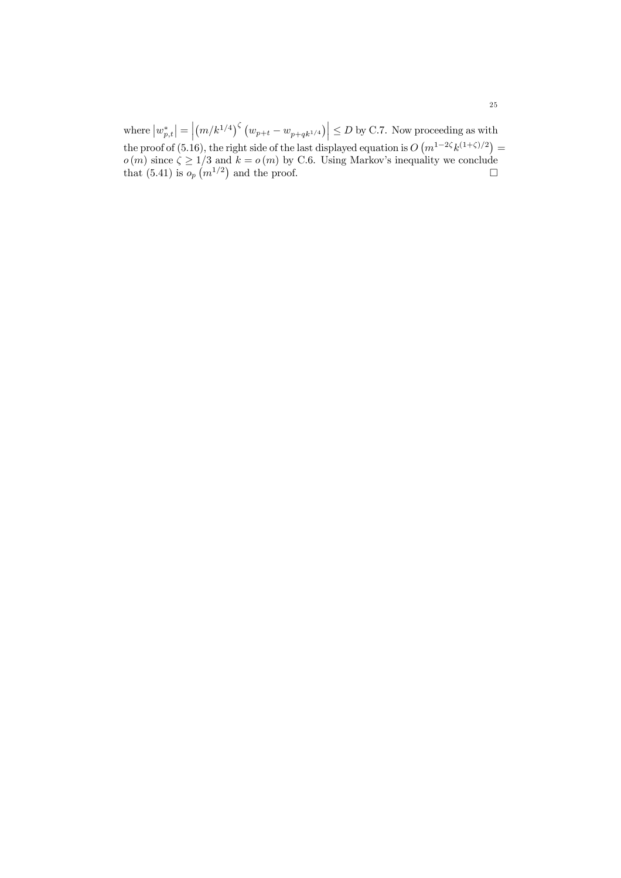where  $\left| w_{p,t}^{\ast }\right| =\Big\vert$  $\left\vert \left( m/k^{1/4}\right) ^{\zeta}\left( w_{p+t}-w_{p+qk^{1/4}}\right) \right\vert \leq D$  by C.7. Now proceeding as with the proof of (5.16), the right side of the last displayed equation is  $O(m^{1-2\zeta}k^{(1+\zeta)/2}) =$  $o(m)$  since  $\zeta \geq 1/3$  and  $k = o(m)$  by C.6. Using Markov's inequality we conclude that (5.41) is  $o_p(m^{1/2})$  and the proof.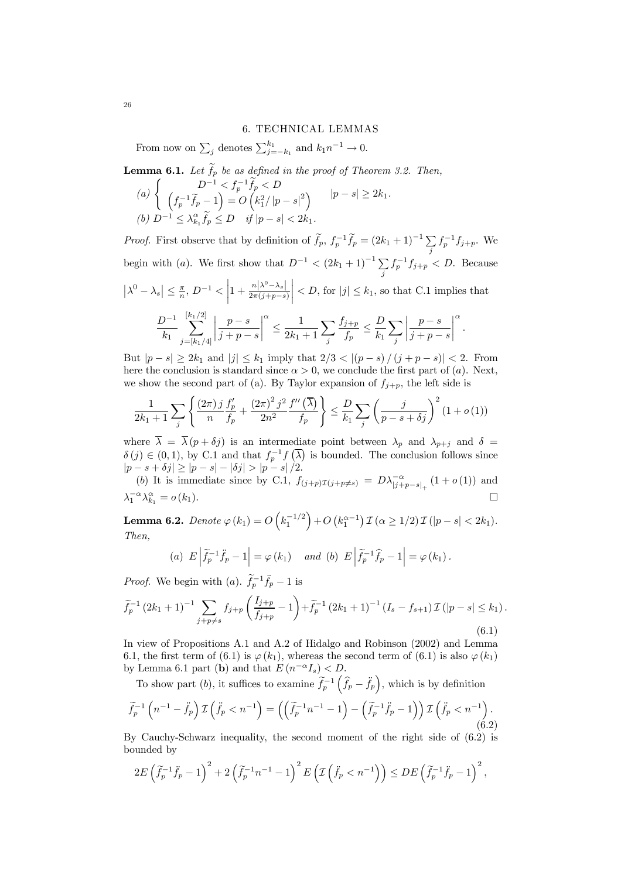#### 6. TECHNICAL LEMMAS

From now on  $\sum_j$  denotes  $\sum_{j=-k_1}^{k_1}$  and  $k_1n^{-1} \to 0$ .

**Lemma 6.1.** Let 
$$
\tilde{f}_p
$$
 be as defined in the proof of Theorem 3.2. Then,  $(a) \left\{ \begin{array}{ll} D^{-1} < f_p^{-1} \tilde{f}_p < D \\ \left( f_p^{-1} \tilde{f}_p - 1 \right) = O\left( k_1^2 / |p - s|^2 \right) & |p - s| \geq 2k_1. \end{array} \right.$ \n(b)  $D^{-1} \leq \lambda_{k_1}^{\alpha} \tilde{f}_p \leq D$  if  $|p - s| < 2k_1$ .

*Proof.* First observe that by definition of  $\tilde{f}_p$ ,  $f_p^{-1}\tilde{f}_p = (2k_1 + 1)^{-1} \sum_i f_p^{-1} f_{j+p}$ . We begin with (a). We first show that  $D^{-1} < (2k_1 + 1)^{-1} \sum_j f_p^{-1} f_{j+p} < D$ . Because  $\left| \lambda^0 - \lambda_s \right| \leq \frac{\pi}{n}, D^{-1} < \left| \right|$  $1+\frac{n|\lambda^0-\lambda_s|}{2\pi(j+p-s)}$  $\vert < D$ , for  $\vert j \vert \leq k_1$ , so that C.1 implies that  $D^{-1}$  $k_1$  $\sum_{ }^{[k_{1}/2]}$  $j=[k_1/4]$ ¯ ¯ ¯ ¯  $\frac{p-s}{q}$  $j + p - s$ ¯ ¯ ¯ ¯ α ≤ 1  $2k_1 + 1$  $\sqrt{ }$ j  $f_{j+p}$  $\frac{1}{f_p}$   $\geq$  $\boldsymbol{D}$  $k_1$  $\sum$ j ¯ ¯ ¯ ¯  $\frac{p-s}{q}$  $j + p - s$ ¯ ¯ ¯ ¯ α .

But  $|p - s| \geq 2k_1$  and  $|j| \leq k_1$  imply that  $2/3 < |(p - s)/(j + p - s)| < 2$ . From here the conclusion is standard since  $\alpha > 0$ , we conclude the first part of (a). Next, we show the second part of (a). By Taylor expansion of  $f_{i+p}$ , the left side is

$$
\frac{1}{2k_1+1} \sum_{j} \left\{ \frac{(2\pi) j}{n} \frac{f'_p}{f_p} + \frac{(2\pi)^2 j^2}{2n^2} \frac{f''(\overline{\lambda})}{f_p} \right\} \le \frac{D}{k_1} \sum_{j} \left( \frac{j}{p-s+\delta j} \right)^2 (1+o(1))
$$

where  $\overline{\lambda} = \overline{\lambda}(p + \delta j)$  is an intermediate point between  $\lambda_p$  and  $\lambda_{p+j}$  and  $\delta =$  $\delta(j) \in (0,1)$ , by C.1 and that  $f_p^{-1} f(\overline{\lambda})$  is bounded. The conclusion follows since  $|p - s + \delta j| \ge |p - s| - |\delta j| > |p - s|/2.$ 

(b) It is immediate since by C.1,  $f_{(j+p)\mathcal{I}(j+p\neq s)} = D\lambda_{|j+p-s|_+}^{-\alpha} (1+o(1))$  and  $\lambda_1^{-\alpha}\lambda_{k_1}^{\alpha} = o(k_1).$ 

Lemma 6.2.  $Denote \ \varphi \left( k_1 \right) = O\left( k_1^{-1/2} \right) + O\left( k_1^{\alpha-1} \right) \mathcal{I} \left( \alpha \geq 1/2 \right) \mathcal{I} \left( \left| p - s \right| < 2 k_1 \right).$ Then,

(a) 
$$
E\left|\tilde{f}_p^{-1}\tilde{f}_p-1\right| = \varphi(k_1)
$$
 and (b)  $E\left|\tilde{f}_p^{-1}\hat{f}_p-1\right| = \varphi(k_1)$ .

*Proof.* We begin with (*a*).  $\tilde{f}_p^{-1}\tilde{f}_p - 1$  is

$$
\widetilde{f}_p^{-1} (2k_1 + 1)^{-1} \sum_{j+p \neq s} f_{j+p} \left( \frac{I_{j+p}}{f_{j+p}} - 1 \right) + \widetilde{f}_p^{-1} (2k_1 + 1)^{-1} (I_s - f_{s+1}) \mathcal{I}(|p-s| \leq k_1).
$$
\n(6.1)

In view of Propositions A.1 and A.2 of Hidalgo and Robinson (2002) and Lemma 6.1, the first term of (6.1) is  $\varphi(k_1)$ , whereas the second term of (6.1) is also  $\varphi(k_1)$ by Lemma 6.1 part (b) and that  $E(n^{-\alpha}I_s) < D$ .

To show part (b), it suffices to examine  $\tilde{f}_p^{-1}(\hat{f}_p - \ddot{f}_p)$ , which is by definition

$$
\widetilde{f}_p^{-1}\left(n^{-1}-\ddot{f}_p\right)\mathcal{I}\left(\ddot{f}_p\n(6.2)
$$

By Cauchy-Schwarz inequality, the second moment of the right side of (6.2) is bounded by

$$
2E\left(\widetilde{f}_p^{-1}\widetilde{f}_p-1\right)^2+2\left(\widetilde{f}_p^{-1}n^{-1}-1\right)^2E\left(\mathcal{I}\left(\widetilde{f}_p< n^{-1}\right)\right)\leq DE\left(\widetilde{f}_p^{-1}\widetilde{f}_p-1\right)^2,
$$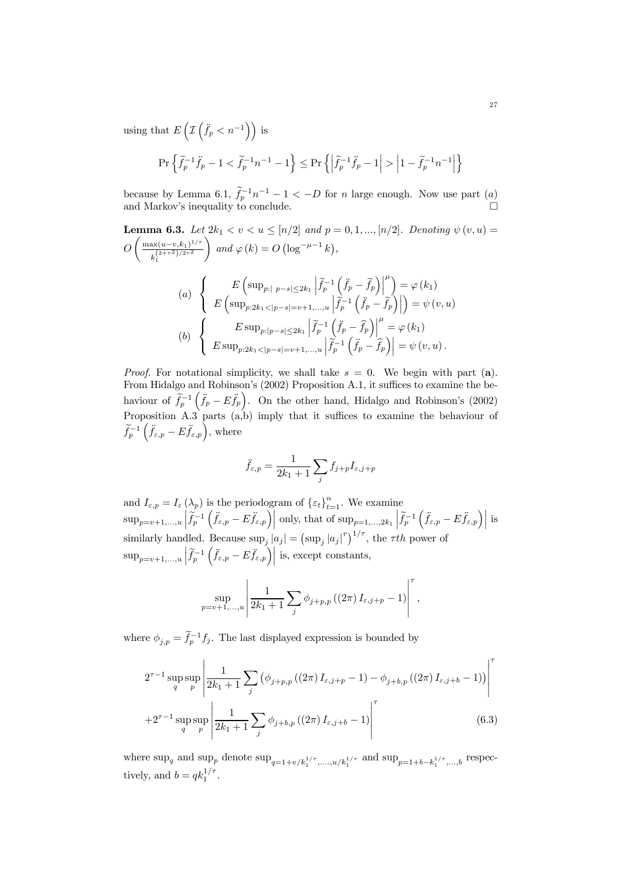using that  $E\left(\right)$  $\overline{1}$  $(\ddot{f}_p < n^{-1})$  is

$$
\Pr\left\{\widetilde{f}_p^{-1}\ddot{f}_p-1<\widetilde{f}_p^{-1}n^{-1}-1\right\}\leq \Pr\left\{\left|\widetilde{f}_p^{-1}\ddot{f}_p-1\right|>\left|1-\widetilde{f}_p^{-1}n^{-1}\right|\right\}
$$

because by Lemma 6.1,  $f_p^{-1}n^{-1} - 1 < -D$  for n large enough. Now use part  $(a)$ and Markov's inequality to conclude.  $\Box$ 

**Lemma 6.3.** Let 
$$
2k_1 < v < u \leq [n/2]
$$
 and  $p = 0, 1, ..., [n/2]$ . Denoting  $\psi(v, u) = O\left(\frac{\max(u-v, k_1)^{1/\tau}}{k_1^{(2+\tau^2)/2\tau^2}}\right)$  and  $\varphi(k) = O\left(\log^{-\mu-1} k\right)$ ,  
\n(a) 
$$
\begin{cases} E\left(\sup_{p: |p-s| \leq 2k_1} \left|\tilde{f}_p^{-1}\left(\tilde{f}_p - \tilde{f}_p\right)\right|^{\mu}\right) = \varphi(k_1) \\ E\left(\sup_{p: 2k_1 < |p-s|=v+1, ..., u} \left|\tilde{f}_p^{-1}\left(\tilde{f}_p - \tilde{f}_p\right)\right|\right) = \psi(v, u) \end{cases}
$$
\n(b) 
$$
\begin{cases} E \sup_{p: |p-s| \leq 2k_1} \left|\tilde{f}_p^{-1}\left(\tilde{f}_p - \hat{f}_p\right)\right|^{\mu} = \varphi(k_1) \\ E \sup_{p: 2k_1 < |p-s|=v+1, ..., u} \left|\tilde{f}_p^{-1}\left(\tilde{f}_p - \hat{f}_p\right)\right| = \psi(v, u). \end{cases}
$$

*Proof.* For notational simplicity, we shall take  $s = 0$ . We begin with part (a). From Hidalgo and Robinson's (2002) Proposition A.1, it suffices to examine the behaviour of  $\tilde{f}_p^{-1}(\ddot{f}_p - E \ddot{f}_p)$ . On the other hand, Hidalgo and Robinson's (2002) Proposition A.3 parts (a,b) imply that it suffices to examine the behaviour of  $\widetilde{f}_p^{-1}\left(\ddot{f}_{\varepsilon,p}-E\ddot{f}_{\varepsilon,p}\right)$ , where

$$
\ddot{f}_{\varepsilon,p} = \frac{1}{2k_1+1} \sum_j f_{j+p} I_{\varepsilon,j+p}
$$

and  $I_{\varepsilon,p} = I_{\varepsilon}(\lambda_p)$  is the periodogram of  $\{\varepsilon_t\}_{t=1}^n$ . We examine  $\sup_{p=v+1,...,u} \left| \tilde{f}_p^{-1} \left( \ddot{f}_{\varepsilon,p} - E \ddot{f}_{\varepsilon,p} \right) \right|$  only, that of  $\sup_{p=1,...,2k_1} \left| \tilde{f}_p^{-1} \left( \ddot{f}_{\varepsilon,p} - E \ddot{f}_{\varepsilon,p} \right) \right|$  is similarly handled. Because  $\sup_j |a_j| = (\sup_j |a_j|^{\tau})^{1/\tau}$ , the  $\tau th$  power of  $\sup_{p=v+1,...,u} \left| \widetilde{f}_p^{-1}\left( \ddot{f}_{\varepsilon,p} - E \ddot{f}_{\varepsilon,p} \right) \right|$  is, except constants,

$$
\sup_{p=v+1,...,u} \left| \frac{1}{2k_1+1} \sum_j \phi_{j+p,p} ((2\pi) I_{\varepsilon,j+p} - 1) \right|^{\tau},
$$

where  $\phi_{j,p} = \tilde{f}_p^{-1} f_j$ . The last displayed expression is bounded by

$$
2^{\tau-1} \sup_{q} \sup_{p} \left| \frac{1}{2k_1 + 1} \sum_{j} \left( \phi_{j+p,p} \left( (2\pi) I_{\varepsilon,j+p} - 1 \right) - \phi_{j+b,p} \left( (2\pi) I_{\varepsilon,j+b} - 1 \right) \right) \right|^{\tau}
$$
  
+2^{\tau-1} \sup\_{q} \sup\_{p} \left| \frac{1}{2k\_1 + 1} \sum\_{j} \phi\_{j+b,p} \left( (2\pi) I\_{\varepsilon,j+b} - 1 \right) \right|^{\tau} (6.3)

where  $\sup_q$  and  $\sup_{p=1+v/k_1^{1/\tau},...,u/k_1^{1/\tau}}$  and  $\sup_{p=1+b-k_1^{1/\tau},...,b}$  respectively, and  $b = qk_1^{1/\tau}$ .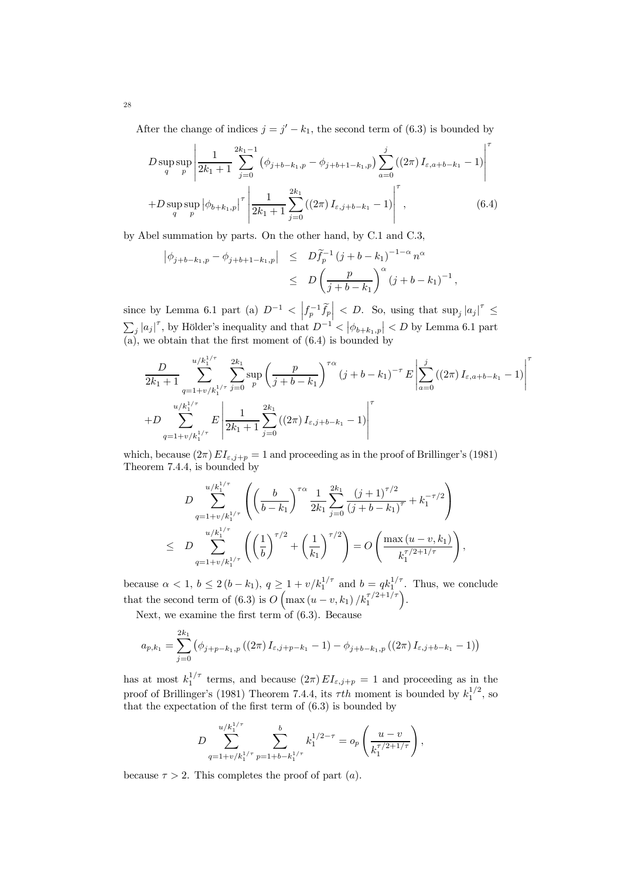After the change of indices  $j = j' - k_1$ , the second term of (6.3) is bounded by

$$
D \sup_{q} \sup_{p} \left| \frac{1}{2k_1 + 1} \sum_{j=0}^{2k_1 - 1} (\phi_{j+b-k_1,p} - \phi_{j+b+1-k_1,p}) \sum_{a=0}^{j} ((2\pi) I_{\varepsilon,a+b-k_1} - 1) \right|^{T}
$$
  
+
$$
D \sup_{q} \sup_{p} |\phi_{b+k_1,p}|^{T} \left| \frac{1}{2k_1 + 1} \sum_{j=0}^{2k_1} ((2\pi) I_{\varepsilon,j+b-k_1} - 1) \right|^{T},
$$
(6.4)

by Abel summation by parts. On the other hand, by C.1 and C.3,

$$
\begin{array}{rcl}\n\left| \phi_{j+b-k_1,p} - \phi_{j+b+1-k_1,p} \right| & \leq & D \tilde{f}_p^{-1} \left( j + b - k_1 \right)^{-1-\alpha} n^{\alpha} \\
& \leq & D \left( \frac{p}{j+b-k_1} \right)^{\alpha} \left( j + b - k_1 \right)^{-1},\n\end{array}
$$

since by Lemma 6.1 part (a)  $D^{-1} < \left| f_p^{-1} \tilde{f}_p \right| < D$ . So, using that  $\sup_j |a_j|^{\tau} \leq$  $\sum_j |a_j|^{\tau}$ , by Hölder's inequality and that  $D^{-1} < |\phi_{b+k_1,p}| < D$  by Lemma 6.1 part (a), we obtain that the first moment of (6.4) is bounded by

$$
\frac{D}{2k_1+1} \sum_{q=1+v/k_1^{1/\tau}}^{u/k_1^{1/\tau}} \sum_{j=0}^{2k_1} \sup_p \left( \frac{p}{j+b-k_1} \right)^{\tau \alpha} (j+b-k_1)^{-\tau} E \left| \sum_{a=0}^j \left( (2\pi) I_{\varepsilon, a+b-k_1} - 1 \right) \right|^{\tau}
$$
  
+
$$
D \sum_{q=1+v/k_1^{1/\tau}}^{u/k_1^{1/\tau}} E \left| \frac{1}{2k_1+1} \sum_{j=0}^{2k_1} \left( (2\pi) I_{\varepsilon, j+b-k_1} - 1 \right) \right|^{\tau}
$$

which, because  $(2\pi) EI_{\varepsilon,j+p} = 1$  and proceeding as in the proof of Brillinger's (1981) Theorem 7.4.4, is bounded by

$$
D \sum_{q=1+v/k_1^{1/\tau}}^{u/k_1^{1/\tau}} \left( \left( \frac{b}{b-k_1} \right)^{\tau \alpha} \frac{1}{2k_1} \sum_{j=0}^{2k_1} \frac{(j+1)^{\tau/2}}{(j+b-k_1)^{\tau}} + k_1^{-\tau/2} \right)
$$
  

$$
\leq D \sum_{q=1+v/k_1^{1/\tau}}^{u/k_1^{1/\tau}} \left( \left( \frac{1}{b} \right)^{\tau/2} + \left( \frac{1}{k_1} \right)^{\tau/2} \right) = O \left( \frac{\max(u-v, k_1)}{k_1^{\tau/2+1/\tau}} \right),
$$

because  $\alpha < 1, b \leq 2(b - k_1), q \geq 1 + v/k_1^{1/\tau}$  and  $b = qk_1^{1/\tau}$ . Thus, we conclude that the second term of (6.3) is  $O\left(\max\left(u-v,k_1\right)/k_1^{\tau/2+1/\tau}\right)$ .

Next, we examine the first term of  $(6.3)$ . Because

$$
a_{p,k_1} = \sum_{j=0}^{2k_1} (\phi_{j+p-k_1,p}((2\pi) I_{\varepsilon,j+p-k_1} - 1) - \phi_{j+b-k_1,p}((2\pi) I_{\varepsilon,j+b-k_1} - 1))
$$

has at most  $k_1^{1/\tau}$  terms, and because  $(2\pi) EI_{\varepsilon,j+p} = 1$  and proceeding as in the proof of Brillinger's (1981) Theorem 7.4.4, its  $\tau$ th moment is bounded by  $k_1^{1/2}$ , so that the expectation of the first term of  $(6.3)$  is bounded by

$$
D\sum_{q=1+v/k_1^{1/\tau}}^{u/k_1^{1/\tau}} \sum_{p=1+b-k_1^{1/\tau}}^{b} k_1^{1/2-\tau} = o_p\left(\frac{u-v}{k_1^{\tau/2+1/\tau}}\right),
$$

because  $\tau > 2$ . This completes the proof of part (*a*).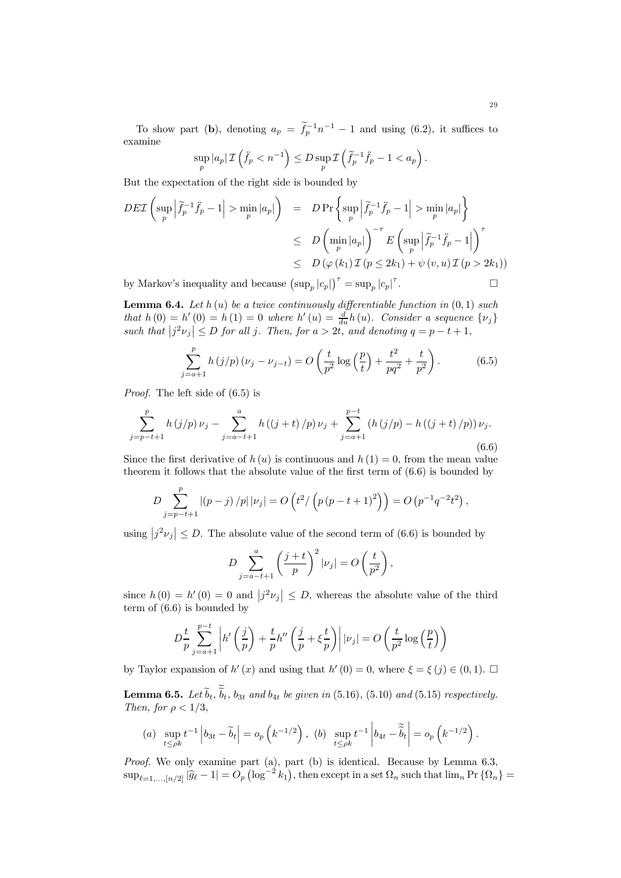To show part (b), denoting  $a_p = \tilde{f}_p^{-1} n^{-1} - 1$  and using (6.2), it suffices to examine

$$
\sup_{p} |a_p| \mathcal{I} \left( \ddot{f}_p < n^{-1} \right) \le D \sup_{p} \mathcal{I} \left( \widetilde{f}_p^{-1} \ddot{f}_p - 1 < a_p \right).
$$

But the expectation of the right side is bounded by

$$
DE\mathcal{I}\left(\sup_{p} \left|\tilde{f}_{p}^{-1}\ddot{f}_{p} - 1\right| > \min_{p} |a_{p}|\right) = D\Pr\left\{\sup_{p} \left|\tilde{f}_{p}^{-1}\ddot{f}_{p} - 1\right| > \min_{p} |a_{p}|\right\}
$$
  
\n
$$
\leq D\left(\min_{p} |a_{p}|\right)^{-\tau} E\left(\sup_{p} \left|\tilde{f}_{p}^{-1}\ddot{f}_{p} - 1\right|\right)^{\tau}
$$
  
\n
$$
\leq D\left(\varphi(k_{1})\mathcal{I}\left(p \leq 2k_{1}\right) + \psi(v, u)\mathcal{I}\left(p > 2k_{1}\right)\right)
$$
  
\nby Markov's inequality and because  $\left(\sup_{p} |c_{p}|\right)^{\tau} = \sup_{p} |c_{p}|^{\tau}$ .

by Markov's inequality and because  $(\sup_p |c_p|)^{\tau} = \sup_p |c_p|$ 

**Lemma 6.4.** Let  $h(u)$  be a twice continuously differentiable function in  $(0, 1)$  such that  $h(0) = h'(0) = h(1) = 0$  where  $h'(u) = \frac{d}{du}h(u)$ . Consider a sequence  $\{\nu_j\}$ such that  $|j^2 \nu_j| \leq D$  for all j. Then, for  $a > 2t$ , and denoting  $q = p - t + 1$ ,

$$
\sum_{j=a+1}^{p} h(j/p) (\nu_j - \nu_{j-t}) = O\left(\frac{t}{p^2} \log\left(\frac{p}{t}\right) + \frac{t^2}{pq^2} + \frac{t}{p^2}\right).
$$
 (6.5)

Proof. The left side of (6.5) is

$$
\sum_{j=p-t+1}^{p} h(j/p) \nu_j - \sum_{j=a-t+1}^{a} h((j+t)/p) \nu_j + \sum_{j=a+1}^{p-t} (h(j/p) - h((j+t)/p)) \nu_j.
$$
\n(6.6)

Since the first derivative of  $h(u)$  is continuous and  $h(1) = 0$ , from the mean value theorem it follows that the absolute value of the first term of (6.6) is bounded by

$$
D \sum_{j=p-t+1}^{p} |(p-j)/p| |\nu_j| = O\left(t^2/\left(p(p-t+1)^2\right)\right) = O\left(p^{-1}q^{-2}t^2\right),
$$

using  $|j^2 \nu_j| \leq D$ . The absolute value of the second term of (6.6) is bounded by

$$
D\sum_{j=a-t+1}^{a} \left(\frac{j+t}{p}\right)^2 |\nu_j| = O\left(\frac{t}{p^2}\right),
$$

since  $h(0) = h'(0) = 0$  and  $|j^2 \nu_j| \leq D$ , whereas the absolute value of the third term of (6.6) is bounded by

$$
D\frac{t}{p}\sum_{j=a+1}^{p-t} \left| h'\left(\frac{j}{p}\right) + \frac{t}{p}h''\left(\frac{j}{p} + \xi\frac{t}{p}\right) \right| |\nu_j| = O\left(\frac{t}{p^2}\log\left(\frac{p}{t}\right)\right)
$$

by Taylor expansion of h'(x) and using that h'(0) = 0, where  $\xi = \xi(j) \in (0,1)$ .  $\Box$ 

**Lemma 6.5.** Let  $b_t$ ,  $b_t$ ,  $b_{3t}$  and  $b_{4t}$  be given in (5.16), (5.10) and (5.15) respectively. Then, for  $\rho < 1/3$ ,

(a) 
$$
\sup_{t \le \rho k} t^{-1} |b_{3t} - \widetilde{b}_t| = o_p \left( k^{-1/2} \right)
$$
, (b)  $\sup_{t \le \rho k} t^{-1} |b_{4t} - \widetilde{b}_t| = o_p \left( k^{-1/2} \right)$ .

Proof. We only examine part (a), part (b) is identical. Because by Lemma 6.3,  $\sup_{\ell=1,\dots,[n/2]}|\widehat{g}_{\ell}-1|=O_p\left(\log^{-2}k_1\right),\$  then except in a set  $\Omega_n$  such that  $\lim_n \Pr\left\{\Omega_n\right\}=1$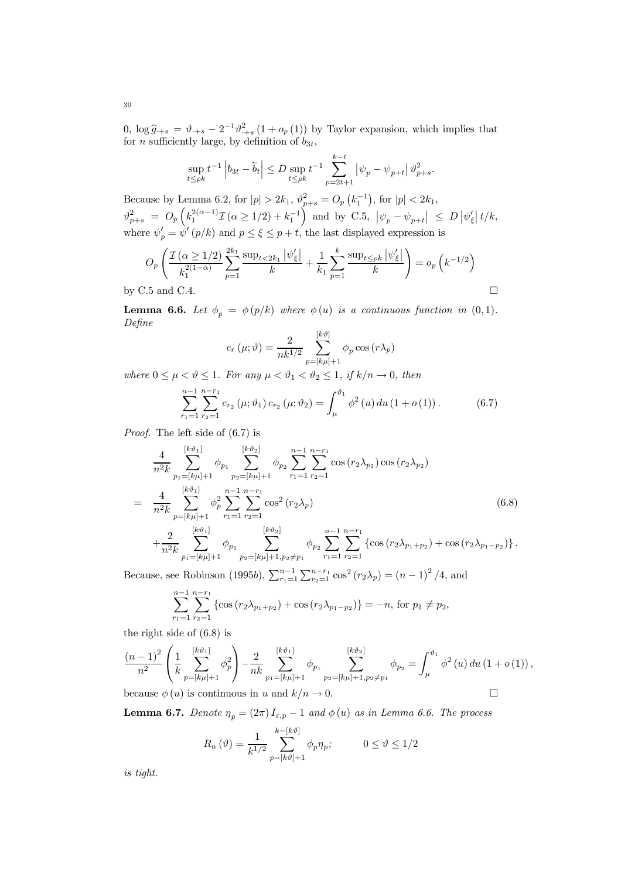0,  $\log \hat{g}_{+s} = \vartheta_{+s} - 2^{-1} \vartheta_{+s}^2 (1 + o_p(1))$  by Taylor expansion, which implies that for *n* sufficiently large, by definition of  $b_{3t}$ ,

$$
\sup_{t \le \rho k} t^{-1} \left| b_{3t} - \widetilde{b}_t \right| \le D \sup_{t \le \rho k} t^{-1} \sum_{p=2t+1}^{k-t} \left| \psi_p - \psi_{p+t} \right| \vartheta_{p+s}^2.
$$

Because by Lemma 6.2, for  $|p| > 2k_1$ ,  $\vartheta_{p+s}^2 = O_p(k_1^{-1})$ , for  $|p| < 2k_1$ ,  $\vartheta_{p+s}^2 \; = \; O_p\left(k_1^{2(\alpha-1)}\mathcal{I}\,( \alpha \geq 1/2) + k_1^{-1} \right) \; \text{and by C.5,} \; \left| \psi_p - \psi_{p+t} \right| \; \leq \; D \left| \psi_{\xi}' \right| t/k,$ where  $\psi'_p = \psi'(p/k)$  and  $p \le \xi \le p+t$ , the last displayed expression is

$$
O_p\left(\frac{\mathcal{I}(\alpha \ge 1/2)}{k_1^{2(1-\alpha)}} \sum_{p=1}^{2k_1} \frac{\sup_{t < 2k_1} |\psi_{\xi}'|}{k} + \frac{1}{k_1} \sum_{p=1}^k \frac{\sup_{t \le \rho k} |\psi_{\xi}'|}{k} \right) = o_p\left(k^{-1/2}\right)
$$
\nby C.5 and C.4.

**Lemma 6.6.** Let  $\phi_p = \phi(p/k)$  where  $\phi(u)$  is a continuous function in  $(0, 1)$ . Define

$$
c_r(\mu; \vartheta) = \frac{2}{nk^{1/2}} \sum_{p=[k\mu]+1}^{[k\vartheta]} \phi_p \cos(r\lambda_p)
$$

where  $0 \leq \mu < \vartheta \leq 1$ . For any  $\mu < \vartheta_1 < \vartheta_2 \leq 1$ , if  $k/n \to 0$ , then

$$
\sum_{r_1=1}^{n-1} \sum_{r_2=1}^{n-r_1} c_{r_2} (\mu; \vartheta_1) c_{r_2} (\mu; \vartheta_2) = \int_{\mu}^{\vartheta_1} \phi^2 (u) du (1 + o (1)). \tag{6.7}
$$

Proof. The left side of (6.7) is

$$
\frac{4}{n^2k} \sum_{p_1=[k\mu]+1}^{[k\vartheta_1]} \phi_{p_1} \sum_{p_2=[k\mu]+1}^{[k\vartheta_2]} \phi_{p_2} \sum_{r_1=1}^{n-1} \sum_{r_2=1}^{n-r_1} \cos(r_2\lambda_{p_1}) \cos(r_2\lambda_{p_2})
$$
\n
$$
= \frac{4}{n^2k} \sum_{p=[k\mu]+1}^{[k\vartheta_1]} \phi_p^2 \sum_{r_1=1}^{n-1} \sum_{r_2=1}^{n-r_1} \cos^2(r_2\lambda_p)
$$
\n
$$
+ \frac{2}{n^2k} \sum_{p_1=[k\mu]+1}^{[k\vartheta_1]} \phi_{p_1} \sum_{p_2=[k\mu]+1, p_2 \neq p_1}^{[k\vartheta_2]} \phi_{p_2} \sum_{r_1=1}^{n-r_1} \sum_{r_2=1}^{n-r_1} \left\{ \cos(r_2\lambda_{p_1+p_2}) + \cos(r_2\lambda_{p_1-p_2}) \right\}.
$$
\n(6.8)

Because, see Robinson (1995b),  $\sum_{r_1=1}^{n-1} \sum_{r_2=1}^{n-r_1} \cos^2(r_2\lambda_p) = (n-1)^2/4$ , and

$$
\sum_{r_1=1}^{n-1} \sum_{r_2=1}^{n-r_1} \left\{ \cos \left( r_2 \lambda_{p_1+p_2} \right) + \cos \left( r_2 \lambda_{p_1-p_2} \right) \right\} = -n, \text{ for } p_1 \neq p_2,
$$

the right side of (6.8) is

$$
\frac{(n-1)^2}{n^2} \left( \frac{1}{k} \sum_{p=\left[k\mu\right]+1}^{\left[k\vartheta_1\right]} \phi_p^2 \right) - \frac{2}{nk} \sum_{p_1=\left[k\mu\right]+1}^{\left[k\vartheta_1\right]} \phi_{p_1} \sum_{p_2=\left[k\mu\right]+1, p_2 \neq p_1}^{\left[k\vartheta_2\right]} \phi_{p_2} = \int_{\mu}^{\vartheta_1} \phi^2 \left(u\right) du \left(1+o\left(1\right)\right),
$$

because  $\phi(u)$  is continuous in u and  $k/n \to 0$ .

**Lemma 6.7.** Denote  $\eta_p = (2\pi) I_{\varepsilon,p} - 1$  and  $\phi(u)$  as in Lemma 6.6. The process

$$
R_n(\vartheta) = \frac{1}{k^{1/2}} \sum_{p=[k\vartheta]+1}^{k-[k\vartheta]} \phi_p \eta_p; \qquad 0 \le \vartheta \le 1/2
$$

is tight.

30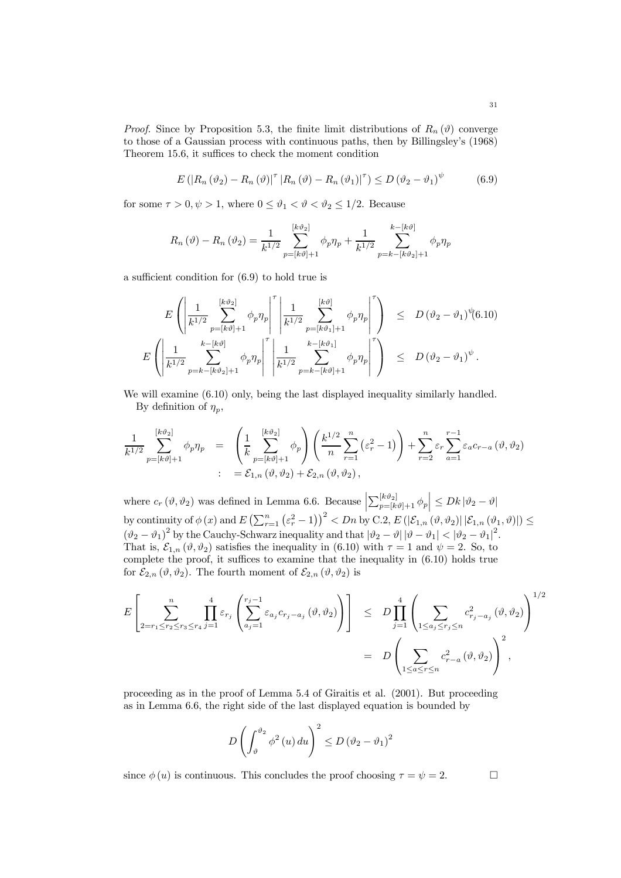*Proof.* Since by Proposition 5.3, the finite limit distributions of  $R_n(\theta)$  converge to those of a Gaussian process with continuous paths, then by Billingsley's (1968) Theorem 15.6, it suffices to check the moment condition

$$
E\left(\left|R_n\left(\vartheta_2\right)-R_n\left(\vartheta\right)\right|^{\tau}\left|R_n\left(\vartheta\right)-R_n\left(\vartheta_1\right)\right|^{\tau}\right)\leq D\left(\vartheta_2-\vartheta_1\right)^{\psi} \tag{6.9}
$$

for some  $\tau > 0, \psi > 1$ , where  $0 \le \vartheta_1 < \vartheta < \vartheta_2 \le 1/2$ . Because

$$
R_n(\vartheta) - R_n(\vartheta_2) = \frac{1}{k^{1/2}} \sum_{p=[k\vartheta]+1}^{[k\vartheta_2]} \phi_p \eta_p + \frac{1}{k^{1/2}} \sum_{p=k-[k\vartheta_2]+1}^{k-[k\vartheta]} \phi_p \eta_p
$$

a sufficient condition for (6.9) to hold true is

$$
E\left(\left|\frac{1}{k^{1/2}}\sum_{p=[k\vartheta]+1}^{[k\vartheta_2]}\phi_p\eta_p\right|^{\tau}\left|\frac{1}{k^{1/2}}\sum_{p=[k\vartheta_1]+1}^{[k\vartheta]}\phi_p\eta_p\right|^{\tau}\right) \leq D(\vartheta_2-\vartheta_1)^{\psi}(6.10)
$$
  

$$
E\left(\left|\frac{1}{k^{1/2}}\sum_{p=k-[k\vartheta_2]+1}^{k-[k\vartheta]}\phi_p\eta_p\right|^{\tau}\left|\frac{1}{k^{1/2}}\sum_{p=k-[k\vartheta]+1}^{k-[k\vartheta_1]}\phi_p\eta_p\right|^{\tau}\right) \leq D(\vartheta_2-\vartheta_1)^{\psi}.
$$

We will examine  $(6.10)$  only, being the last displayed inequality similarly handled. By definition of  $\eta_n$ ,

$$
\frac{1}{k^{1/2}}\sum_{p=[k\vartheta]+1}^{[k\vartheta_2]}\phi_p\eta_p = \left(\frac{1}{k}\sum_{p=[k\vartheta]+1}^{[k\vartheta_2]}\phi_p\right)\left(\frac{k^{1/2}}{n}\sum_{r=1}^n\left(\varepsilon_r^2-1\right)\right) + \sum_{r=2}^n\varepsilon_r\sum_{a=1}^{r-1}\varepsilon_a c_{r-a}\left(\vartheta,\vartheta_2\right)
$$
  

$$
= \mathcal{E}_{1,n}\left(\vartheta,\vartheta_2\right) + \mathcal{E}_{2,n}\left(\vartheta,\vartheta_2\right),
$$

where  $c_r$  ( $\vartheta$ ,  $\vartheta_2$ ) was defined in Lemma 6.6. Because  $\sum_{p=[k\vartheta]+1}^{[k\vartheta_2]} \phi_p \le Dk |\vartheta_2-\vartheta|$ by continuity of  $\phi(x)$  and  $E\left(\sum_{r=1}^n(\varepsilon_r^2-1)\right)^2 < Dn$  by C.2,  $E\left(\left|\mathcal{E}_{1,n}\left(\vartheta,\vartheta_2\right)\right|\left|\mathcal{E}_{1,n}\left(\vartheta_1,\vartheta\right)\right|\right) \leq$  $(\vartheta_2 - \vartheta_1)^2$  by the Cauchy-Schwarz inequality and that  $|\vartheta_2 - \vartheta| |\vartheta - \vartheta_1| < |\vartheta_2 - \vartheta_1|^2$ . That is,  $\mathcal{E}_{1,n}(\vartheta,\vartheta_2)$  satisfies the inequality in (6.10) with  $\tau=1$  and  $\psi=2$ . So, to complete the proof, it suffices to examine that the inequality in (6.10) holds true for  $\mathcal{E}_{2,n}(\vartheta,\vartheta_2)$ . The fourth moment of  $\mathcal{E}_{2,n}(\vartheta,\vartheta_2)$  is

$$
E\left[\sum_{2=r_1\leq r_2\leq r_3\leq r_4}\prod_{j=1}^4\varepsilon_{r_j}\left(\sum_{a_j=1}^{r_j-1}\varepsilon_{a_j}c_{r_j-a_j}\left(\vartheta,\vartheta_2\right)\right)\right] \leq D\prod_{j=1}^4\left(\sum_{1\leq a_j\leq r_j\leq n}c_{r_j-a_j}^2\left(\vartheta,\vartheta_2\right)\right)^{1/2}
$$

$$
= D\left(\sum_{1\leq a_j\leq r\leq n}c_{r-a}^2\left(\vartheta,\vartheta_2\right)\right)^2,
$$

proceeding as in the proof of Lemma 5.4 of Giraitis et al. (2001). But proceeding as in Lemma 6.6, the right side of the last displayed equation is bounded by

$$
D\left(\int_{\vartheta}^{\vartheta_2} \phi^2\left(u\right) du\right)^2 \le D\left(\vartheta_2 - \vartheta_1\right)^2
$$

since  $\phi(u)$  is continuous. This concludes the proof choosing  $\tau = \psi = 2$ .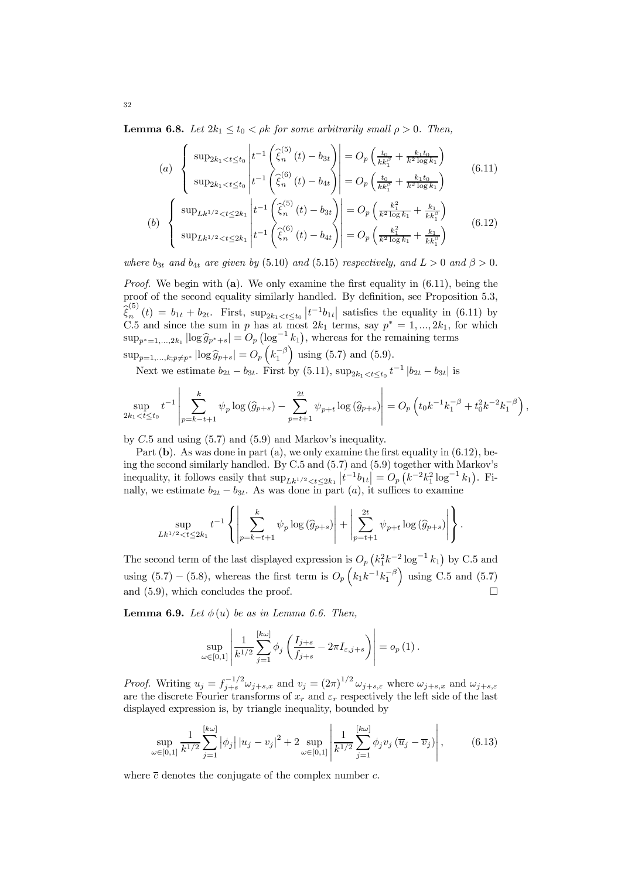**Lemma 6.8.** Let  $2k_1 \le t_0 < \rho k$  for some arbitrarily small  $\rho > 0$ . Then,

$$
(a) \begin{cases} \sup_{2k_1 < t \le t_0} \left| t^{-1} \left( \hat{\xi}_n^{(5)} \left( t \right) - b_{3t} \right) \right| = O_p \left( \frac{t_0}{kk_1^{\beta}} + \frac{k_1 t_0}{k^2 \log k_1} \right) \\ \sup_{2k_1 < t \le t_0} \left| t^{-1} \left( \hat{\xi}_n^{(6)} \left( t \right) - b_{4t} \right) \right| = O_p \left( \frac{t_0}{kk_1^{\beta}} + \frac{k_1 t_0}{k^2 \log k_1} \right) \end{cases} \tag{6.11}
$$

(b) 
$$
\begin{cases} \sup_{Lk^{1/2} < t \leq 2k_1 \\ \sup_{Lk^{1/2} < t \leq 2k_1 \end{cases} \left| t^{-1} \left( \widehat{\xi}_n^{(5)}(t) - b_{3t} \right) \right| = O_p \left( \frac{k_1^2}{k^2 \log k_1} + \frac{k_1}{kk_1^{\beta}} \right) \qquad (6.12)
$$

where  $b_{3t}$  and  $b_{4t}$  are given by (5.10) and (5.15) respectively, and  $L > 0$  and  $\beta > 0$ .

*Proof.* We begin with (a). We only examine the first equality in  $(6.11)$ , being the proof of the second equality similarly handled. By definition, see Proposition 5.3,  $\hat{\xi}_n^{(5)}(t) = b_{1t} + b_{2t}$ . First,  $\sup_{2k_1 < t \le t_0} \left| t^{-1} b_{1t} \right|$  satisfies the equality in (6.11) by C.5 and since the sum in p has at most  $2k_1$  terms, say  $p^* = 1, ..., 2k_1$ , for which  $\sup_{p^* = 1,...,2k_1} |\log \widehat{g}_{p^*+s}| = O_p \left( \log^{-1} k_1 \right)$ , whereas for the remaining terms  $\sup_{p=1,\dots,k;p\neq p^{*}}|\log \hat{g}_{p+s}| = O_{p}\left(k_{1}^{-\beta}\right)$  using (5.7) and (5.9).

Next we estimate  $b_{2t} - b_{3t}$ . First by (5.11),  $\sup_{2k_1 < t \le t_0} t^{-1} |b_{2t} - b_{3t}|$  is

$$
\sup_{2k_1 < t \le t_0} t^{-1} \left| \sum_{p=k-t+1}^k \psi_p \log(\widehat{g}_{p+s}) - \sum_{p=t+1}^{2t} \psi_{p+t} \log(\widehat{g}_{p+s}) \right| = O_p\left(t_0 k^{-1} k_1^{-\beta} + t_0^2 k^{-2} k_1^{-\beta}\right),
$$

by C.5 and using (5.7) and (5.9) and Markov's inequality.

Part  $(b)$ . As was done in part  $(a)$ , we only examine the first equality in  $(6.12)$ , being the second similarly handled. By C.5 and (5.7) and (5.9) together with Markov's inequality, it follows easily that  $\sup_{L k^{1/2} < t \leq 2k_1} |t^{-1}b_{1t}| = O_p(k^{-2}k_1^2 \log^{-1} k_1)$ . Finally, we estimate  $b_{2t} - b_{3t}$ . As was done in part (a), it suffices to examine

$$
\sup_{Lk^{1/2} < t \leq 2k_1} t^{-1} \left\{ \left| \sum_{p=k-t+1}^k \psi_p \log \left( \widehat{g}_{p+s} \right) \right| + \left| \sum_{p=t+1}^{2t} \psi_{p+t} \log \left( \widehat{g}_{p+s} \right) \right| \right\}.
$$

The second term of the last displayed expression is  $O_p(k_1^2k^{-2}\log^{-1}k_1)$  by C.5 and using (5.7) – (5.8), whereas the first term is  $O_p\left(k_1k^{-1}k_1^{-\beta}\right)$  using C.5 and (5.7) and (5.9), which concludes the proof.  $\Box$ 

**Lemma 6.9.** Let  $\phi(u)$  be as in Lemma 6.6. Then,

$$
\sup_{\omega \in [0,1]} \left| \frac{1}{k^{1/2}} \sum_{j=1}^{[k\omega]} \phi_j \left( \frac{I_{j+s}}{f_{j+s}} - 2\pi I_{\varepsilon,j+s} \right) \right| = o_p(1).
$$

*Proof.* Writing  $u_j = f_{j+s}^{-1/2} \omega_{j+s,x}$  and  $v_j = (2\pi)^{1/2} \omega_{j+s,\varepsilon}$  where  $\omega_{j+s,x}$  and  $\omega_{j+s,\varepsilon}$ are the discrete Fourier transforms of  $x_r$  and  $\varepsilon_r$  respectively the left side of the last displayed expression is, by triangle inequality, bounded by

$$
\sup_{\omega \in [0,1]} \frac{1}{k^{1/2}} \sum_{j=1}^{[k\omega]} |\phi_j| |u_j - v_j|^2 + 2 \sup_{\omega \in [0,1]} \left| \frac{1}{k^{1/2}} \sum_{j=1}^{[k\omega]} \phi_j v_j (\overline{u}_j - \overline{v}_j) \right|, \tag{6.13}
$$

where  $\bar{c}$  denotes the conjugate of the complex number c.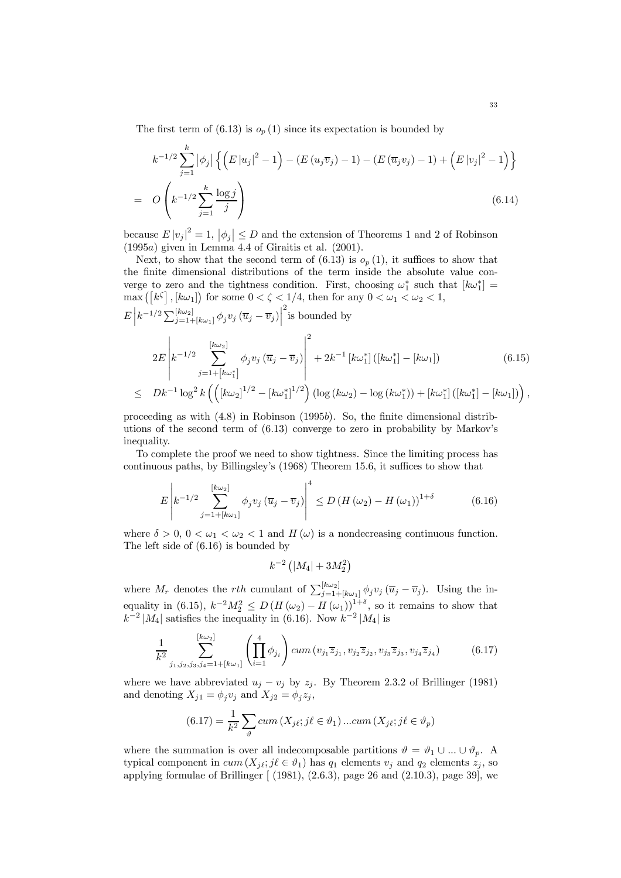The first term of  $(6.13)$  is  $o_p(1)$  since its expectation is bounded by

$$
k^{-1/2} \sum_{j=1}^{k} |\phi_j| \left\{ \left( E |u_j|^2 - 1 \right) - \left( E (u_j \overline{v}_j) - 1 \right) - \left( E (\overline{u}_j v_j) - 1 \right) + \left( E |v_j|^2 - 1 \right) \right\}
$$
  
=  $O\left( k^{-1/2} \sum_{j=1}^{k} \frac{\log j}{j} \right)$  (6.14)

because  $E |v_j|^2 = 1$ ,  $|\phi_j| \le D$  and the extension of Theorems 1 and 2 of Robinson (1995a) given in Lemma 4.4 of Giraitis et al. (2001).

Next, to show that the second term of  $(6.13)$  is  $o_p(1)$ , it suffices to show that the finite dimensional distributions of the term inside the absolute value converge to zero and the tightness condition. First, choosing  $\omega_1^*$  such that  $[k\omega_1^*] =$ max  $([k^{\zeta}], [k\omega_1])$  for some  $0 < \zeta < 1/4$ , then for any  $0 < \omega_1 < \omega_2 < 1$ ,

$$
E\left|k^{-1/2}\sum_{j=1+[k\omega_{1}]}\phi_{j}v_{j}(\overline{u}_{j}-\overline{v}_{j})\right|^{2}\text{is bounded by}
$$
\n
$$
2E\left|k^{-1/2}\sum_{j=1+[k\omega_{1}^{*}]}^{[k\omega_{2}]}\phi_{j}v_{j}(\overline{u}_{j}-\overline{v}_{j})\right|^{2}+2k^{-1}[k\omega_{1}^{*}]\left([k\omega_{1}^{*}]-[k\omega_{1}]\right)\right\rangle
$$
\n
$$
\leq Dk^{-1}\log^{2}k\left(\left([k\omega_{2}]^{1/2}-[k\omega_{1}^{*}]^{1/2}\right)\left(\log(k\omega_{2})-\log(k\omega_{1}^{*})\right)+[k\omega_{1}^{*}]\left([k\omega_{1}^{*}]-[k\omega_{1}]\right)\right),
$$
\n(6.15)

proceeding as with (4.8) in Robinson (1995b). So, the finite dimensional distributions of the second term of (6.13) converge to zero in probability by Markov's inequality.

To complete the proof we need to show tightness. Since the limiting process has continuous paths, by Billingsley's (1968) Theorem 15.6, it suffices to show that

$$
E\left|k^{-1/2}\sum_{j=1+\lceil k\omega_1\rceil}^{\lceil k\omega_2\rceil} \phi_j v_j \left(\overline{u}_j-\overline{v}_j\right)\right|^4 \le D\left(H\left(\omega_2\right)-H\left(\omega_1\right)\right)^{1+\delta} \tag{6.16}
$$

where  $\delta > 0$ ,  $0 < \omega_1 < \omega_2 < 1$  and H  $(\omega)$  is a nondecreasing continuous function. The left side of (6.16) is bounded by

$$
k^{-2}\left(\left|M_4\right|+3M_2^2\right)
$$

where  $M_r$  denotes the rth cumulant of  $\sum_{j=1+[k\omega_1]}^{[k\omega_2]} \phi_j v_j (\overline{u}_j - \overline{v}_j)$ . Using the inequality in (6.15),  $k^{-2}M_2^2 \le D(H(\omega_2) - H(\omega_1))^{1+\delta}$ , so it remains to show that  $k^{-2} |M_4|$  satisfies the inequality in (6.16). Now  $k^{-2} |M_4|$  is

$$
\frac{1}{k^2} \sum_{j_1, j_2, j_3, j_4 = 1 + [k\omega_1]}^{[k\omega_2]} \left( \prod_{i=1}^4 \phi_{j_i} \right) cum \left( v_{j_1} \overline{z}_{j_1}, v_{j_2} \overline{z}_{j_2}, v_{j_3} \overline{z}_{j_3}, v_{j_4} \overline{z}_{j_4} \right) \tag{6.17}
$$

where we have abbreviated  $u_j - v_j$  by  $z_j$ . By Theorem 2.3.2 of Brillinger (1981) and denoting  $X_{j1} = \phi_j v_j$  and  $X_{j2} = \phi_j z_j$ ,

$$
(6.17) = \frac{1}{k^2} \sum_{\vartheta} cum(X_{j\ell}; j\ell \in \vartheta_1) ... cum(X_{j\ell}; j\ell \in \vartheta_p)
$$

where the summation is over all indecomposable partitions  $\vartheta = \vartheta_1 \cup ... \cup \vartheta_p$ . A typical component in  $cum(X_i; j \ell \in \vartheta_1)$  has  $q_1$  elements  $v_j$  and  $q_2$  elements  $z_j$ , so applying formulae of Brillinger  $[ (1981), (2.6.3),$  page 26 and  $(2.10.3),$  page 39, we

,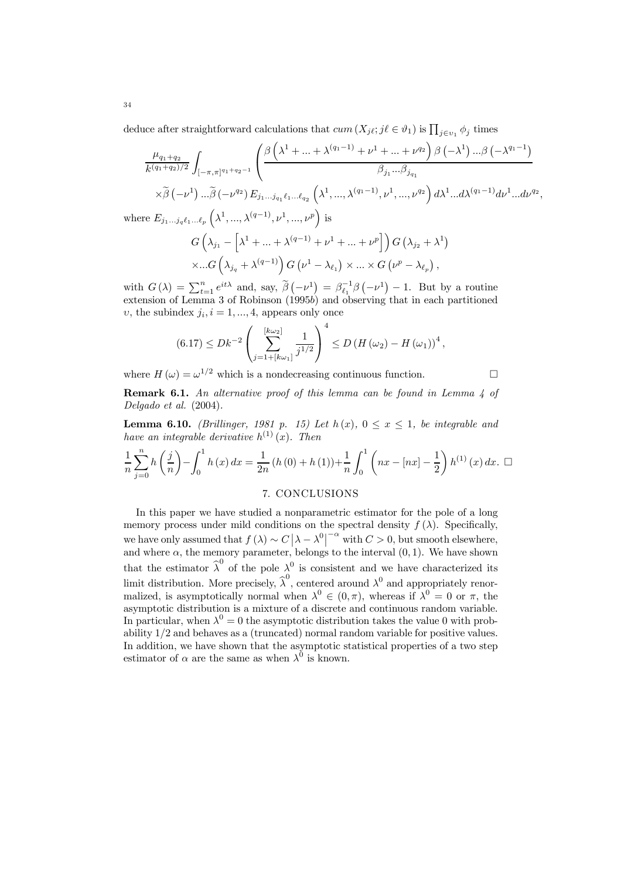deduce after straightforward calculations that  $cum(X_{j\ell}; j\ell \in \vartheta_1)$  is  $\prod_{j\in v_1}\phi_j$  times

$$
\frac{\mu_{q_1+q_2}}{k^{(q_1+q_2)/2}} \int_{[-\pi,\pi]^{q_1+q_2-1}} \left( \frac{\beta \left( \lambda^1 + \dots + \lambda^{(q_1-1)} + \nu^1 + \dots + \nu^{q_2} \right) \beta \left( -\lambda^1 \right) \dots \beta \left( -\lambda^{q_1-1} \right)}{\beta_{j_1} \dots \beta_{j_{q_1}}} \right)
$$
\n
$$
\times \widetilde{\beta} \left( -\nu^1 \right) \dots \widetilde{\beta} \left( -\nu^{q_2} \right) E_{j_1 \dots j_{q_1} \ell_1 \dots \ell_{q_2}} \left( \lambda^1, \dots, \lambda^{(q_1-1)}, \nu^1, \dots, \nu^{q_2} \right) d\lambda^1 \dots d\lambda^{(q_1-1)} d\nu^1 \dots d\nu^{q_2},
$$
\nwhere  $E_{j_1 \dots j_{r} \ell_1 \dots \ell_{r}} \left( \lambda^1, \dots, \lambda^{(q-1)}, \nu^1, \dots, \nu^p \right)$  is

$$
E_{j_1...j_q\ell_1... \ell_p} \left(\lambda^1,...,\lambda^{(q-1)},\nu^1,...,\nu^p\right) \text{ is}
$$
  
\n
$$
G\left(\lambda_{j_1} - \left[\lambda^1 + ... + \lambda^{(q-1)} + \nu^1 + ... + \nu^p\right]\right) G\left(\lambda_{j_2} + \lambda^1\right)
$$
  
\n
$$
\times ... G\left(\lambda_{j_q} + \lambda^{(q-1)}\right) G\left(\nu^1 - \lambda_{\ell_1}\right) \times ... \times G\left(\nu^p - \lambda_{\ell_p}\right),
$$

with  $G(\lambda) = \sum_{t=1}^n e^{it\lambda}$  and, say,  $\tilde{\beta}(-\nu^1) = \beta_{\ell_1}^{-1}\beta(-\nu^1) - 1$ . But by a routine extension of Lemma 3 of Robinson (1995b) and observing that in each partitioned v, the subindex  $j_i$ ,  $i = 1, ..., 4$ , appears only once

$$
(6.17) \le Dk^{-2} \left( \sum_{j=1+[k\omega_1]}^{[k\omega_2]} \frac{1}{j^{1/2}} \right)^4 \le D \left( H(\omega_2) - H(\omega_1) \right)^4,
$$

where  $H(\omega) = \omega^{1/2}$  which is a nondecreasing continuous function.

Remark 6.1. An alternative proof of this lemma can be found in Lemma 4 of Delgado et al. (2004).

**Lemma 6.10.** (Brillinger, 1981 p. 15) Let  $h(x)$ ,  $0 \le x \le 1$ , be integrable and have an integrable derivative  $h^{(1)}(x)$ . Then

$$
\frac{1}{n}\sum_{j=0}^{n} h\left(\frac{j}{n}\right) - \int_{0}^{1} h(x) dx = \frac{1}{2n} (h(0) + h(1)) + \frac{1}{n} \int_{0}^{1} \left( nx - [nx] - \frac{1}{2} \right) h^{(1)}(x) dx. \square
$$

### 7. CONCLUSIONS

In this paper we have studied a nonparametric estimator for the pole of a long memory process under mild conditions on the spectral density  $f(\lambda)$ . Specifically, we have only assumed that  $f(\lambda) \sim C |\lambda - \lambda^0|^{-\alpha}$  with  $C > 0$ , but smooth elsewhere, and where  $\alpha$ , the memory parameter, belongs to the interval  $(0, 1)$ . We have shown that the estimator  $\hat{\lambda}^0$  of the pole  $\lambda^0$  is consistent and we have characterized its limit distribution. More precisely,  $\hat{\lambda}^0$ , centered around  $\lambda^0$  and appropriately renormalized, is asymptotically normal when  $\lambda^0 \in (0, \pi)$ , whereas if  $\lambda^0 = 0$  or  $\pi$ , the asymptotic distribution is a mixture of a discrete and continuous random variable. In particular, when  $\lambda^0 = 0$  the asymptotic distribution takes the value 0 with probability 1/2 and behaves as a (truncated) normal random variable for positive values. In addition, we have shown that the asymptotic statistical properties of a two step estimator of  $\alpha$  are the same as when  $\lambda^0$  is known.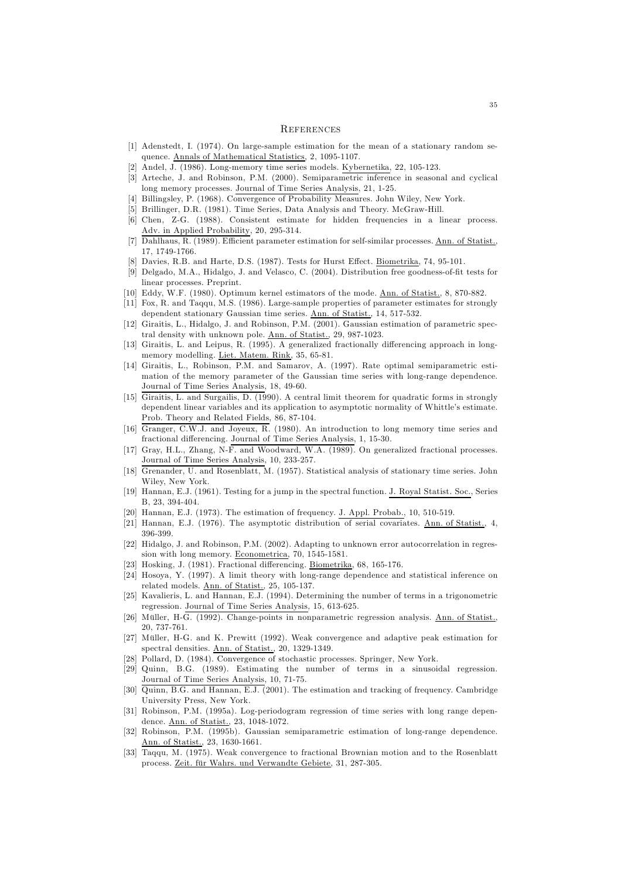#### **REFERENCES**

- [1] Adenstedt, I. (1974). On large-sample estimation for the mean of a stationary random sequence. Annals of Mathematical Statistics, 2, 1095-1107.
- [2] Andel, J. (1986). Long-memory time series models. Kybernetika, 22, 105-123.
- [3] Arteche, J. and Robinson, P.M. (2000). Semiparametric inference in seasonal and cyclical long memory processes. Journal of Time Series Analysis, 21, 1-25.
- [4] Billingsley, P. (1968). Convergence of Probability Measures. John Wiley, New York.
- [5] Brillinger, D.R. (1981). Time Series, Data Analysis and Theory. McGraw-Hill.
- [6] Chen, Z-G. (1988). Consistent estimate for hidden frequencies in a linear process. Adv. in Applied Probability, 20, 295-314.
- [7] Dahlhaus, R. (1989). Efficient parameter estimation for self-similar processes. Ann. of Statist., 17, 1749-1766.
- [8] Davies, R.B. and Harte, D.S. (1987). Tests for Hurst Effect. Biometrika, 74, 95-101.
- [9] Delgado, M.A., Hidalgo, J. and Velasco, C. (2004). Distribution free goodness-of-fit tests for linear processes. Preprint.
- [10] Eddy, W.F. (1980). Optimum kernel estimators of the mode. Ann. of Statist., 8, 870-882.
- [11] Fox, R. and Taqqu, M.S. (1986). Large-sample properties of parameter estimates for strongly dependent stationary Gaussian time series. Ann. of Statist., 14, 517-532.
- [12] Giraitis, L., Hidalgo, J. and Robinson, P.M. (2001). Gaussian estimation of parametric spectral density with unknown pole. Ann. of Statist., 29, 987-1023.
- [13] Giraitis, L. and Leipus, R. (1995). A generalized fractionally differencing approach in longmemory modelling. Liet. Matem. Rink, 35, 65-81.
- [14] Giraitis, L., Robinson, P.M. and Samarov, A. (1997). Rate optimal semiparametric estimation of the memory parameter of the Gaussian time series with long-range dependence. Journal of Time Series Analysis, 18, 49-60.
- [15] Giraitis, L. and Surgailis, D. (1990). A central limit theorem for quadratic forms in strongly dependent linear variables and its application to asymptotic normality of Whittle's estimate. Prob. Theory and Related Fields, 86, 87-104.
- [16] Granger, C.W.J. and Joyeux, R. (1980). An introduction to long memory time series and fractional differencing. Journal of Time Series Analysis, 1, 15-30.
- [17] Gray, H.L., Zhang, N-F. and Woodward, W.A. (1989). On generalized fractional processes. Journal of Time Series Analysis, 10, 233-257.
- [18] Grenander, U. and Rosenblatt, M. (1957). Statistical analysis of stationary time series. John Wiley, New York.
- [19] Hannan, E.J. (1961). Testing for a jump in the spectral function. J. Royal Statist. Soc., Series B, 23, 394-404.
- [20] Hannan, E.J. (1973). The estimation of frequency. J. Appl. Probab., 10, 510-519.
- [21] Hannan, E.J. (1976). The asymptotic distribution of serial covariates. Ann. of Statist., 4, 396-399.
- [22] Hidalgo, J. and Robinson, P.M. (2002). Adapting to unknown error autocorrelation in regression with long memory. Econometrica, 70, 1545-1581.
- [23] Hosking, J. (1981). Fractional differencing. Biometrika, 68, 165-176.
- [24] Hosoya, Y. (1997). A limit theory with long-range dependence and statistical inference on related models. Ann. of Statist., 25, 105-137.
- [25] Kavalieris, L. and Hannan, E.J. (1994). Determining the number of terms in a trigonometric regression. Journal of Time Series Analysis, 15, 613-625.
- [26] Müller, H-G. (1992). Change-points in nonparametric regression analysis. Ann. of Statist., 20, 737-761.
- [27] Müller, H-G. and K. Prewitt (1992). Weak convergence and adaptive peak estimation for spectral densities. Ann. of Statist., 20, 1329-1349.
- [28] Pollard, D. (1984). Convergence of stochastic processes. Springer, New York.
- [29] Quinn, B.G. (1989). Estimating the number of terms in a sinusoidal regression. Journal of Time Series Analysis, 10, 71-75.
- [30] Quinn, B.G. and Hannan, E.J. (2001). The estimation and tracking of frequency. Cambridge University Press, New York.
- [31] Robinson, P.M. (1995a). Log-periodogram regression of time series with long range dependence. Ann. of Statist., 23, 1048-1072.
- [32] Robinson, P.M. (1995b). Gaussian semiparametric estimation of long-range dependence. Ann. of Statist., 23, 1630-1661.
- [33] Taqqu, M. (1975). Weak convergence to fractional Brownian motion and to the Rosenblatt process. Zeit. für Wahrs. und Verwandte Gebiete, 31, 287-305.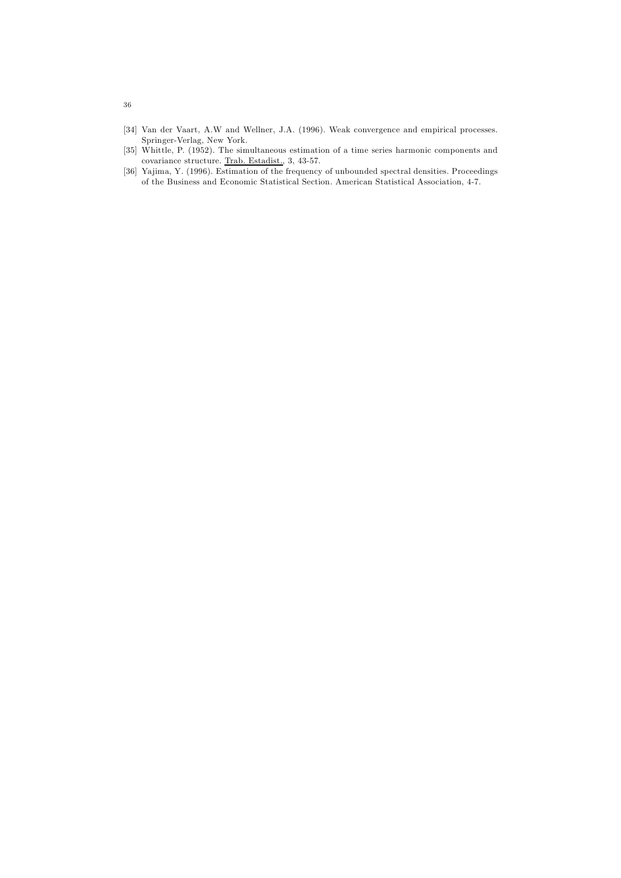- [34] Van der Vaart, A.W and Wellner, J.A. (1996). Weak convergence and empirical processes. Springer-Verlag, New York.
- [35] Whittle, P. (1952). The simultaneous estimation of a time series harmonic components and covariance structure. Trab. Estadist., 3, 43-57.
- [36] Yajima, Y. (1996). Estimation of the frequency of unbounded spectral densities. Proceedings of the Business and Economic Statistical Section. American Statistical Association, 4-7.

36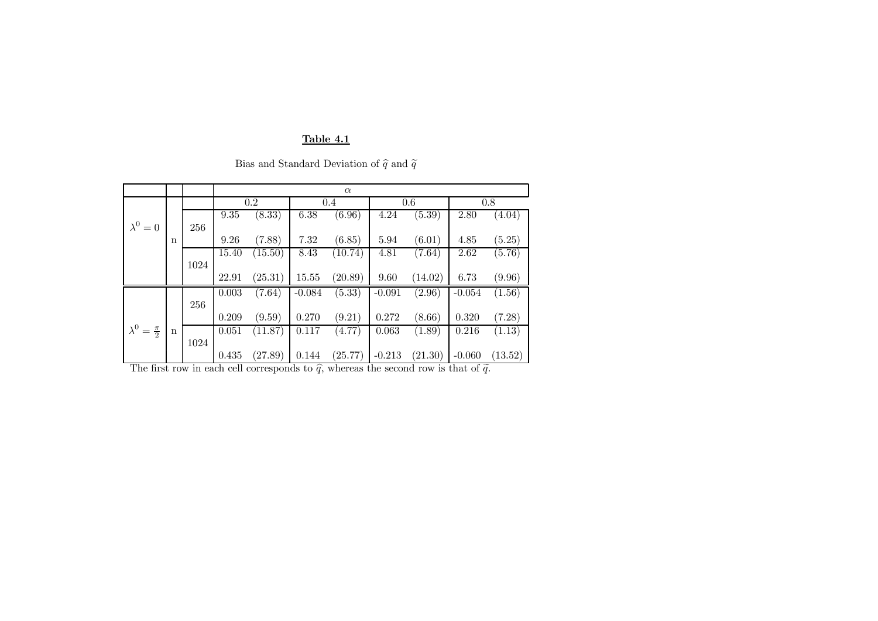## Table 4.1

|  | Bias and Standard Deviation of $\hat{q}$ and $\tilde{q}$ |  |  |
|--|----------------------------------------------------------|--|--|
|  |                                                          |  |  |
|  |                                                          |  |  |

|                             |             |      | $\alpha$ |         |          |                     |          |         |          |         |
|-----------------------------|-------------|------|----------|---------|----------|---------------------|----------|---------|----------|---------|
|                             |             |      | 0.2      |         | 0.4      |                     | $0.6\,$  |         | 0.8      |         |
|                             |             |      | 9.35     | (8.33)  | 6.38     | $\overline{(6.96)}$ | 4.24     | (5.39)  | 2.80     | (4.04)  |
| $\lambda^0=0$               |             | 256  |          |         |          |                     |          |         |          |         |
|                             | $\mathbf n$ |      | 9.26     | (7.88)  | 7.32     | (6.85)              | 5.94     | (6.01)  | 4.85     | (5.25)  |
|                             |             |      | 15.40    | (15.50) | 8.43     | (10.74)             | 4.81     | (7.64)  | 2.62     | (5.76)  |
|                             |             | 1024 |          |         |          |                     |          |         |          |         |
|                             |             |      | 22.91    | (25.31) | 15.55    | (20.89)             | 9.60     | (14.02) | 6.73     | (9.96)  |
|                             |             |      | 0.003    | (7.64)  | $-0.084$ | (5.33)              | $-0.091$ | (2.96)  | $-0.054$ | (1.56)  |
|                             |             | 256  |          |         |          |                     |          |         |          |         |
|                             |             |      | 0.209    | (9.59)  | 0.270    | (9.21)              | 0.272    | (8.66)  | 0.320    | (7.28)  |
| $\lambda^0 = \frac{\pi}{2}$ | $\mathbf n$ |      | 0.051    | (11.87) | 0.117    | (4.77)              | 0.063    | (1.89)  | 0.216    | (1.13)  |
|                             |             | 1024 |          |         |          |                     |          |         |          |         |
|                             |             |      | 0.435    | (27.89) | 0.144    | (25.77)             | $-0.213$ | (21.30) | $-0.060$ | (13.52) |

The first row in each cell corresponds to  $\hat{q}$ , whereas the second row is that of  $\tilde{q}$ .